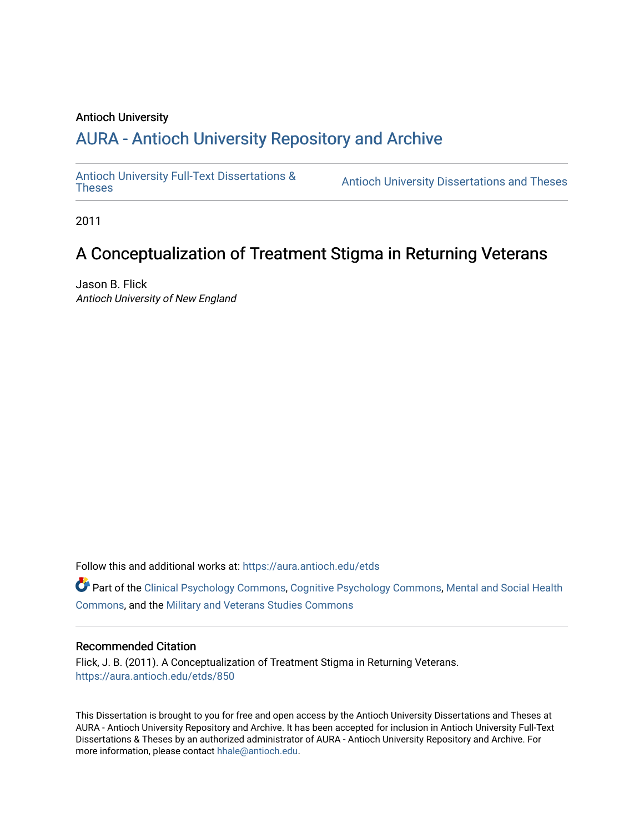### Antioch University

# A[URA - Antioch University Reposit](https://aura.antioch.edu/)ory and Archive

[Antioch University Full-Text Dissertations &](https://aura.antioch.edu/etds)

Antioch University Dissertations and Theses

2011

# A Conceptualization of Treatment Stigma in Returning Veterans

Jason B. Flick Antioch University of New England

Follow this and additional works at: [https://aura.antioch.edu/etds](https://aura.antioch.edu/etds?utm_source=aura.antioch.edu%2Fetds%2F850&utm_medium=PDF&utm_campaign=PDFCoverPages)

Part of the [Clinical Psychology Commons,](https://network.bepress.com/hgg/discipline/406?utm_source=aura.antioch.edu%2Fetds%2F850&utm_medium=PDF&utm_campaign=PDFCoverPages) [Cognitive Psychology Commons,](https://network.bepress.com/hgg/discipline/408?utm_source=aura.antioch.edu%2Fetds%2F850&utm_medium=PDF&utm_campaign=PDFCoverPages) [Mental and Social Health](https://network.bepress.com/hgg/discipline/709?utm_source=aura.antioch.edu%2Fetds%2F850&utm_medium=PDF&utm_campaign=PDFCoverPages) [Commons](https://network.bepress.com/hgg/discipline/709?utm_source=aura.antioch.edu%2Fetds%2F850&utm_medium=PDF&utm_campaign=PDFCoverPages), and the [Military and Veterans Studies Commons](https://network.bepress.com/hgg/discipline/396?utm_source=aura.antioch.edu%2Fetds%2F850&utm_medium=PDF&utm_campaign=PDFCoverPages)

#### Recommended Citation

Flick, J. B. (2011). A Conceptualization of Treatment Stigma in Returning Veterans. [https://aura.antioch.edu/etds/850](https://aura.antioch.edu/etds/850?utm_source=aura.antioch.edu%2Fetds%2F850&utm_medium=PDF&utm_campaign=PDFCoverPages)

This Dissertation is brought to you for free and open access by the Antioch University Dissertations and Theses at AURA - Antioch University Repository and Archive. It has been accepted for inclusion in Antioch University Full-Text Dissertations & Theses by an authorized administrator of AURA - Antioch University Repository and Archive. For more information, please contact [hhale@antioch.edu](mailto:hhale@antioch.edu).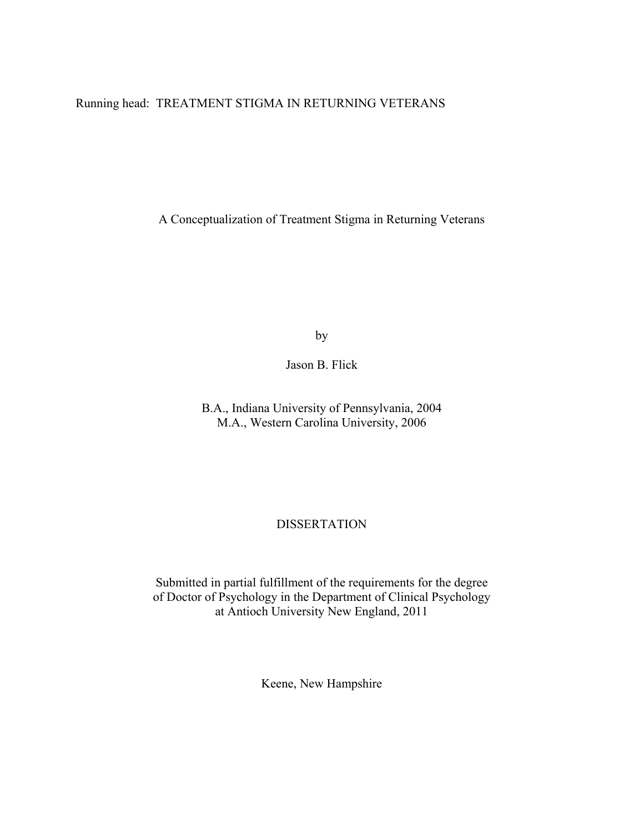Running head: TREATMENT STIGMA IN RETURNING VETERANS

A Conceptualization of Treatment Stigma in Returning Veterans

by

Jason B. Flick

B.A., Indiana University of Pennsylvania, 2004 M.A., Western Carolina University, 2006

### **DISSERTATION**

Submitted in partial fulfillment of the requirements for the degree of Doctor of Psychology in the Department of Clinical Psychology at Antioch University New England, 2011

Keene, New Hampshire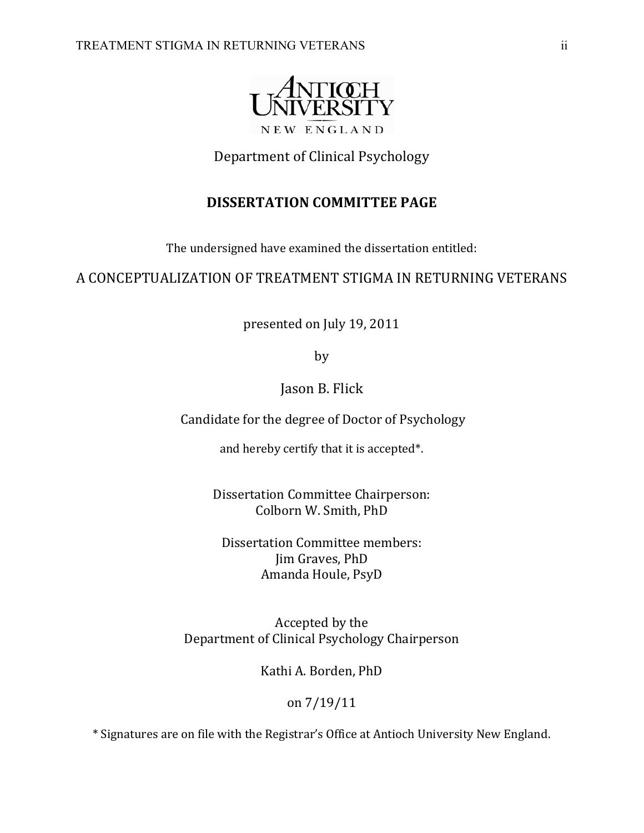

## Department of Clinical Psychology

## **DISSERTATION COMMITTEE PAGE**

The undersigned have examined the dissertation entitled:

### A CONCEPTUALIZATION OF TREATMENT STIGMA IN RETURNING VETERANS

presented on July 19, 2011

by

Jason B. Flick

Candidate for the degree of Doctor of Psychology

and hereby certify that it is accepted\*.

Dissertation Committee Chairperson: Colborn W. Smith, PhD

Dissertation Committee members: Jim Graves, PhD Amanda Houle, PsyD

Accepted by the Department of Clinical Psychology Chairperson

Kathi A. Borden, PhD

on 7/19/11

\* Signatures are on file with the Registrar's Office at Antioch University New England.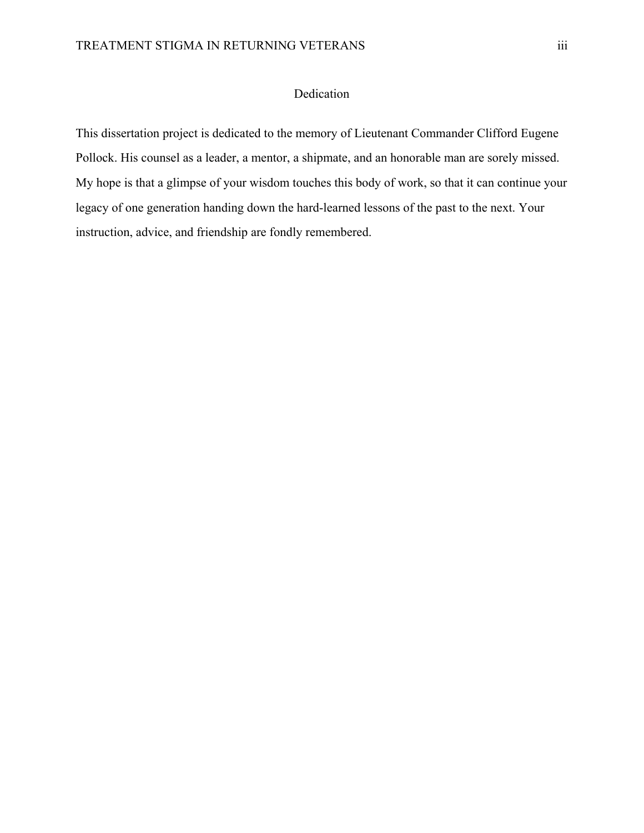### Dedication

This dissertation project is dedicated to the memory of Lieutenant Commander Clifford Eugene Pollock. His counsel as a leader, a mentor, a shipmate, and an honorable man are sorely missed. My hope is that a glimpse of your wisdom touches this body of work, so that it can continue your legacy of one generation handing down the hard-learned lessons of the past to the next. Your instruction, advice, and friendship are fondly remembered.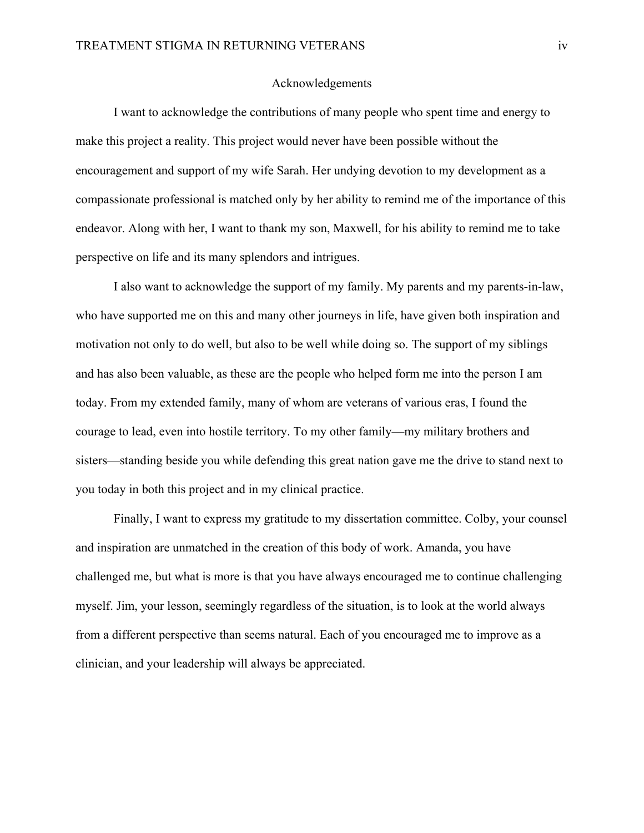### Acknowledgements

 I want to acknowledge the contributions of many people who spent time and energy to make this project a reality. This project would never have been possible without the encouragement and support of my wife Sarah. Her undying devotion to my development as a compassionate professional is matched only by her ability to remind me of the importance of this endeavor. Along with her, I want to thank my son, Maxwell, for his ability to remind me to take perspective on life and its many splendors and intrigues.

 I also want to acknowledge the support of my family. My parents and my parents-in-law, who have supported me on this and many other journeys in life, have given both inspiration and motivation not only to do well, but also to be well while doing so. The support of my siblings and has also been valuable, as these are the people who helped form me into the person I am today. From my extended family, many of whom are veterans of various eras, I found the courage to lead, even into hostile territory. To my other family—my military brothers and sisters—standing beside you while defending this great nation gave me the drive to stand next to you today in both this project and in my clinical practice.

 Finally, I want to express my gratitude to my dissertation committee. Colby, your counsel and inspiration are unmatched in the creation of this body of work. Amanda, you have challenged me, but what is more is that you have always encouraged me to continue challenging myself. Jim, your lesson, seemingly regardless of the situation, is to look at the world always from a different perspective than seems natural. Each of you encouraged me to improve as a clinician, and your leadership will always be appreciated.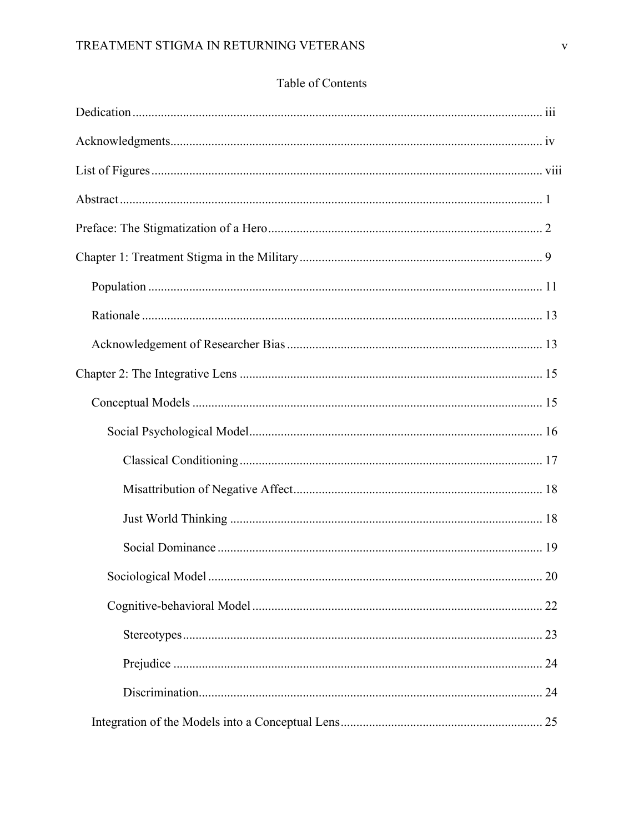## Table of Contents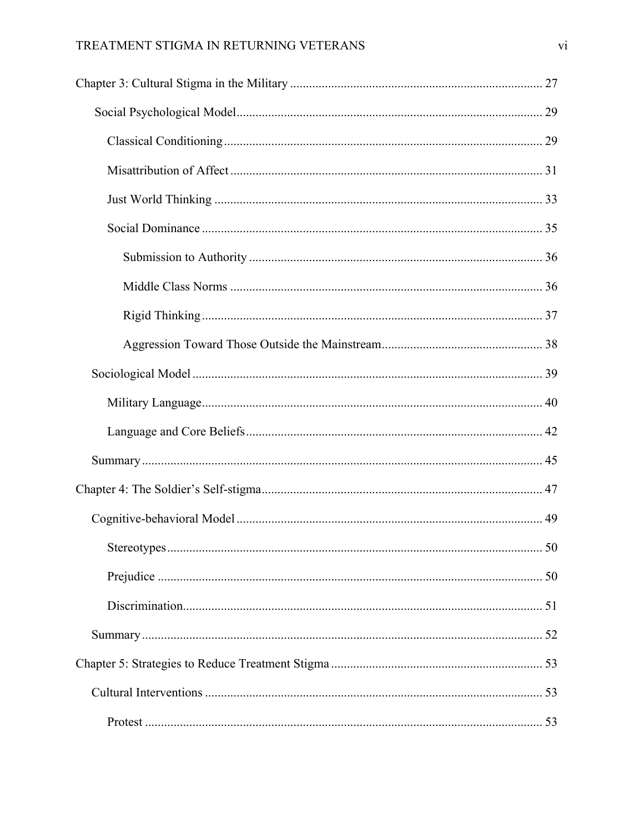### TREATMENT STIGMA IN RETURNING VETERANS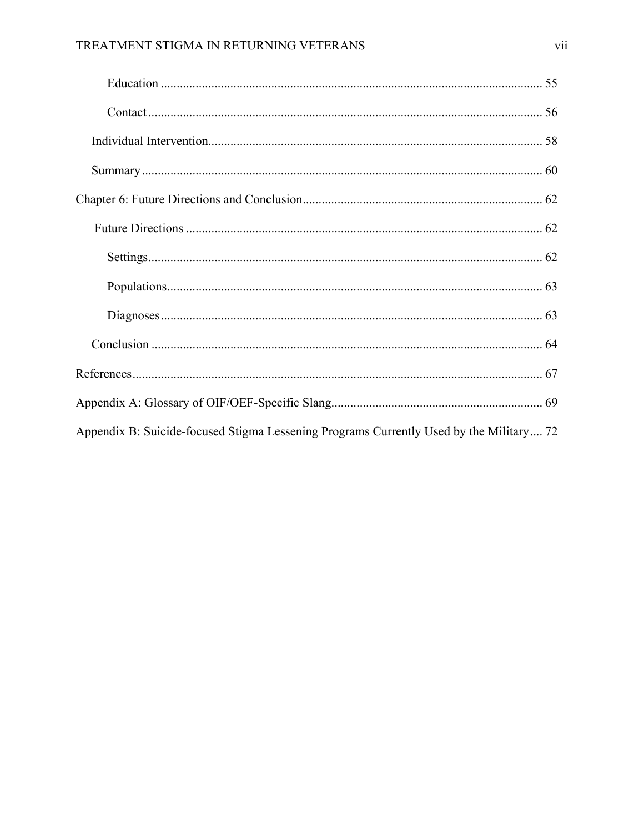| Appendix B: Suicide-focused Stigma Lessening Programs Currently Used by the Military 72 |
|-----------------------------------------------------------------------------------------|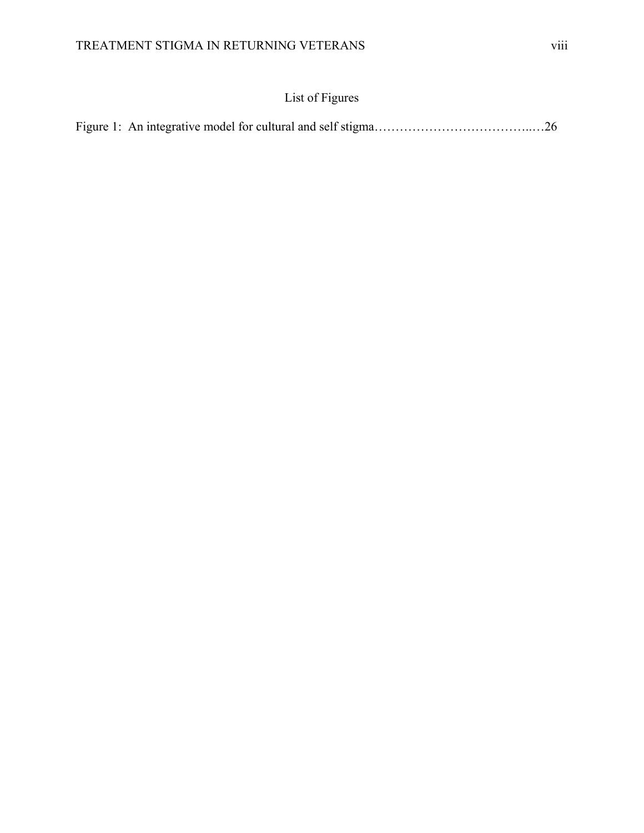## List of Figures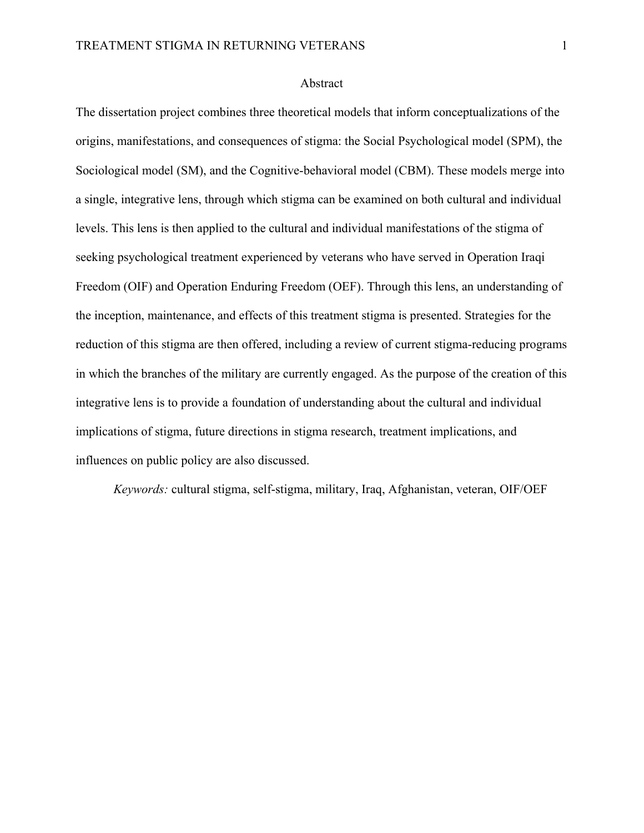### Abstract

The dissertation project combines three theoretical models that inform conceptualizations of the origins, manifestations, and consequences of stigma: the Social Psychological model (SPM), the Sociological model (SM), and the Cognitive-behavioral model (CBM). These models merge into a single, integrative lens, through which stigma can be examined on both cultural and individual levels. This lens is then applied to the cultural and individual manifestations of the stigma of seeking psychological treatment experienced by veterans who have served in Operation Iraqi Freedom (OIF) and Operation Enduring Freedom (OEF). Through this lens, an understanding of the inception, maintenance, and effects of this treatment stigma is presented. Strategies for the reduction of this stigma are then offered, including a review of current stigma-reducing programs in which the branches of the military are currently engaged. As the purpose of the creation of this integrative lens is to provide a foundation of understanding about the cultural and individual implications of stigma, future directions in stigma research, treatment implications, and influences on public policy are also discussed.

*Keywords:* cultural stigma, self-stigma, military, Iraq, Afghanistan, veteran, OIF/OEF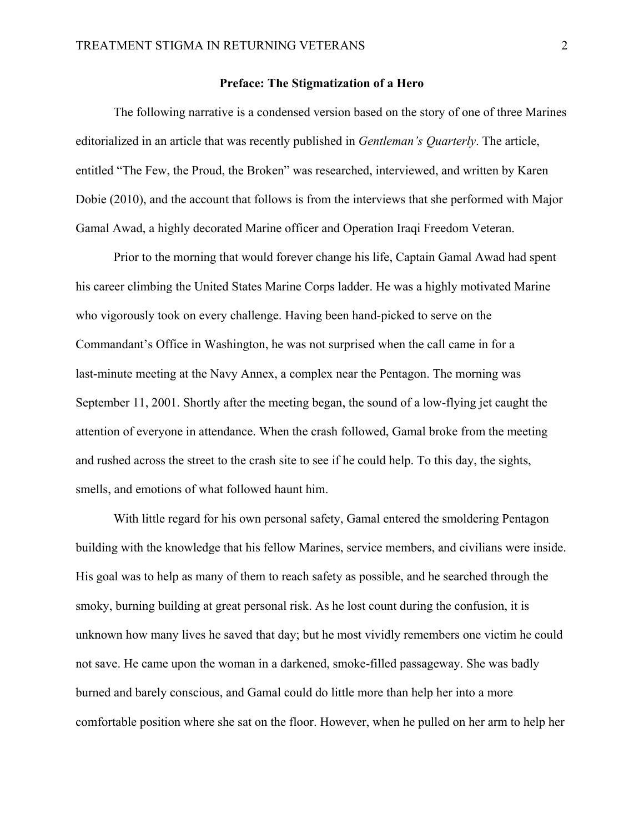### **Preface: The Stigmatization of a Hero**

The following narrative is a condensed version based on the story of one of three Marines editorialized in an article that was recently published in *Gentleman's Quarterly*. The article, entitled "The Few, the Proud, the Broken" was researched, interviewed, and written by Karen Dobie (2010), and the account that follows is from the interviews that she performed with Major Gamal Awad, a highly decorated Marine officer and Operation Iraqi Freedom Veteran.

Prior to the morning that would forever change his life, Captain Gamal Awad had spent his career climbing the United States Marine Corps ladder. He was a highly motivated Marine who vigorously took on every challenge. Having been hand-picked to serve on the Commandant's Office in Washington, he was not surprised when the call came in for a last-minute meeting at the Navy Annex, a complex near the Pentagon. The morning was September 11, 2001. Shortly after the meeting began, the sound of a low-flying jet caught the attention of everyone in attendance. When the crash followed, Gamal broke from the meeting and rushed across the street to the crash site to see if he could help. To this day, the sights, smells, and emotions of what followed haunt him.

 With little regard for his own personal safety, Gamal entered the smoldering Pentagon building with the knowledge that his fellow Marines, service members, and civilians were inside. His goal was to help as many of them to reach safety as possible, and he searched through the smoky, burning building at great personal risk. As he lost count during the confusion, it is unknown how many lives he saved that day; but he most vividly remembers one victim he could not save. He came upon the woman in a darkened, smoke-filled passageway. She was badly burned and barely conscious, and Gamal could do little more than help her into a more comfortable position where she sat on the floor. However, when he pulled on her arm to help her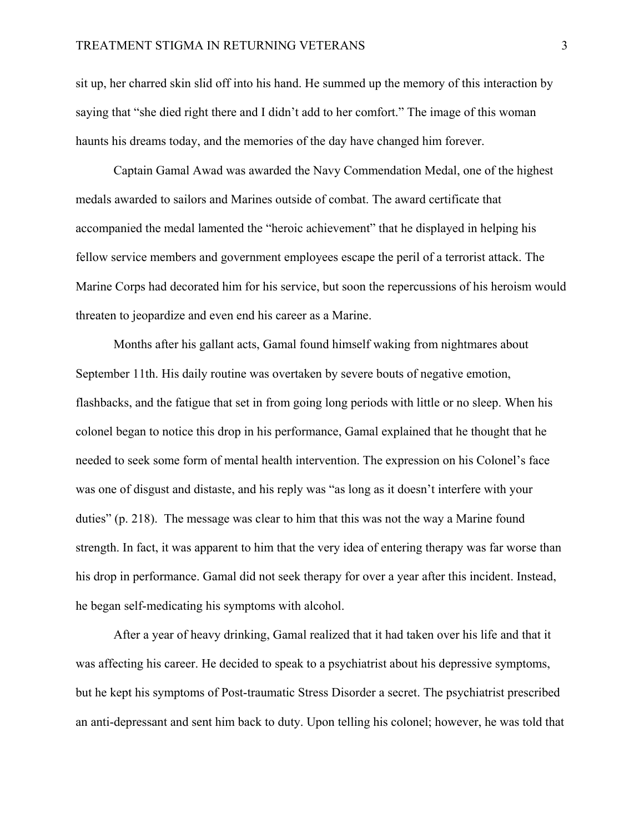sit up, her charred skin slid off into his hand. He summed up the memory of this interaction by saying that "she died right there and I didn't add to her comfort." The image of this woman haunts his dreams today, and the memories of the day have changed him forever.

 Captain Gamal Awad was awarded the Navy Commendation Medal, one of the highest medals awarded to sailors and Marines outside of combat. The award certificate that accompanied the medal lamented the "heroic achievement" that he displayed in helping his fellow service members and government employees escape the peril of a terrorist attack. The Marine Corps had decorated him for his service, but soon the repercussions of his heroism would threaten to jeopardize and even end his career as a Marine.

 Months after his gallant acts, Gamal found himself waking from nightmares about September 11th. His daily routine was overtaken by severe bouts of negative emotion, flashbacks, and the fatigue that set in from going long periods with little or no sleep. When his colonel began to notice this drop in his performance, Gamal explained that he thought that he needed to seek some form of mental health intervention. The expression on his Colonel's face was one of disgust and distaste, and his reply was "as long as it doesn't interfere with your duties" (p. 218). The message was clear to him that this was not the way a Marine found strength. In fact, it was apparent to him that the very idea of entering therapy was far worse than his drop in performance. Gamal did not seek therapy for over a year after this incident. Instead, he began self-medicating his symptoms with alcohol.

 After a year of heavy drinking, Gamal realized that it had taken over his life and that it was affecting his career. He decided to speak to a psychiatrist about his depressive symptoms, but he kept his symptoms of Post-traumatic Stress Disorder a secret. The psychiatrist prescribed an anti-depressant and sent him back to duty. Upon telling his colonel; however, he was told that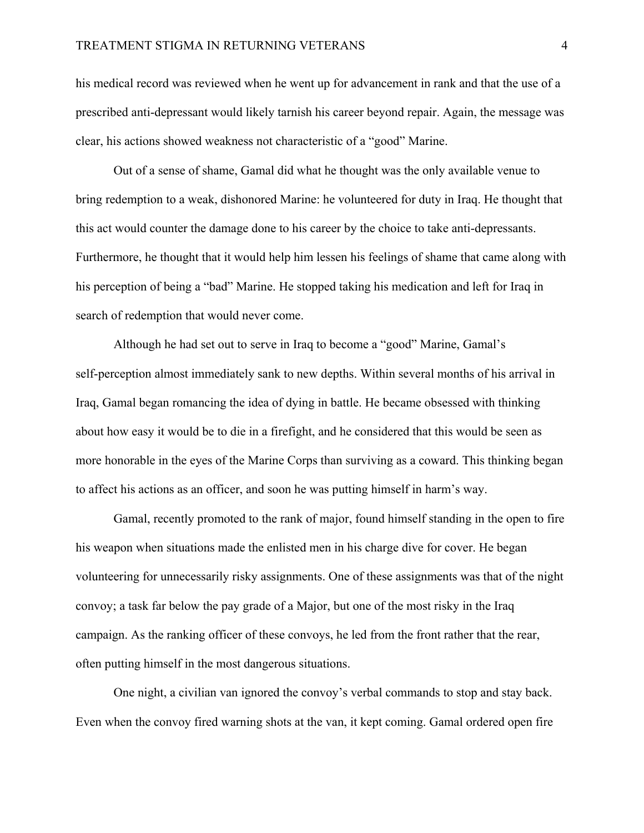### TREATMENT STIGMA IN RETURNING VETERANS 4

his medical record was reviewed when he went up for advancement in rank and that the use of a prescribed anti-depressant would likely tarnish his career beyond repair. Again, the message was clear, his actions showed weakness not characteristic of a "good" Marine.

 Out of a sense of shame, Gamal did what he thought was the only available venue to bring redemption to a weak, dishonored Marine: he volunteered for duty in Iraq. He thought that this act would counter the damage done to his career by the choice to take anti-depressants. Furthermore, he thought that it would help him lessen his feelings of shame that came along with his perception of being a "bad" Marine. He stopped taking his medication and left for Iraq in search of redemption that would never come.

 Although he had set out to serve in Iraq to become a "good" Marine, Gamal's self-perception almost immediately sank to new depths. Within several months of his arrival in Iraq, Gamal began romancing the idea of dying in battle. He became obsessed with thinking about how easy it would be to die in a firefight, and he considered that this would be seen as more honorable in the eyes of the Marine Corps than surviving as a coward. This thinking began to affect his actions as an officer, and soon he was putting himself in harm's way.

 Gamal, recently promoted to the rank of major, found himself standing in the open to fire his weapon when situations made the enlisted men in his charge dive for cover. He began volunteering for unnecessarily risky assignments. One of these assignments was that of the night convoy; a task far below the pay grade of a Major, but one of the most risky in the Iraq campaign. As the ranking officer of these convoys, he led from the front rather that the rear, often putting himself in the most dangerous situations.

 One night, a civilian van ignored the convoy's verbal commands to stop and stay back. Even when the convoy fired warning shots at the van, it kept coming. Gamal ordered open fire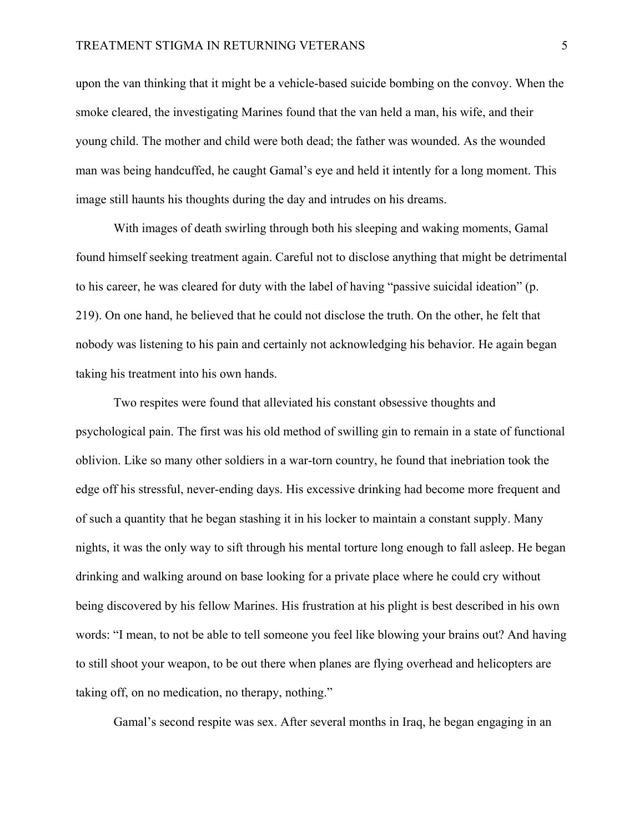upon the van thinking that it might be a vehicle-based suicide bombing on the convoy. When the smoke cleared, the investigating Marines found that the van held a man, his wife, and their young child. The mother and child were both dead; the father was wounded. As the wounded man was being handcuffed, he caught Gamal's eye and held it intently for a long moment. This image still haunts his thoughts during the day and intrudes on his dreams.

 With images of death swirling through both his sleeping and waking moments, Gamal found himself seeking treatment again. Careful not to disclose anything that might be detrimental to his career, he was cleared for duty with the label of having "passive suicidal ideation" (p. 219). On one hand, he believed that he could not disclose the truth. On the other, he felt that nobody was listening to his pain and certainly not acknowledging his behavior. He again began taking his treatment into his own hands.

 Two respites were found that alleviated his constant obsessive thoughts and psychological pain. The first was his old method of swilling gin to remain in a state of functional oblivion. Like so many other soldiers in a war-torn country, he found that inebriation took the edge off his stressful, never-ending days. His excessive drinking had become more frequent and of such a quantity that he began stashing it in his locker to maintain a constant supply. Many nights, it was the only way to sift through his mental torture long enough to fall asleep. He began drinking and walking around on base looking for a private place where he could cry without being discovered by his fellow Marines. His frustration at his plight is best described in his own words: "I mean, to not be able to tell someone you feel like blowing your brains out? And having to still shoot your weapon, to be out there when planes are flying overhead and helicopters are taking off, on no medication, no therapy, nothing."

Gamal's second respite was sex. After several months in Iraq, he began engaging in an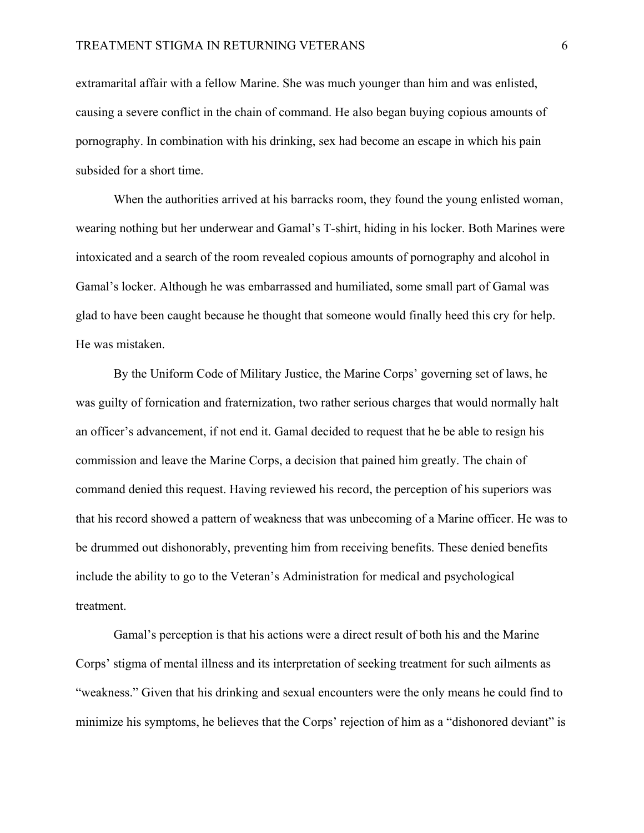extramarital affair with a fellow Marine. She was much younger than him and was enlisted, causing a severe conflict in the chain of command. He also began buying copious amounts of pornography. In combination with his drinking, sex had become an escape in which his pain subsided for a short time.

When the authorities arrived at his barracks room, they found the young enlisted woman, wearing nothing but her underwear and Gamal's T-shirt, hiding in his locker. Both Marines were intoxicated and a search of the room revealed copious amounts of pornography and alcohol in Gamal's locker. Although he was embarrassed and humiliated, some small part of Gamal was glad to have been caught because he thought that someone would finally heed this cry for help. He was mistaken.

 By the Uniform Code of Military Justice, the Marine Corps' governing set of laws, he was guilty of fornication and fraternization, two rather serious charges that would normally halt an officer's advancement, if not end it. Gamal decided to request that he be able to resign his commission and leave the Marine Corps, a decision that pained him greatly. The chain of command denied this request. Having reviewed his record, the perception of his superiors was that his record showed a pattern of weakness that was unbecoming of a Marine officer. He was to be drummed out dishonorably, preventing him from receiving benefits. These denied benefits include the ability to go to the Veteran's Administration for medical and psychological treatment.

 Gamal's perception is that his actions were a direct result of both his and the Marine Corps' stigma of mental illness and its interpretation of seeking treatment for such ailments as "weakness." Given that his drinking and sexual encounters were the only means he could find to minimize his symptoms, he believes that the Corps' rejection of him as a "dishonored deviant" is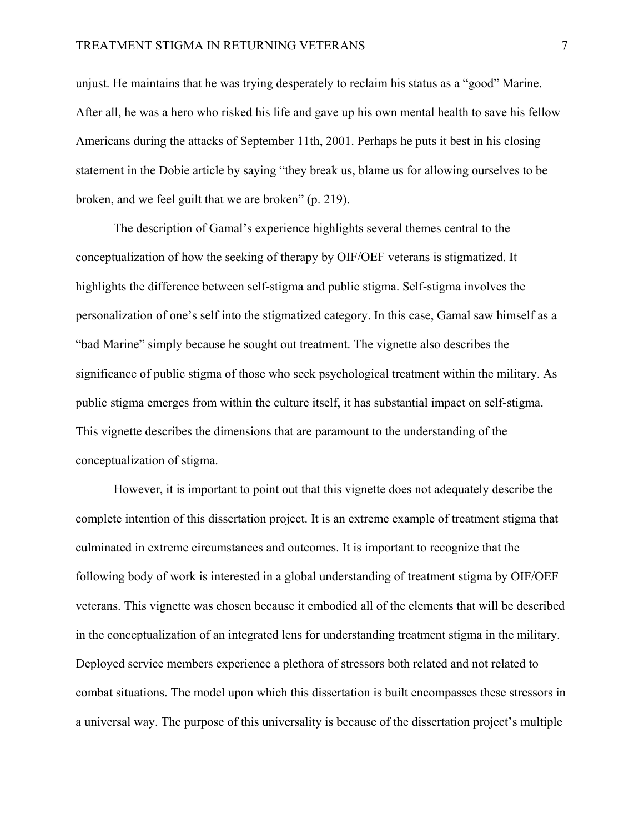unjust. He maintains that he was trying desperately to reclaim his status as a "good" Marine. After all, he was a hero who risked his life and gave up his own mental health to save his fellow Americans during the attacks of September 11th, 2001. Perhaps he puts it best in his closing statement in the Dobie article by saying "they break us, blame us for allowing ourselves to be broken, and we feel guilt that we are broken" (p. 219).

 The description of Gamal's experience highlights several themes central to the conceptualization of how the seeking of therapy by OIF/OEF veterans is stigmatized. It highlights the difference between self-stigma and public stigma. Self-stigma involves the personalization of one's self into the stigmatized category. In this case, Gamal saw himself as a "bad Marine" simply because he sought out treatment. The vignette also describes the significance of public stigma of those who seek psychological treatment within the military. As public stigma emerges from within the culture itself, it has substantial impact on self-stigma. This vignette describes the dimensions that are paramount to the understanding of the conceptualization of stigma.

 However, it is important to point out that this vignette does not adequately describe the complete intention of this dissertation project. It is an extreme example of treatment stigma that culminated in extreme circumstances and outcomes. It is important to recognize that the following body of work is interested in a global understanding of treatment stigma by OIF/OEF veterans. This vignette was chosen because it embodied all of the elements that will be described in the conceptualization of an integrated lens for understanding treatment stigma in the military. Deployed service members experience a plethora of stressors both related and not related to combat situations. The model upon which this dissertation is built encompasses these stressors in a universal way. The purpose of this universality is because of the dissertation project's multiple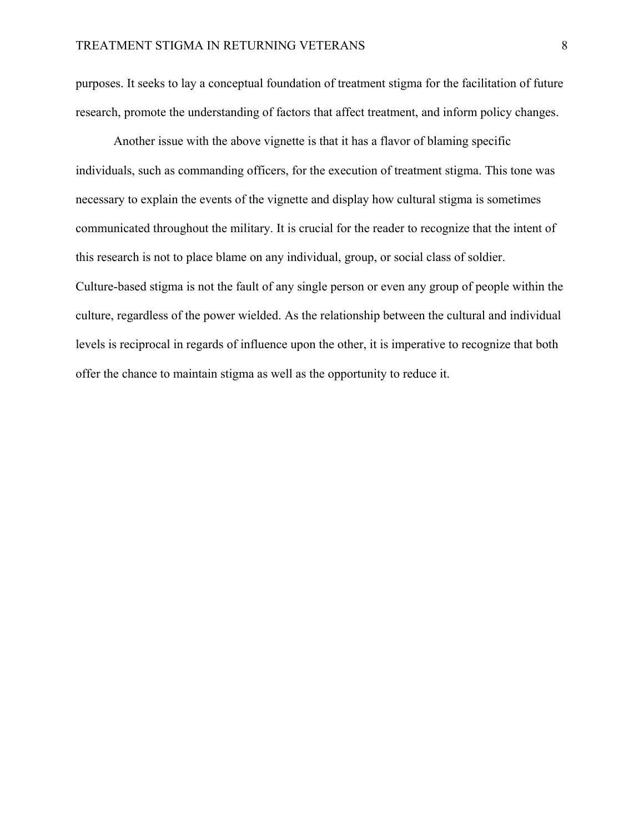purposes. It seeks to lay a conceptual foundation of treatment stigma for the facilitation of future research, promote the understanding of factors that affect treatment, and inform policy changes.

 Another issue with the above vignette is that it has a flavor of blaming specific individuals, such as commanding officers, for the execution of treatment stigma. This tone was necessary to explain the events of the vignette and display how cultural stigma is sometimes communicated throughout the military. It is crucial for the reader to recognize that the intent of this research is not to place blame on any individual, group, or social class of soldier. Culture-based stigma is not the fault of any single person or even any group of people within the culture, regardless of the power wielded. As the relationship between the cultural and individual levels is reciprocal in regards of influence upon the other, it is imperative to recognize that both offer the chance to maintain stigma as well as the opportunity to reduce it.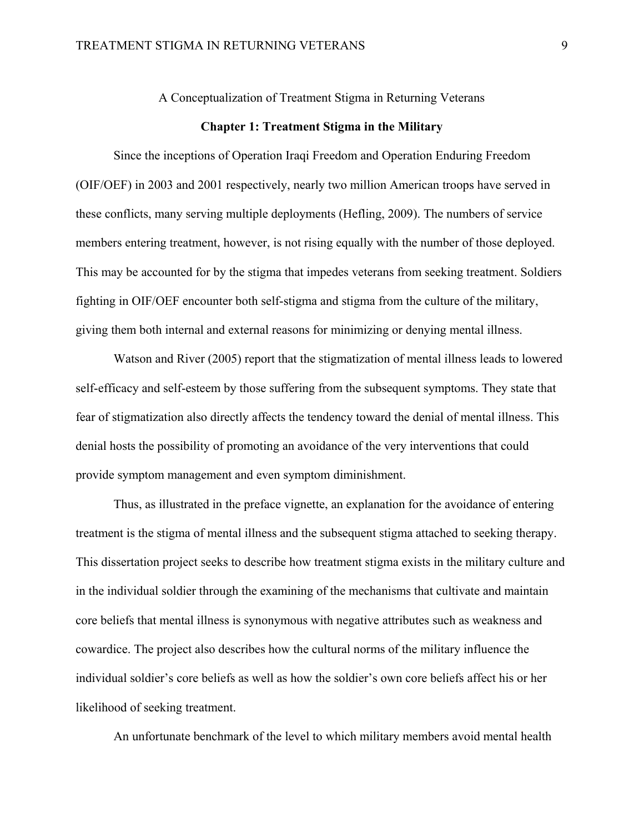A Conceptualization of Treatment Stigma in Returning Veterans

### **Chapter 1: Treatment Stigma in the Military**

Since the inceptions of Operation Iraqi Freedom and Operation Enduring Freedom (OIF/OEF) in 2003 and 2001 respectively, nearly two million American troops have served in these conflicts, many serving multiple deployments (Hefling, 2009). The numbers of service members entering treatment, however, is not rising equally with the number of those deployed. This may be accounted for by the stigma that impedes veterans from seeking treatment. Soldiers fighting in OIF/OEF encounter both self-stigma and stigma from the culture of the military, giving them both internal and external reasons for minimizing or denying mental illness.

Watson and River (2005) report that the stigmatization of mental illness leads to lowered self-efficacy and self-esteem by those suffering from the subsequent symptoms. They state that fear of stigmatization also directly affects the tendency toward the denial of mental illness. This denial hosts the possibility of promoting an avoidance of the very interventions that could provide symptom management and even symptom diminishment.

Thus, as illustrated in the preface vignette, an explanation for the avoidance of entering treatment is the stigma of mental illness and the subsequent stigma attached to seeking therapy. This dissertation project seeks to describe how treatment stigma exists in the military culture and in the individual soldier through the examining of the mechanisms that cultivate and maintain core beliefs that mental illness is synonymous with negative attributes such as weakness and cowardice. The project also describes how the cultural norms of the military influence the individual soldier's core beliefs as well as how the soldier's own core beliefs affect his or her likelihood of seeking treatment.

An unfortunate benchmark of the level to which military members avoid mental health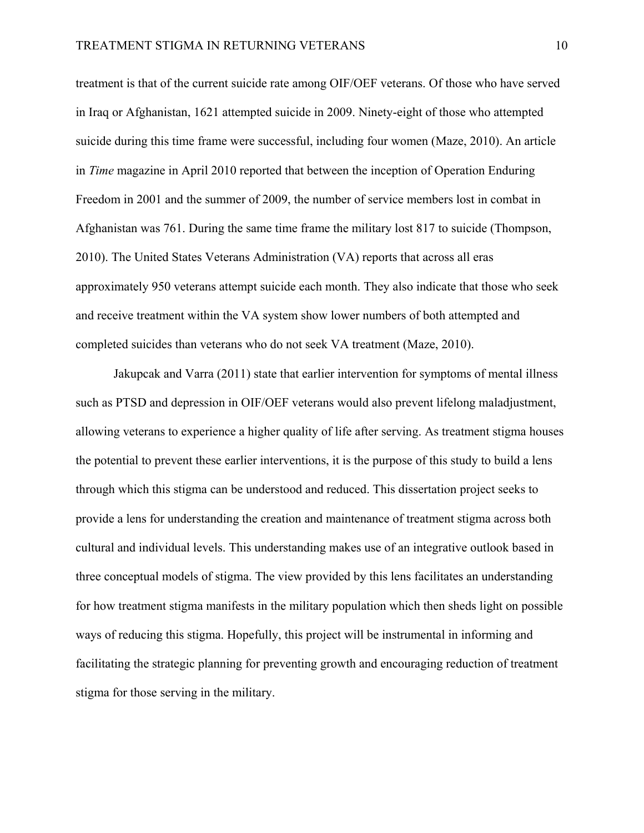treatment is that of the current suicide rate among OIF/OEF veterans. Of those who have served in Iraq or Afghanistan, 1621 attempted suicide in 2009. Ninety-eight of those who attempted suicide during this time frame were successful, including four women (Maze, 2010). An article in *Time* magazine in April 2010 reported that between the inception of Operation Enduring Freedom in 2001 and the summer of 2009, the number of service members lost in combat in Afghanistan was 761. During the same time frame the military lost 817 to suicide (Thompson, 2010). The United States Veterans Administration (VA) reports that across all eras approximately 950 veterans attempt suicide each month. They also indicate that those who seek and receive treatment within the VA system show lower numbers of both attempted and completed suicides than veterans who do not seek VA treatment (Maze, 2010).

Jakupcak and Varra (2011) state that earlier intervention for symptoms of mental illness such as PTSD and depression in OIF/OEF veterans would also prevent lifelong maladjustment, allowing veterans to experience a higher quality of life after serving. As treatment stigma houses the potential to prevent these earlier interventions, it is the purpose of this study to build a lens through which this stigma can be understood and reduced. This dissertation project seeks to provide a lens for understanding the creation and maintenance of treatment stigma across both cultural and individual levels. This understanding makes use of an integrative outlook based in three conceptual models of stigma. The view provided by this lens facilitates an understanding for how treatment stigma manifests in the military population which then sheds light on possible ways of reducing this stigma. Hopefully, this project will be instrumental in informing and facilitating the strategic planning for preventing growth and encouraging reduction of treatment stigma for those serving in the military.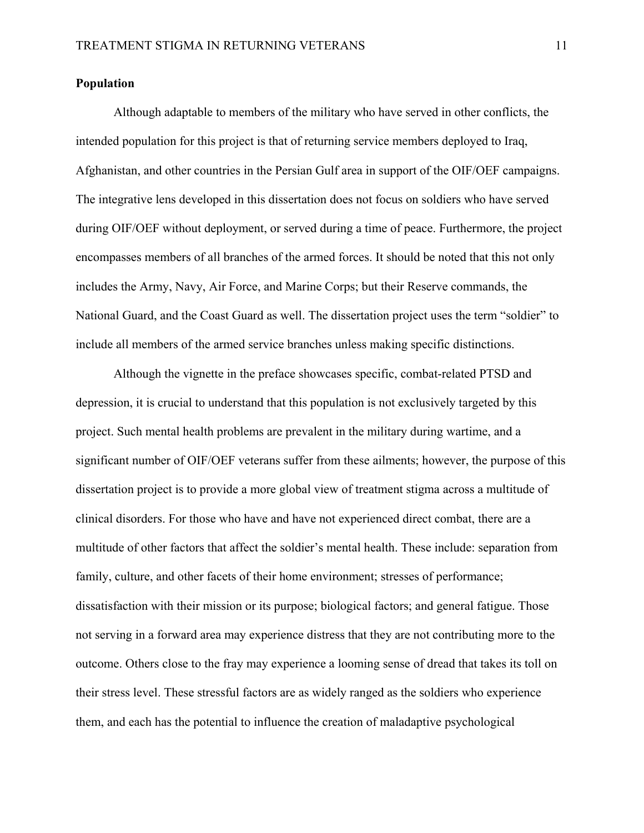### **Population**

Although adaptable to members of the military who have served in other conflicts, the intended population for this project is that of returning service members deployed to Iraq, Afghanistan, and other countries in the Persian Gulf area in support of the OIF/OEF campaigns. The integrative lens developed in this dissertation does not focus on soldiers who have served during OIF/OEF without deployment, or served during a time of peace. Furthermore, the project encompasses members of all branches of the armed forces. It should be noted that this not only includes the Army, Navy, Air Force, and Marine Corps; but their Reserve commands, the National Guard, and the Coast Guard as well. The dissertation project uses the term "soldier" to include all members of the armed service branches unless making specific distinctions.

 Although the vignette in the preface showcases specific, combat-related PTSD and depression, it is crucial to understand that this population is not exclusively targeted by this project. Such mental health problems are prevalent in the military during wartime, and a significant number of OIF/OEF veterans suffer from these ailments; however, the purpose of this dissertation project is to provide a more global view of treatment stigma across a multitude of clinical disorders. For those who have and have not experienced direct combat, there are a multitude of other factors that affect the soldier's mental health. These include: separation from family, culture, and other facets of their home environment; stresses of performance; dissatisfaction with their mission or its purpose; biological factors; and general fatigue. Those not serving in a forward area may experience distress that they are not contributing more to the outcome. Others close to the fray may experience a looming sense of dread that takes its toll on their stress level. These stressful factors are as widely ranged as the soldiers who experience them, and each has the potential to influence the creation of maladaptive psychological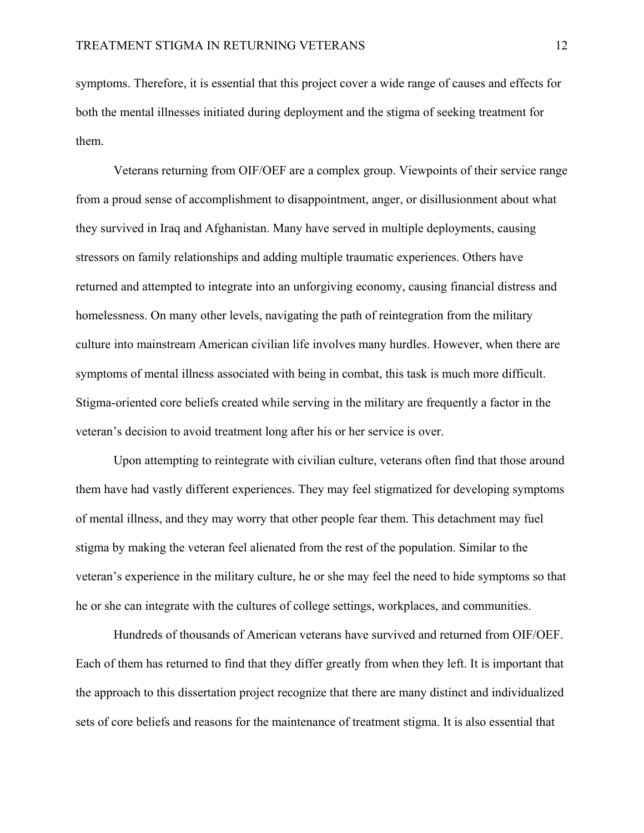symptoms. Therefore, it is essential that this project cover a wide range of causes and effects for both the mental illnesses initiated during deployment and the stigma of seeking treatment for them.

 Veterans returning from OIF/OEF are a complex group. Viewpoints of their service range from a proud sense of accomplishment to disappointment, anger, or disillusionment about what they survived in Iraq and Afghanistan. Many have served in multiple deployments, causing stressors on family relationships and adding multiple traumatic experiences. Others have returned and attempted to integrate into an unforgiving economy, causing financial distress and homelessness. On many other levels, navigating the path of reintegration from the military culture into mainstream American civilian life involves many hurdles. However, when there are symptoms of mental illness associated with being in combat, this task is much more difficult. Stigma-oriented core beliefs created while serving in the military are frequently a factor in the veteran's decision to avoid treatment long after his or her service is over.

Upon attempting to reintegrate with civilian culture, veterans often find that those around them have had vastly different experiences. They may feel stigmatized for developing symptoms of mental illness, and they may worry that other people fear them. This detachment may fuel stigma by making the veteran feel alienated from the rest of the population. Similar to the veteran's experience in the military culture, he or she may feel the need to hide symptoms so that he or she can integrate with the cultures of college settings, workplaces, and communities.

Hundreds of thousands of American veterans have survived and returned from OIF/OEF. Each of them has returned to find that they differ greatly from when they left. It is important that the approach to this dissertation project recognize that there are many distinct and individualized sets of core beliefs and reasons for the maintenance of treatment stigma. It is also essential that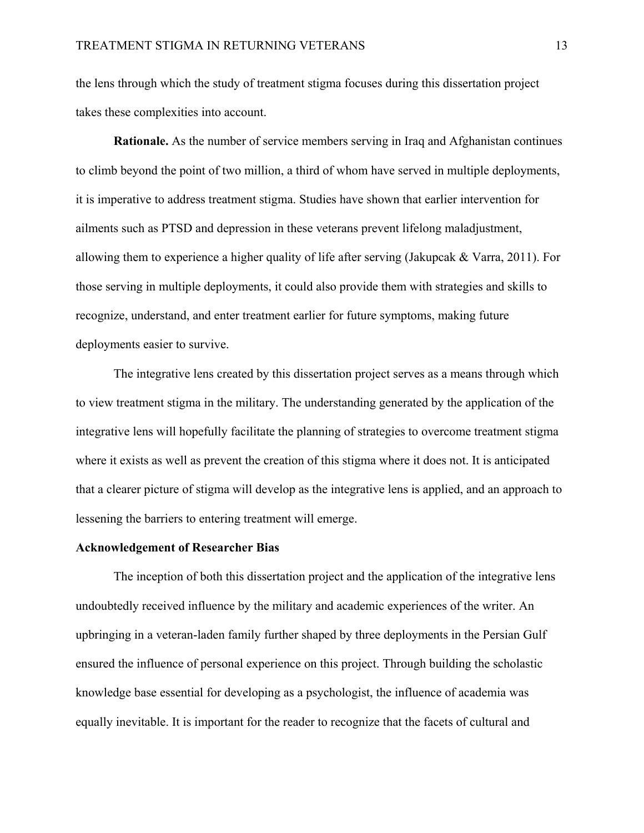the lens through which the study of treatment stigma focuses during this dissertation project takes these complexities into account.

**Rationale.** As the number of service members serving in Iraq and Afghanistan continues to climb beyond the point of two million, a third of whom have served in multiple deployments, it is imperative to address treatment stigma. Studies have shown that earlier intervention for ailments such as PTSD and depression in these veterans prevent lifelong maladjustment, allowing them to experience a higher quality of life after serving (Jakupcak & Varra, 2011). For those serving in multiple deployments, it could also provide them with strategies and skills to recognize, understand, and enter treatment earlier for future symptoms, making future deployments easier to survive.

The integrative lens created by this dissertation project serves as a means through which to view treatment stigma in the military. The understanding generated by the application of the integrative lens will hopefully facilitate the planning of strategies to overcome treatment stigma where it exists as well as prevent the creation of this stigma where it does not. It is anticipated that a clearer picture of stigma will develop as the integrative lens is applied, and an approach to lessening the barriers to entering treatment will emerge.

### **Acknowledgement of Researcher Bias**

 The inception of both this dissertation project and the application of the integrative lens undoubtedly received influence by the military and academic experiences of the writer. An upbringing in a veteran-laden family further shaped by three deployments in the Persian Gulf ensured the influence of personal experience on this project. Through building the scholastic knowledge base essential for developing as a psychologist, the influence of academia was equally inevitable. It is important for the reader to recognize that the facets of cultural and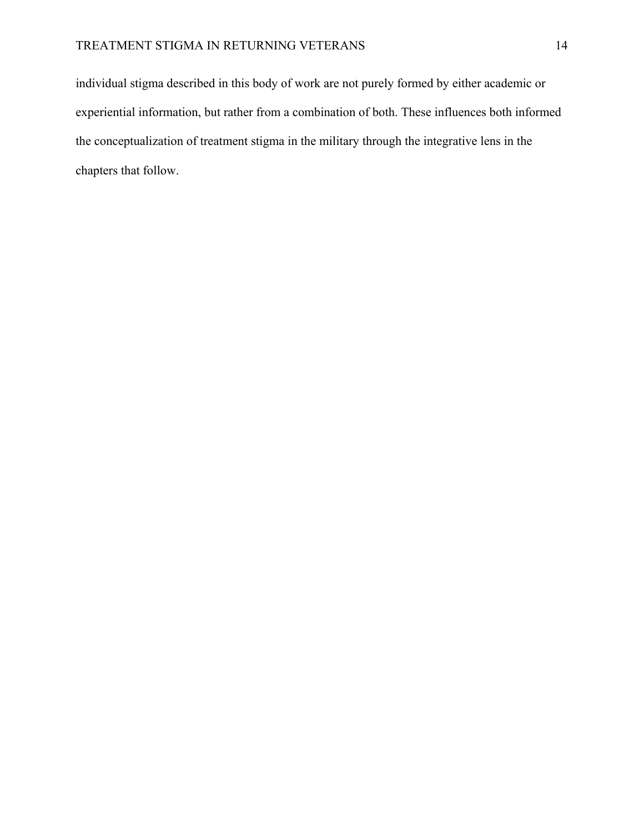individual stigma described in this body of work are not purely formed by either academic or experiential information, but rather from a combination of both. These influences both informed the conceptualization of treatment stigma in the military through the integrative lens in the chapters that follow.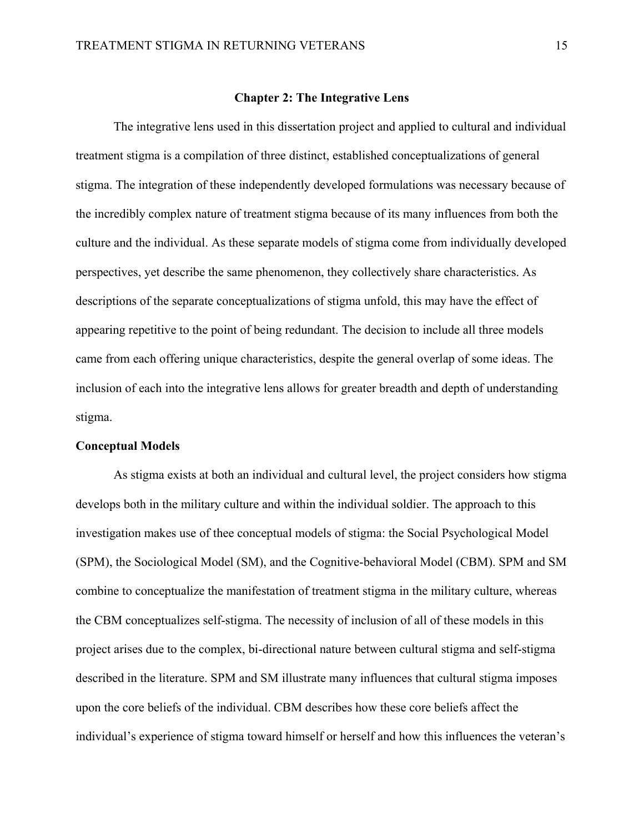### **Chapter 2: The Integrative Lens**

The integrative lens used in this dissertation project and applied to cultural and individual treatment stigma is a compilation of three distinct, established conceptualizations of general stigma. The integration of these independently developed formulations was necessary because of the incredibly complex nature of treatment stigma because of its many influences from both the culture and the individual. As these separate models of stigma come from individually developed perspectives, yet describe the same phenomenon, they collectively share characteristics. As descriptions of the separate conceptualizations of stigma unfold, this may have the effect of appearing repetitive to the point of being redundant. The decision to include all three models came from each offering unique characteristics, despite the general overlap of some ideas. The inclusion of each into the integrative lens allows for greater breadth and depth of understanding stigma.

### **Conceptual Models**

 As stigma exists at both an individual and cultural level, the project considers how stigma develops both in the military culture and within the individual soldier. The approach to this investigation makes use of thee conceptual models of stigma: the Social Psychological Model (SPM), the Sociological Model (SM), and the Cognitive-behavioral Model (CBM). SPM and SM combine to conceptualize the manifestation of treatment stigma in the military culture, whereas the CBM conceptualizes self-stigma. The necessity of inclusion of all of these models in this project arises due to the complex, bi-directional nature between cultural stigma and self-stigma described in the literature. SPM and SM illustrate many influences that cultural stigma imposes upon the core beliefs of the individual. CBM describes how these core beliefs affect the individual's experience of stigma toward himself or herself and how this influences the veteran's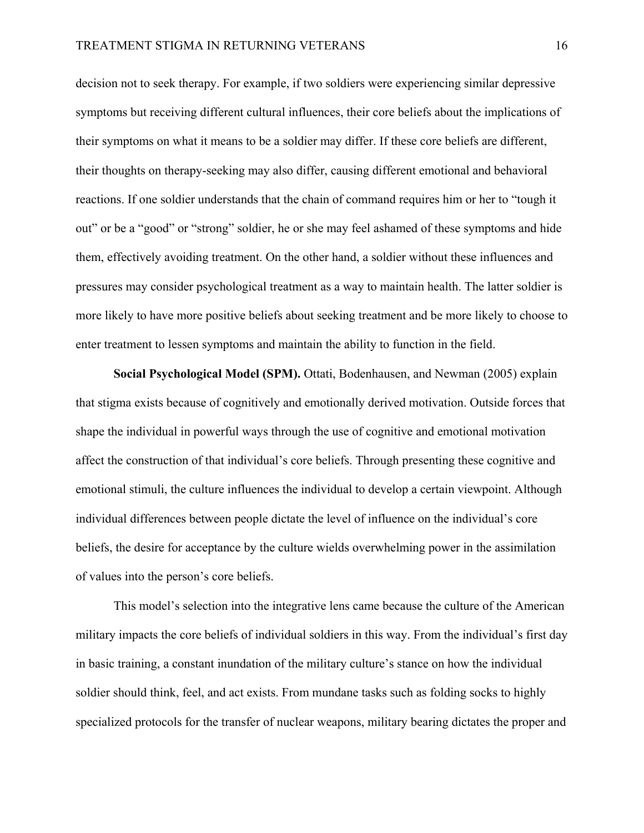decision not to seek therapy. For example, if two soldiers were experiencing similar depressive symptoms but receiving different cultural influences, their core beliefs about the implications of their symptoms on what it means to be a soldier may differ. If these core beliefs are different, their thoughts on therapy-seeking may also differ, causing different emotional and behavioral reactions. If one soldier understands that the chain of command requires him or her to "tough it out" or be a "good" or "strong" soldier, he or she may feel ashamed of these symptoms and hide them, effectively avoiding treatment. On the other hand, a soldier without these influences and pressures may consider psychological treatment as a way to maintain health. The latter soldier is more likely to have more positive beliefs about seeking treatment and be more likely to choose to enter treatment to lessen symptoms and maintain the ability to function in the field.

**Social Psychological Model (SPM).** Ottati, Bodenhausen, and Newman (2005) explain that stigma exists because of cognitively and emotionally derived motivation. Outside forces that shape the individual in powerful ways through the use of cognitive and emotional motivation affect the construction of that individual's core beliefs. Through presenting these cognitive and emotional stimuli, the culture influences the individual to develop a certain viewpoint. Although individual differences between people dictate the level of influence on the individual's core beliefs, the desire for acceptance by the culture wields overwhelming power in the assimilation of values into the person's core beliefs.

This model's selection into the integrative lens came because the culture of the American military impacts the core beliefs of individual soldiers in this way. From the individual's first day in basic training, a constant inundation of the military culture's stance on how the individual soldier should think, feel, and act exists. From mundane tasks such as folding socks to highly specialized protocols for the transfer of nuclear weapons, military bearing dictates the proper and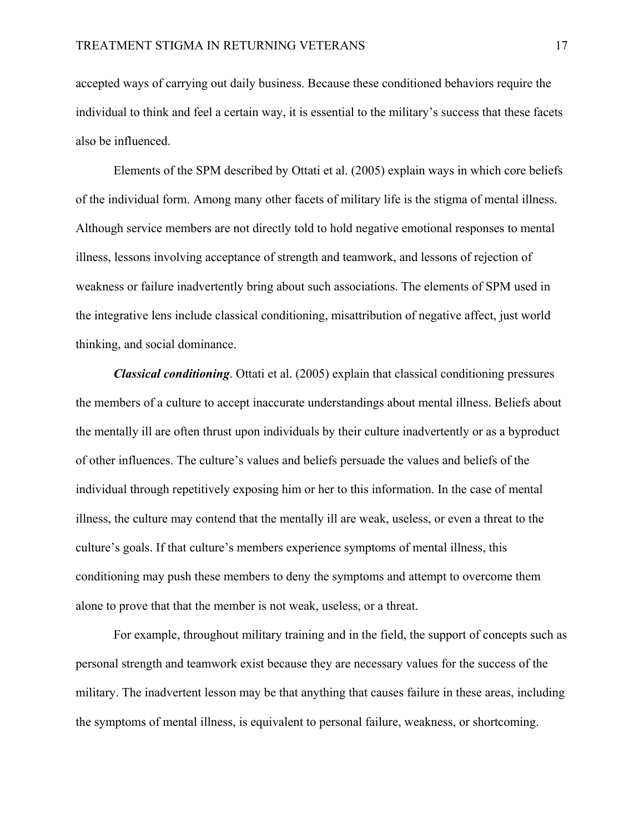accepted ways of carrying out daily business. Because these conditioned behaviors require the individual to think and feel a certain way, it is essential to the military's success that these facets also be influenced.

Elements of the SPM described by Ottati et al. (2005) explain ways in which core beliefs of the individual form. Among many other facets of military life is the stigma of mental illness. Although service members are not directly told to hold negative emotional responses to mental illness, lessons involving acceptance of strength and teamwork, and lessons of rejection of weakness or failure inadvertently bring about such associations. The elements of SPM used in the integrative lens include classical conditioning, misattribution of negative affect, just world thinking, and social dominance.

*Classical conditioning*. Ottati et al. (2005) explain that classical conditioning pressures the members of a culture to accept inaccurate understandings about mental illness. Beliefs about the mentally ill are often thrust upon individuals by their culture inadvertently or as a byproduct of other influences. The culture's values and beliefs persuade the values and beliefs of the individual through repetitively exposing him or her to this information. In the case of mental illness, the culture may contend that the mentally ill are weak, useless, or even a threat to the culture's goals. If that culture's members experience symptoms of mental illness, this conditioning may push these members to deny the symptoms and attempt to overcome them alone to prove that that the member is not weak, useless, or a threat.

For example, throughout military training and in the field, the support of concepts such as personal strength and teamwork exist because they are necessary values for the success of the military. The inadvertent lesson may be that anything that causes failure in these areas, including the symptoms of mental illness, is equivalent to personal failure, weakness, or shortcoming.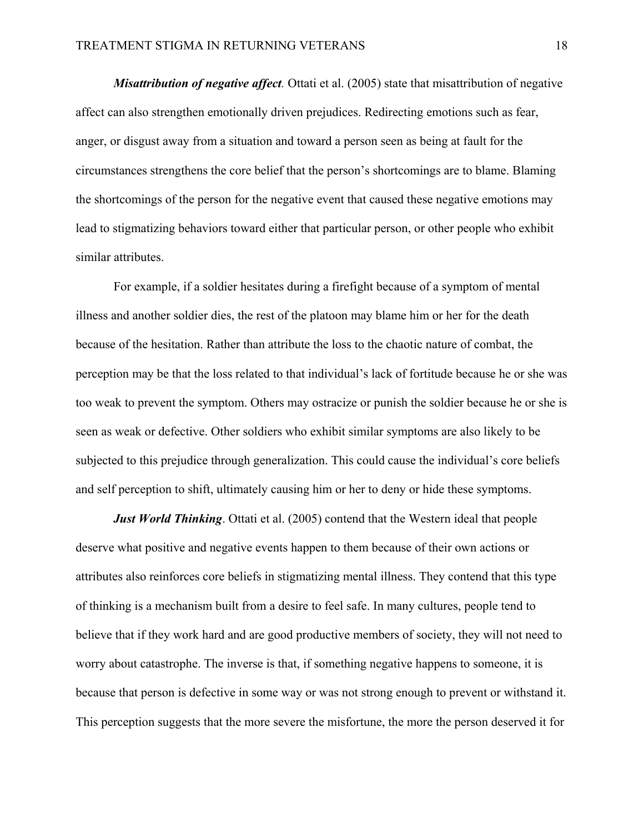*Misattribution of negative affect.* Ottati et al. (2005) state that misattribution of negative affect can also strengthen emotionally driven prejudices. Redirecting emotions such as fear, anger, or disgust away from a situation and toward a person seen as being at fault for the circumstances strengthens the core belief that the person's shortcomings are to blame. Blaming the shortcomings of the person for the negative event that caused these negative emotions may lead to stigmatizing behaviors toward either that particular person, or other people who exhibit similar attributes.

For example, if a soldier hesitates during a firefight because of a symptom of mental illness and another soldier dies, the rest of the platoon may blame him or her for the death because of the hesitation. Rather than attribute the loss to the chaotic nature of combat, the perception may be that the loss related to that individual's lack of fortitude because he or she was too weak to prevent the symptom. Others may ostracize or punish the soldier because he or she is seen as weak or defective. Other soldiers who exhibit similar symptoms are also likely to be subjected to this prejudice through generalization. This could cause the individual's core beliefs and self perception to shift, ultimately causing him or her to deny or hide these symptoms.

*Just World Thinking.* Ottati et al. (2005) contend that the Western ideal that people deserve what positive and negative events happen to them because of their own actions or attributes also reinforces core beliefs in stigmatizing mental illness. They contend that this type of thinking is a mechanism built from a desire to feel safe. In many cultures, people tend to believe that if they work hard and are good productive members of society, they will not need to worry about catastrophe. The inverse is that, if something negative happens to someone, it is because that person is defective in some way or was not strong enough to prevent or withstand it. This perception suggests that the more severe the misfortune, the more the person deserved it for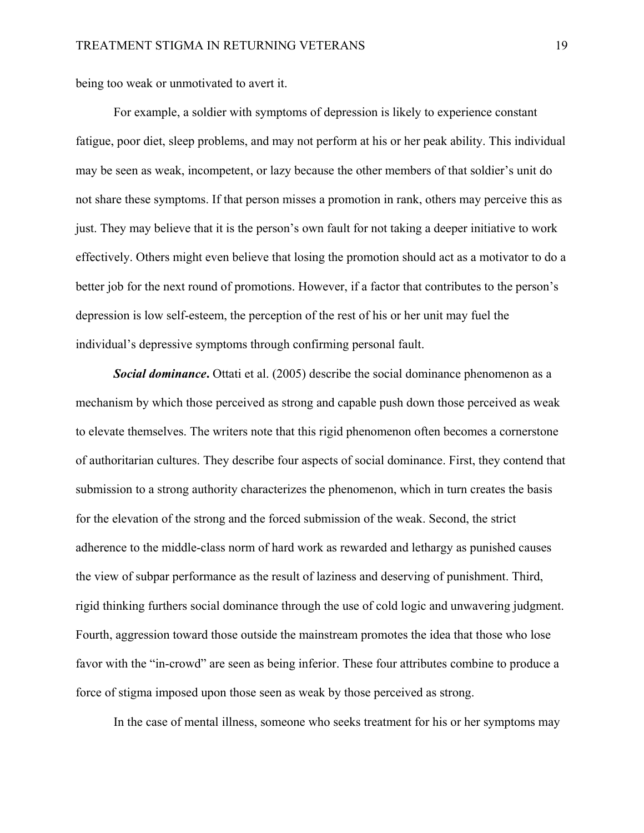being too weak or unmotivated to avert it.

For example, a soldier with symptoms of depression is likely to experience constant fatigue, poor diet, sleep problems, and may not perform at his or her peak ability. This individual may be seen as weak, incompetent, or lazy because the other members of that soldier's unit do not share these symptoms. If that person misses a promotion in rank, others may perceive this as just. They may believe that it is the person's own fault for not taking a deeper initiative to work effectively. Others might even believe that losing the promotion should act as a motivator to do a better job for the next round of promotions. However, if a factor that contributes to the person's depression is low self-esteem, the perception of the rest of his or her unit may fuel the individual's depressive symptoms through confirming personal fault.

*Social dominance***.** Ottati et al. (2005) describe the social dominance phenomenon as a mechanism by which those perceived as strong and capable push down those perceived as weak to elevate themselves. The writers note that this rigid phenomenon often becomes a cornerstone of authoritarian cultures. They describe four aspects of social dominance. First, they contend that submission to a strong authority characterizes the phenomenon, which in turn creates the basis for the elevation of the strong and the forced submission of the weak. Second, the strict adherence to the middle-class norm of hard work as rewarded and lethargy as punished causes the view of subpar performance as the result of laziness and deserving of punishment. Third, rigid thinking furthers social dominance through the use of cold logic and unwavering judgment. Fourth, aggression toward those outside the mainstream promotes the idea that those who lose favor with the "in-crowd" are seen as being inferior. These four attributes combine to produce a force of stigma imposed upon those seen as weak by those perceived as strong.

In the case of mental illness, someone who seeks treatment for his or her symptoms may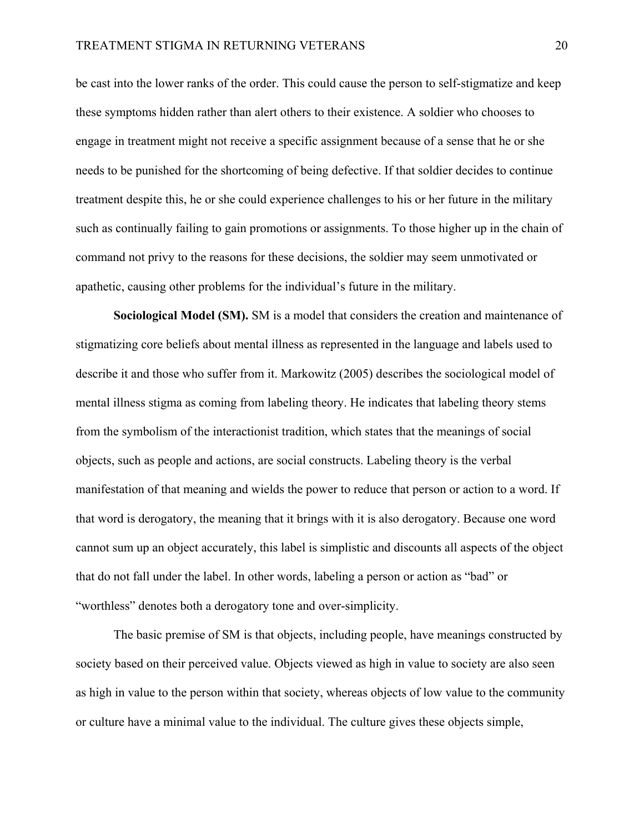be cast into the lower ranks of the order. This could cause the person to self-stigmatize and keep these symptoms hidden rather than alert others to their existence. A soldier who chooses to engage in treatment might not receive a specific assignment because of a sense that he or she needs to be punished for the shortcoming of being defective. If that soldier decides to continue treatment despite this, he or she could experience challenges to his or her future in the military such as continually failing to gain promotions or assignments. To those higher up in the chain of command not privy to the reasons for these decisions, the soldier may seem unmotivated or apathetic, causing other problems for the individual's future in the military.

**Sociological Model (SM).** SM is a model that considers the creation and maintenance of stigmatizing core beliefs about mental illness as represented in the language and labels used to describe it and those who suffer from it. Markowitz (2005) describes the sociological model of mental illness stigma as coming from labeling theory. He indicates that labeling theory stems from the symbolism of the interactionist tradition, which states that the meanings of social objects, such as people and actions, are social constructs. Labeling theory is the verbal manifestation of that meaning and wields the power to reduce that person or action to a word. If that word is derogatory, the meaning that it brings with it is also derogatory. Because one word cannot sum up an object accurately, this label is simplistic and discounts all aspects of the object that do not fall under the label. In other words, labeling a person or action as "bad" or "worthless" denotes both a derogatory tone and over-simplicity.

The basic premise of SM is that objects, including people, have meanings constructed by society based on their perceived value. Objects viewed as high in value to society are also seen as high in value to the person within that society, whereas objects of low value to the community or culture have a minimal value to the individual. The culture gives these objects simple,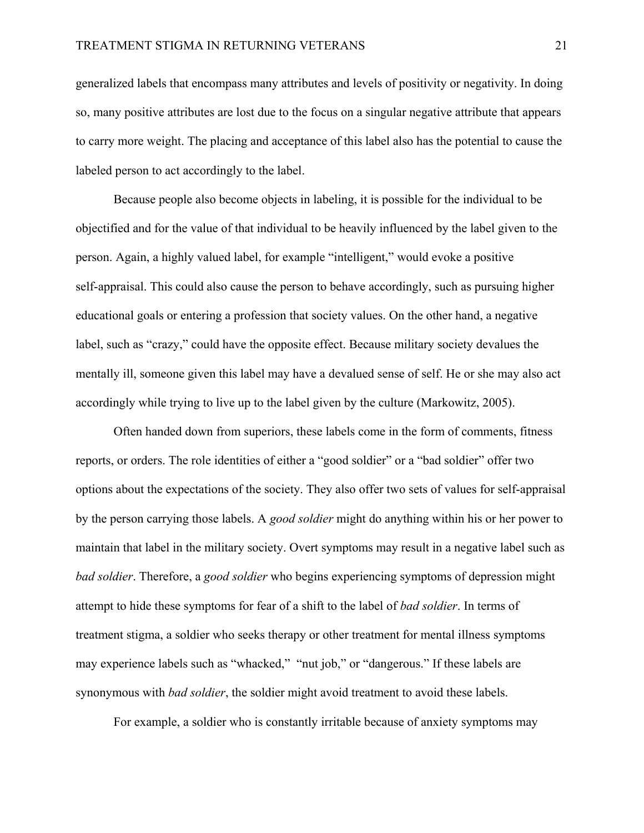generalized labels that encompass many attributes and levels of positivity or negativity. In doing so, many positive attributes are lost due to the focus on a singular negative attribute that appears to carry more weight. The placing and acceptance of this label also has the potential to cause the labeled person to act accordingly to the label.

Because people also become objects in labeling, it is possible for the individual to be objectified and for the value of that individual to be heavily influenced by the label given to the person. Again, a highly valued label, for example "intelligent," would evoke a positive self-appraisal. This could also cause the person to behave accordingly, such as pursuing higher educational goals or entering a profession that society values. On the other hand, a negative label, such as "crazy," could have the opposite effect. Because military society devalues the mentally ill, someone given this label may have a devalued sense of self. He or she may also act accordingly while trying to live up to the label given by the culture (Markowitz, 2005).

 Often handed down from superiors, these labels come in the form of comments, fitness reports, or orders. The role identities of either a "good soldier" or a "bad soldier" offer two options about the expectations of the society. They also offer two sets of values for self-appraisal by the person carrying those labels. A *good soldier* might do anything within his or her power to maintain that label in the military society. Overt symptoms may result in a negative label such as *bad soldier*. Therefore, a *good soldier* who begins experiencing symptoms of depression might attempt to hide these symptoms for fear of a shift to the label of *bad soldier*. In terms of treatment stigma, a soldier who seeks therapy or other treatment for mental illness symptoms may experience labels such as "whacked," "nut job," or "dangerous." If these labels are synonymous with *bad soldier*, the soldier might avoid treatment to avoid these labels.

For example, a soldier who is constantly irritable because of anxiety symptoms may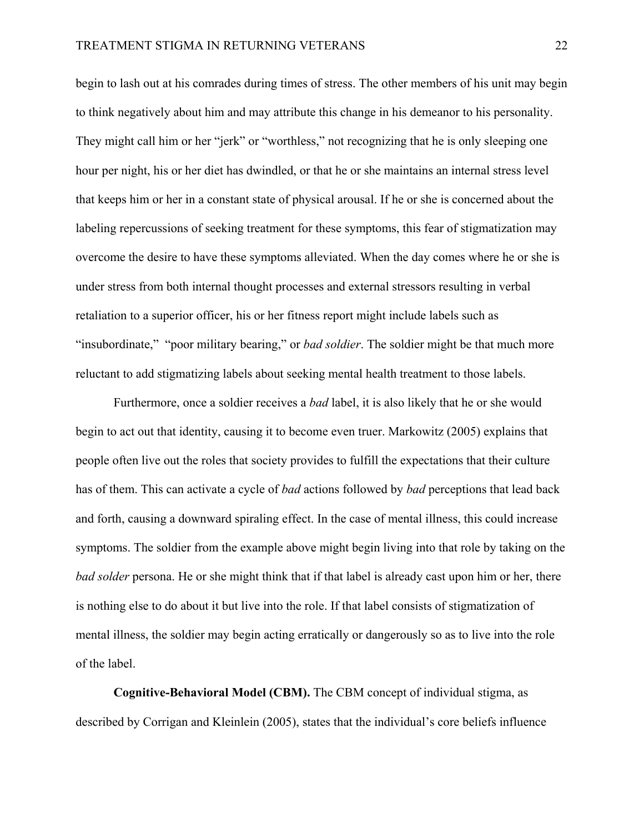begin to lash out at his comrades during times of stress. The other members of his unit may begin to think negatively about him and may attribute this change in his demeanor to his personality. They might call him or her "jerk" or "worthless," not recognizing that he is only sleeping one hour per night, his or her diet has dwindled, or that he or she maintains an internal stress level that keeps him or her in a constant state of physical arousal. If he or she is concerned about the labeling repercussions of seeking treatment for these symptoms, this fear of stigmatization may overcome the desire to have these symptoms alleviated. When the day comes where he or she is under stress from both internal thought processes and external stressors resulting in verbal retaliation to a superior officer, his or her fitness report might include labels such as "insubordinate," "poor military bearing," or *bad soldier*. The soldier might be that much more reluctant to add stigmatizing labels about seeking mental health treatment to those labels.

 Furthermore, once a soldier receives a *bad* label, it is also likely that he or she would begin to act out that identity, causing it to become even truer. Markowitz (2005) explains that people often live out the roles that society provides to fulfill the expectations that their culture has of them. This can activate a cycle of *bad* actions followed by *bad* perceptions that lead back and forth, causing a downward spiraling effect. In the case of mental illness, this could increase symptoms. The soldier from the example above might begin living into that role by taking on the *bad solder* persona. He or she might think that if that label is already cast upon him or her, there is nothing else to do about it but live into the role. If that label consists of stigmatization of mental illness, the soldier may begin acting erratically or dangerously so as to live into the role of the label.

**Cognitive-Behavioral Model (CBM).** The CBM concept of individual stigma, as described by Corrigan and Kleinlein (2005), states that the individual's core beliefs influence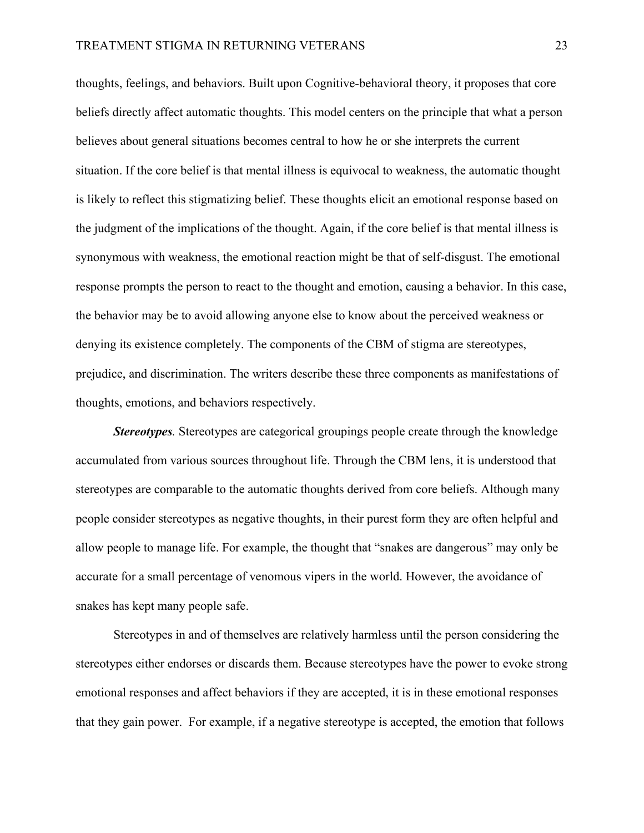thoughts, feelings, and behaviors. Built upon Cognitive-behavioral theory, it proposes that core beliefs directly affect automatic thoughts. This model centers on the principle that what a person believes about general situations becomes central to how he or she interprets the current situation. If the core belief is that mental illness is equivocal to weakness, the automatic thought is likely to reflect this stigmatizing belief. These thoughts elicit an emotional response based on the judgment of the implications of the thought. Again, if the core belief is that mental illness is synonymous with weakness, the emotional reaction might be that of self-disgust. The emotional response prompts the person to react to the thought and emotion, causing a behavior. In this case, the behavior may be to avoid allowing anyone else to know about the perceived weakness or denying its existence completely. The components of the CBM of stigma are stereotypes, prejudice, and discrimination. The writers describe these three components as manifestations of thoughts, emotions, and behaviors respectively.

*Stereotypes.* Stereotypes are categorical groupings people create through the knowledge accumulated from various sources throughout life. Through the CBM lens, it is understood that stereotypes are comparable to the automatic thoughts derived from core beliefs. Although many people consider stereotypes as negative thoughts, in their purest form they are often helpful and allow people to manage life. For example, the thought that "snakes are dangerous" may only be accurate for a small percentage of venomous vipers in the world. However, the avoidance of snakes has kept many people safe.

Stereotypes in and of themselves are relatively harmless until the person considering the stereotypes either endorses or discards them. Because stereotypes have the power to evoke strong emotional responses and affect behaviors if they are accepted, it is in these emotional responses that they gain power. For example, if a negative stereotype is accepted, the emotion that follows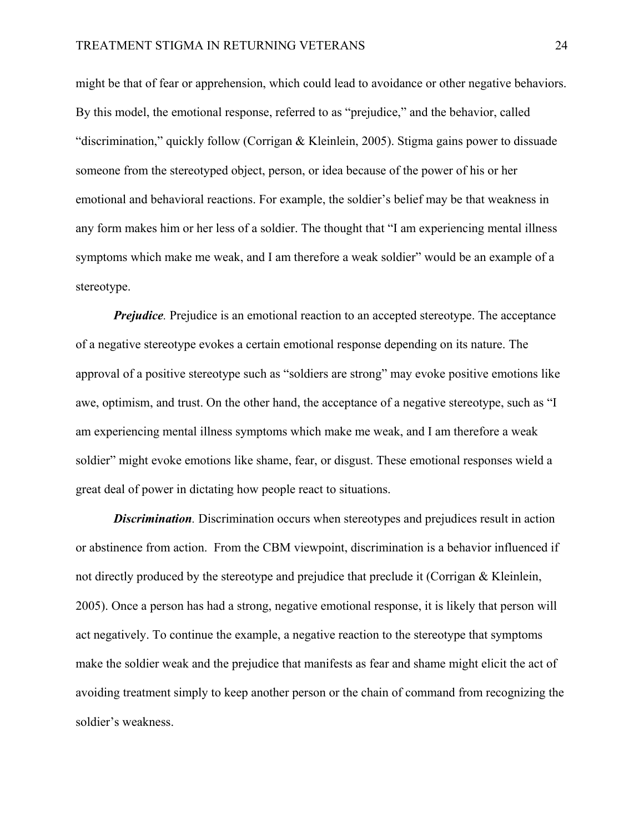might be that of fear or apprehension, which could lead to avoidance or other negative behaviors. By this model, the emotional response, referred to as "prejudice," and the behavior, called "discrimination," quickly follow (Corrigan & Kleinlein, 2005). Stigma gains power to dissuade someone from the stereotyped object, person, or idea because of the power of his or her emotional and behavioral reactions. For example, the soldier's belief may be that weakness in any form makes him or her less of a soldier. The thought that "I am experiencing mental illness symptoms which make me weak, and I am therefore a weak soldier" would be an example of a stereotype.

*Prejudice*. Prejudice is an emotional reaction to an accepted stereotype. The acceptance of a negative stereotype evokes a certain emotional response depending on its nature. The approval of a positive stereotype such as "soldiers are strong" may evoke positive emotions like awe, optimism, and trust. On the other hand, the acceptance of a negative stereotype, such as "I am experiencing mental illness symptoms which make me weak, and I am therefore a weak soldier" might evoke emotions like shame, fear, or disgust. These emotional responses wield a great deal of power in dictating how people react to situations.

*Discrimination.* Discrimination occurs when stereotypes and prejudices result in action or abstinence from action. From the CBM viewpoint, discrimination is a behavior influenced if not directly produced by the stereotype and prejudice that preclude it (Corrigan & Kleinlein, 2005). Once a person has had a strong, negative emotional response, it is likely that person will act negatively. To continue the example, a negative reaction to the stereotype that symptoms make the soldier weak and the prejudice that manifests as fear and shame might elicit the act of avoiding treatment simply to keep another person or the chain of command from recognizing the soldier's weakness.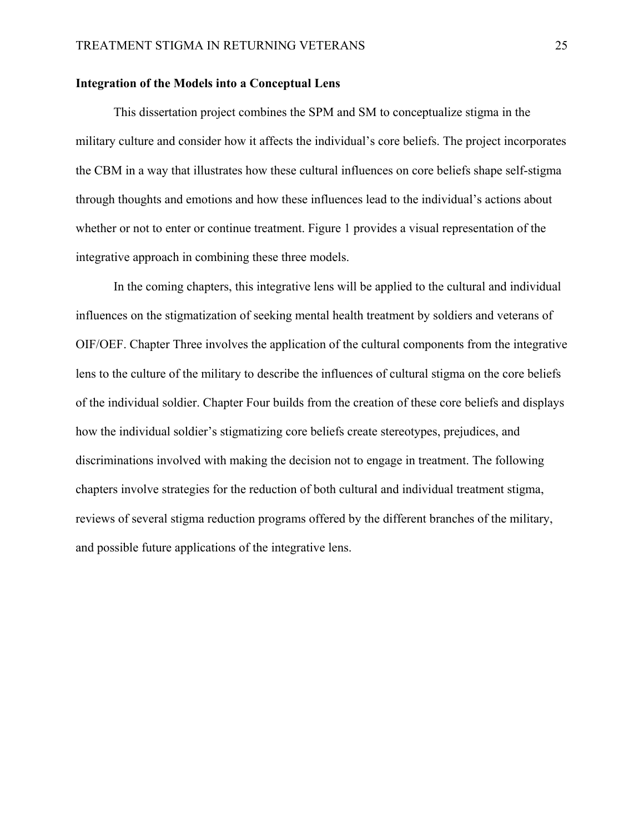### **Integration of the Models into a Conceptual Lens**

This dissertation project combines the SPM and SM to conceptualize stigma in the military culture and consider how it affects the individual's core beliefs. The project incorporates the CBM in a way that illustrates how these cultural influences on core beliefs shape self-stigma through thoughts and emotions and how these influences lead to the individual's actions about whether or not to enter or continue treatment. Figure 1 provides a visual representation of the integrative approach in combining these three models.

 In the coming chapters, this integrative lens will be applied to the cultural and individual influences on the stigmatization of seeking mental health treatment by soldiers and veterans of OIF/OEF. Chapter Three involves the application of the cultural components from the integrative lens to the culture of the military to describe the influences of cultural stigma on the core beliefs of the individual soldier. Chapter Four builds from the creation of these core beliefs and displays how the individual soldier's stigmatizing core beliefs create stereotypes, prejudices, and discriminations involved with making the decision not to engage in treatment. The following chapters involve strategies for the reduction of both cultural and individual treatment stigma, reviews of several stigma reduction programs offered by the different branches of the military, and possible future applications of the integrative lens.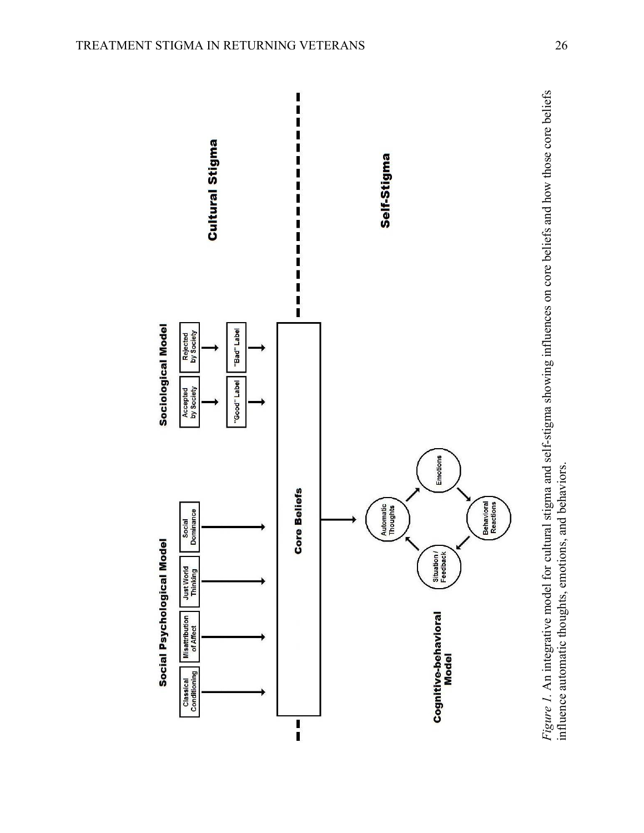

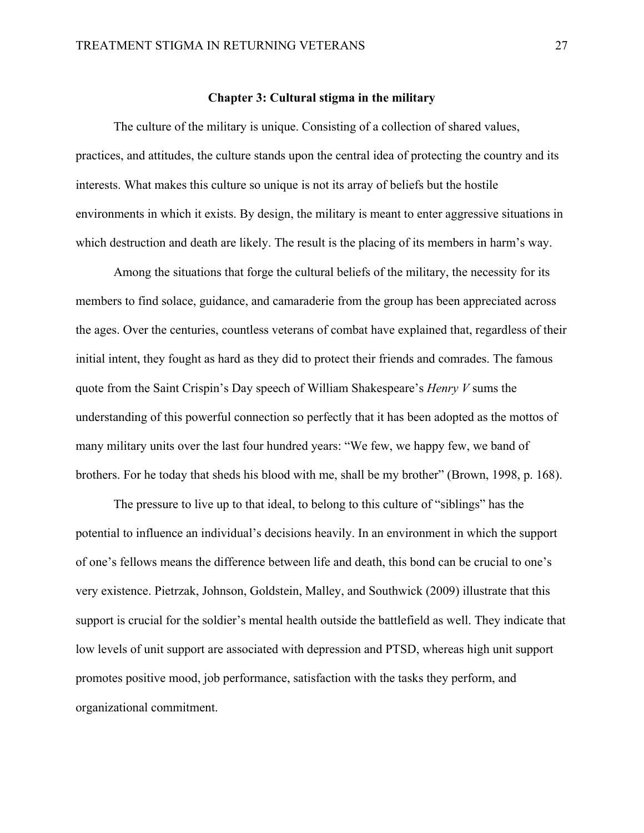### **Chapter 3: Cultural stigma in the military**

The culture of the military is unique. Consisting of a collection of shared values, practices, and attitudes, the culture stands upon the central idea of protecting the country and its interests. What makes this culture so unique is not its array of beliefs but the hostile environments in which it exists. By design, the military is meant to enter aggressive situations in which destruction and death are likely. The result is the placing of its members in harm's way.

Among the situations that forge the cultural beliefs of the military, the necessity for its members to find solace, guidance, and camaraderie from the group has been appreciated across the ages. Over the centuries, countless veterans of combat have explained that, regardless of their initial intent, they fought as hard as they did to protect their friends and comrades. The famous quote from the Saint Crispin's Day speech of William Shakespeare's *Henry V* sums the understanding of this powerful connection so perfectly that it has been adopted as the mottos of many military units over the last four hundred years: "We few, we happy few, we band of brothers. For he today that sheds his blood with me, shall be my brother" (Brown, 1998, p. 168).

The pressure to live up to that ideal, to belong to this culture of "siblings" has the potential to influence an individual's decisions heavily. In an environment in which the support of one's fellows means the difference between life and death, this bond can be crucial to one's very existence. Pietrzak, Johnson, Goldstein, Malley, and Southwick (2009) illustrate that this support is crucial for the soldier's mental health outside the battlefield as well. They indicate that low levels of unit support are associated with depression and PTSD, whereas high unit support promotes positive mood, job performance, satisfaction with the tasks they perform, and organizational commitment.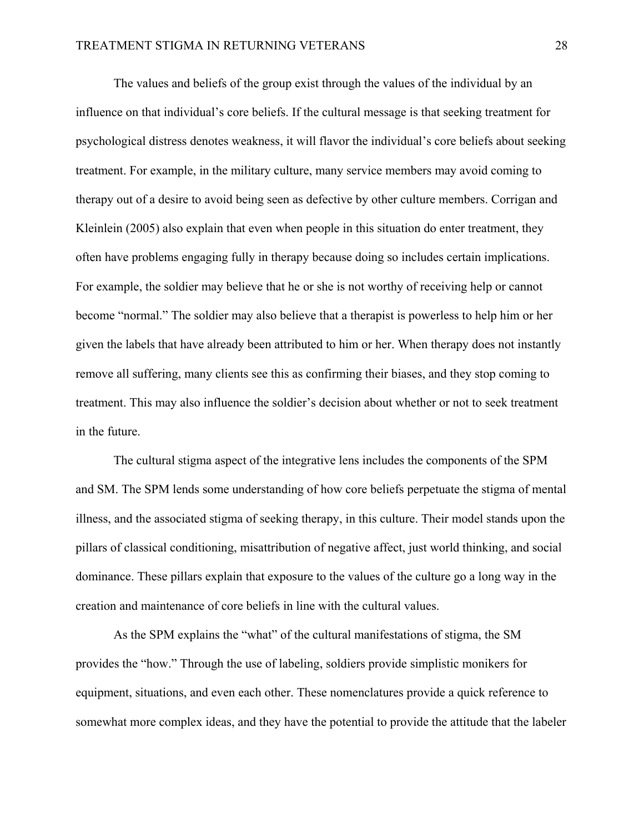The values and beliefs of the group exist through the values of the individual by an influence on that individual's core beliefs. If the cultural message is that seeking treatment for psychological distress denotes weakness, it will flavor the individual's core beliefs about seeking treatment. For example, in the military culture, many service members may avoid coming to therapy out of a desire to avoid being seen as defective by other culture members. Corrigan and Kleinlein (2005) also explain that even when people in this situation do enter treatment, they often have problems engaging fully in therapy because doing so includes certain implications. For example, the soldier may believe that he or she is not worthy of receiving help or cannot become "normal." The soldier may also believe that a therapist is powerless to help him or her given the labels that have already been attributed to him or her. When therapy does not instantly remove all suffering, many clients see this as confirming their biases, and they stop coming to treatment. This may also influence the soldier's decision about whether or not to seek treatment in the future.

The cultural stigma aspect of the integrative lens includes the components of the SPM and SM. The SPM lends some understanding of how core beliefs perpetuate the stigma of mental illness, and the associated stigma of seeking therapy, in this culture. Their model stands upon the pillars of classical conditioning, misattribution of negative affect, just world thinking, and social dominance. These pillars explain that exposure to the values of the culture go a long way in the creation and maintenance of core beliefs in line with the cultural values.

As the SPM explains the "what" of the cultural manifestations of stigma, the SM provides the "how." Through the use of labeling, soldiers provide simplistic monikers for equipment, situations, and even each other. These nomenclatures provide a quick reference to somewhat more complex ideas, and they have the potential to provide the attitude that the labeler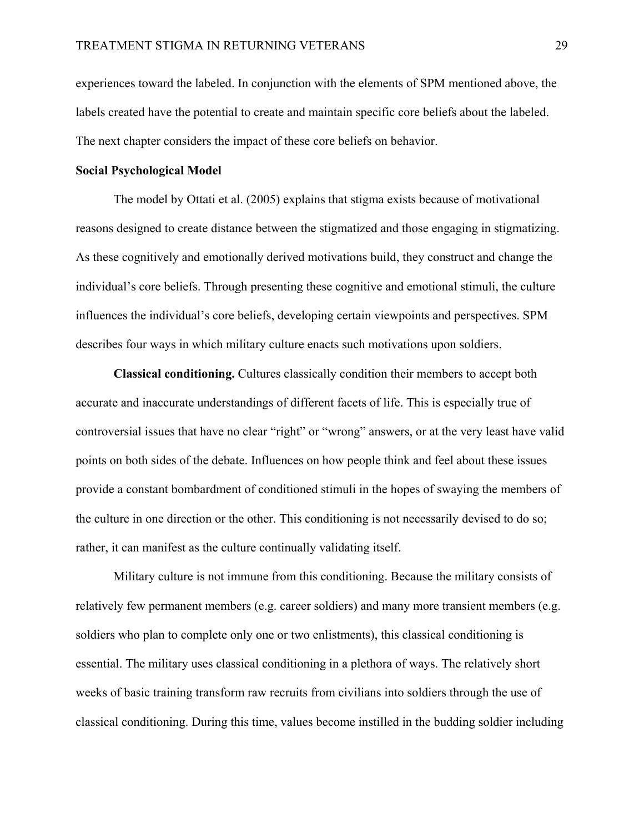experiences toward the labeled. In conjunction with the elements of SPM mentioned above, the labels created have the potential to create and maintain specific core beliefs about the labeled. The next chapter considers the impact of these core beliefs on behavior.

## **Social Psychological Model**

The model by Ottati et al. (2005) explains that stigma exists because of motivational reasons designed to create distance between the stigmatized and those engaging in stigmatizing. As these cognitively and emotionally derived motivations build, they construct and change the individual's core beliefs. Through presenting these cognitive and emotional stimuli, the culture influences the individual's core beliefs, developing certain viewpoints and perspectives. SPM describes four ways in which military culture enacts such motivations upon soldiers.

**Classical conditioning.** Cultures classically condition their members to accept both accurate and inaccurate understandings of different facets of life. This is especially true of controversial issues that have no clear "right" or "wrong" answers, or at the very least have valid points on both sides of the debate. Influences on how people think and feel about these issues provide a constant bombardment of conditioned stimuli in the hopes of swaying the members of the culture in one direction or the other. This conditioning is not necessarily devised to do so; rather, it can manifest as the culture continually validating itself.

Military culture is not immune from this conditioning. Because the military consists of relatively few permanent members (e.g. career soldiers) and many more transient members (e.g. soldiers who plan to complete only one or two enlistments), this classical conditioning is essential. The military uses classical conditioning in a plethora of ways. The relatively short weeks of basic training transform raw recruits from civilians into soldiers through the use of classical conditioning. During this time, values become instilled in the budding soldier including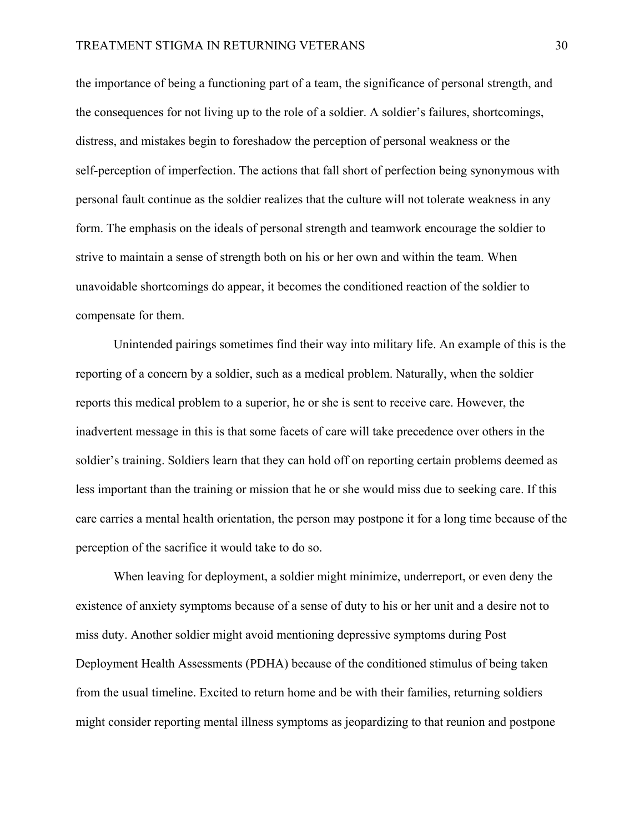the importance of being a functioning part of a team, the significance of personal strength, and the consequences for not living up to the role of a soldier. A soldier's failures, shortcomings, distress, and mistakes begin to foreshadow the perception of personal weakness or the self-perception of imperfection. The actions that fall short of perfection being synonymous with personal fault continue as the soldier realizes that the culture will not tolerate weakness in any form. The emphasis on the ideals of personal strength and teamwork encourage the soldier to strive to maintain a sense of strength both on his or her own and within the team. When unavoidable shortcomings do appear, it becomes the conditioned reaction of the soldier to compensate for them.

Unintended pairings sometimes find their way into military life. An example of this is the reporting of a concern by a soldier, such as a medical problem. Naturally, when the soldier reports this medical problem to a superior, he or she is sent to receive care. However, the inadvertent message in this is that some facets of care will take precedence over others in the soldier's training. Soldiers learn that they can hold off on reporting certain problems deemed as less important than the training or mission that he or she would miss due to seeking care. If this care carries a mental health orientation, the person may postpone it for a long time because of the perception of the sacrifice it would take to do so.

When leaving for deployment, a soldier might minimize, underreport, or even deny the existence of anxiety symptoms because of a sense of duty to his or her unit and a desire not to miss duty. Another soldier might avoid mentioning depressive symptoms during Post Deployment Health Assessments (PDHA) because of the conditioned stimulus of being taken from the usual timeline. Excited to return home and be with their families, returning soldiers might consider reporting mental illness symptoms as jeopardizing to that reunion and postpone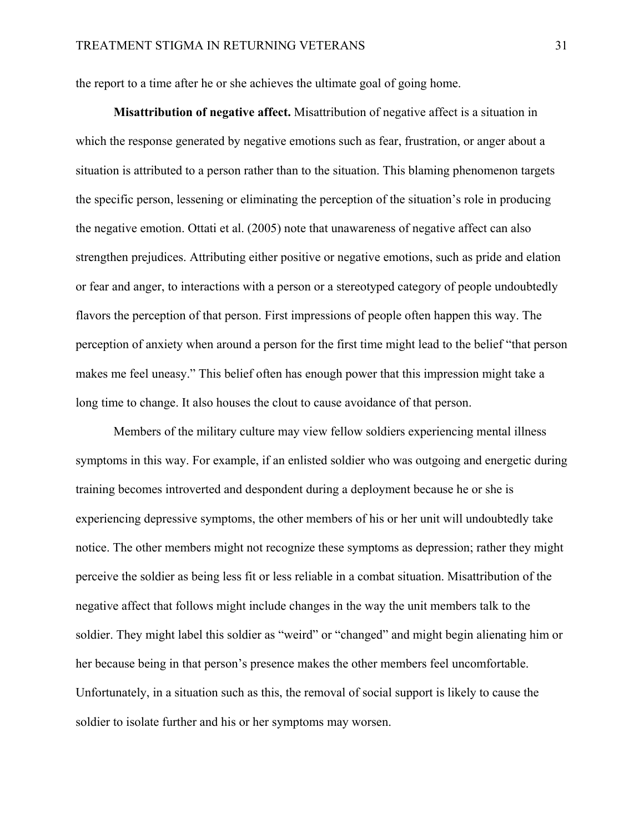the report to a time after he or she achieves the ultimate goal of going home.

**Misattribution of negative affect.** Misattribution of negative affect is a situation in which the response generated by negative emotions such as fear, frustration, or anger about a situation is attributed to a person rather than to the situation. This blaming phenomenon targets the specific person, lessening or eliminating the perception of the situation's role in producing the negative emotion. Ottati et al. (2005) note that unawareness of negative affect can also strengthen prejudices. Attributing either positive or negative emotions, such as pride and elation or fear and anger, to interactions with a person or a stereotyped category of people undoubtedly flavors the perception of that person. First impressions of people often happen this way. The perception of anxiety when around a person for the first time might lead to the belief "that person makes me feel uneasy." This belief often has enough power that this impression might take a long time to change. It also houses the clout to cause avoidance of that person.

Members of the military culture may view fellow soldiers experiencing mental illness symptoms in this way. For example, if an enlisted soldier who was outgoing and energetic during training becomes introverted and despondent during a deployment because he or she is experiencing depressive symptoms, the other members of his or her unit will undoubtedly take notice. The other members might not recognize these symptoms as depression; rather they might perceive the soldier as being less fit or less reliable in a combat situation. Misattribution of the negative affect that follows might include changes in the way the unit members talk to the soldier. They might label this soldier as "weird" or "changed" and might begin alienating him or her because being in that person's presence makes the other members feel uncomfortable. Unfortunately, in a situation such as this, the removal of social support is likely to cause the soldier to isolate further and his or her symptoms may worsen.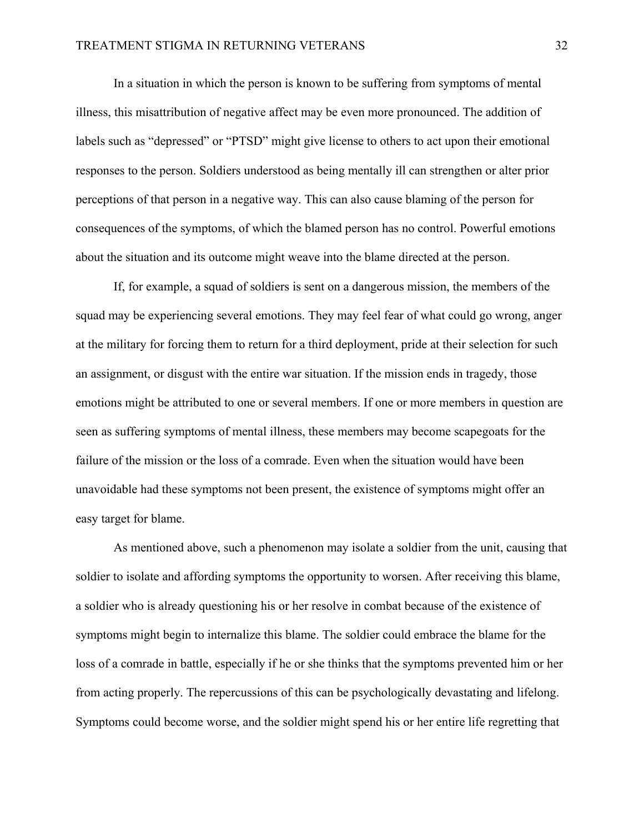In a situation in which the person is known to be suffering from symptoms of mental illness, this misattribution of negative affect may be even more pronounced. The addition of labels such as "depressed" or "PTSD" might give license to others to act upon their emotional responses to the person. Soldiers understood as being mentally ill can strengthen or alter prior perceptions of that person in a negative way. This can also cause blaming of the person for consequences of the symptoms, of which the blamed person has no control. Powerful emotions about the situation and its outcome might weave into the blame directed at the person.

If, for example, a squad of soldiers is sent on a dangerous mission, the members of the squad may be experiencing several emotions. They may feel fear of what could go wrong, anger at the military for forcing them to return for a third deployment, pride at their selection for such an assignment, or disgust with the entire war situation. If the mission ends in tragedy, those emotions might be attributed to one or several members. If one or more members in question are seen as suffering symptoms of mental illness, these members may become scapegoats for the failure of the mission or the loss of a comrade. Even when the situation would have been unavoidable had these symptoms not been present, the existence of symptoms might offer an easy target for blame.

As mentioned above, such a phenomenon may isolate a soldier from the unit, causing that soldier to isolate and affording symptoms the opportunity to worsen. After receiving this blame, a soldier who is already questioning his or her resolve in combat because of the existence of symptoms might begin to internalize this blame. The soldier could embrace the blame for the loss of a comrade in battle, especially if he or she thinks that the symptoms prevented him or her from acting properly. The repercussions of this can be psychologically devastating and lifelong. Symptoms could become worse, and the soldier might spend his or her entire life regretting that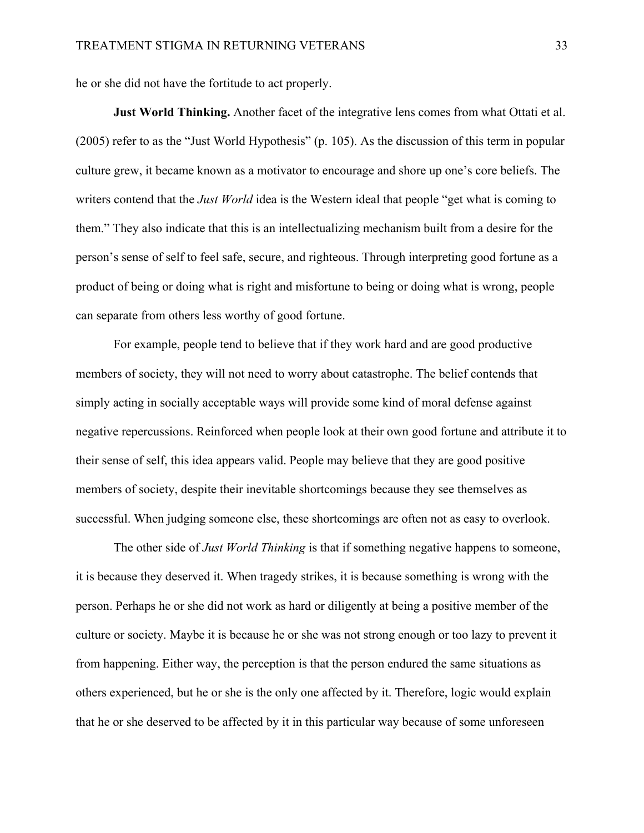he or she did not have the fortitude to act properly.

 **Just World Thinking.** Another facet of the integrative lens comes from what Ottati et al. (2005) refer to as the "Just World Hypothesis" (p. 105). As the discussion of this term in popular culture grew, it became known as a motivator to encourage and shore up one's core beliefs. The writers contend that the *Just World* idea is the Western ideal that people "get what is coming to them." They also indicate that this is an intellectualizing mechanism built from a desire for the person's sense of self to feel safe, secure, and righteous. Through interpreting good fortune as a product of being or doing what is right and misfortune to being or doing what is wrong, people can separate from others less worthy of good fortune.

For example, people tend to believe that if they work hard and are good productive members of society, they will not need to worry about catastrophe. The belief contends that simply acting in socially acceptable ways will provide some kind of moral defense against negative repercussions. Reinforced when people look at their own good fortune and attribute it to their sense of self, this idea appears valid. People may believe that they are good positive members of society, despite their inevitable shortcomings because they see themselves as successful. When judging someone else, these shortcomings are often not as easy to overlook.

The other side of *Just World Thinking* is that if something negative happens to someone, it is because they deserved it. When tragedy strikes, it is because something is wrong with the person. Perhaps he or she did not work as hard or diligently at being a positive member of the culture or society. Maybe it is because he or she was not strong enough or too lazy to prevent it from happening. Either way, the perception is that the person endured the same situations as others experienced, but he or she is the only one affected by it. Therefore, logic would explain that he or she deserved to be affected by it in this particular way because of some unforeseen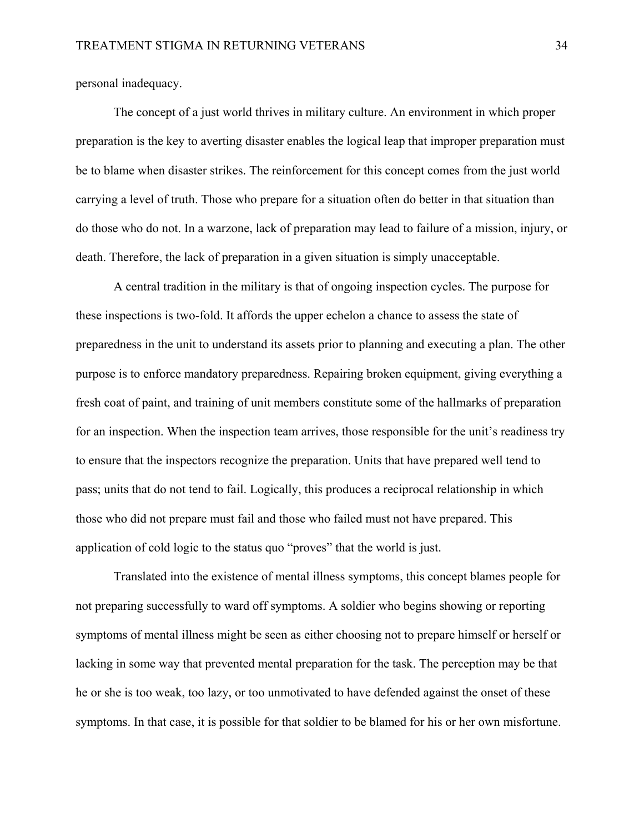personal inadequacy.

The concept of a just world thrives in military culture. An environment in which proper preparation is the key to averting disaster enables the logical leap that improper preparation must be to blame when disaster strikes. The reinforcement for this concept comes from the just world carrying a level of truth. Those who prepare for a situation often do better in that situation than do those who do not. In a warzone, lack of preparation may lead to failure of a mission, injury, or death. Therefore, the lack of preparation in a given situation is simply unacceptable.

A central tradition in the military is that of ongoing inspection cycles. The purpose for these inspections is two-fold. It affords the upper echelon a chance to assess the state of preparedness in the unit to understand its assets prior to planning and executing a plan. The other purpose is to enforce mandatory preparedness. Repairing broken equipment, giving everything a fresh coat of paint, and training of unit members constitute some of the hallmarks of preparation for an inspection. When the inspection team arrives, those responsible for the unit's readiness try to ensure that the inspectors recognize the preparation. Units that have prepared well tend to pass; units that do not tend to fail. Logically, this produces a reciprocal relationship in which those who did not prepare must fail and those who failed must not have prepared. This application of cold logic to the status quo "proves" that the world is just.

Translated into the existence of mental illness symptoms, this concept blames people for not preparing successfully to ward off symptoms. A soldier who begins showing or reporting symptoms of mental illness might be seen as either choosing not to prepare himself or herself or lacking in some way that prevented mental preparation for the task. The perception may be that he or she is too weak, too lazy, or too unmotivated to have defended against the onset of these symptoms. In that case, it is possible for that soldier to be blamed for his or her own misfortune.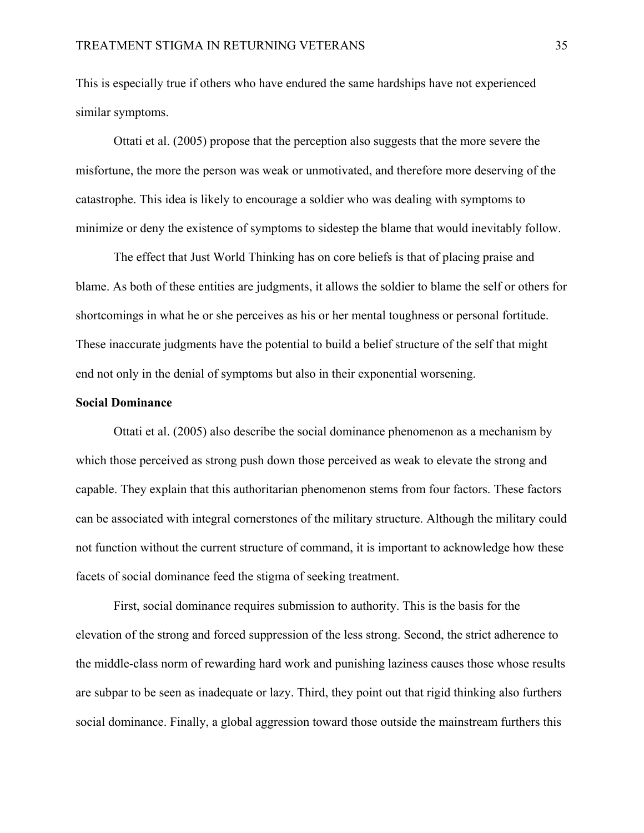This is especially true if others who have endured the same hardships have not experienced similar symptoms.

Ottati et al. (2005) propose that the perception also suggests that the more severe the misfortune, the more the person was weak or unmotivated, and therefore more deserving of the catastrophe. This idea is likely to encourage a soldier who was dealing with symptoms to minimize or deny the existence of symptoms to sidestep the blame that would inevitably follow.

The effect that Just World Thinking has on core beliefs is that of placing praise and blame. As both of these entities are judgments, it allows the soldier to blame the self or others for shortcomings in what he or she perceives as his or her mental toughness or personal fortitude. These inaccurate judgments have the potential to build a belief structure of the self that might end not only in the denial of symptoms but also in their exponential worsening.

## **Social Dominance**

Ottati et al. (2005) also describe the social dominance phenomenon as a mechanism by which those perceived as strong push down those perceived as weak to elevate the strong and capable. They explain that this authoritarian phenomenon stems from four factors. These factors can be associated with integral cornerstones of the military structure. Although the military could not function without the current structure of command, it is important to acknowledge how these facets of social dominance feed the stigma of seeking treatment.

First, social dominance requires submission to authority. This is the basis for the elevation of the strong and forced suppression of the less strong. Second, the strict adherence to the middle-class norm of rewarding hard work and punishing laziness causes those whose results are subpar to be seen as inadequate or lazy. Third, they point out that rigid thinking also furthers social dominance. Finally, a global aggression toward those outside the mainstream furthers this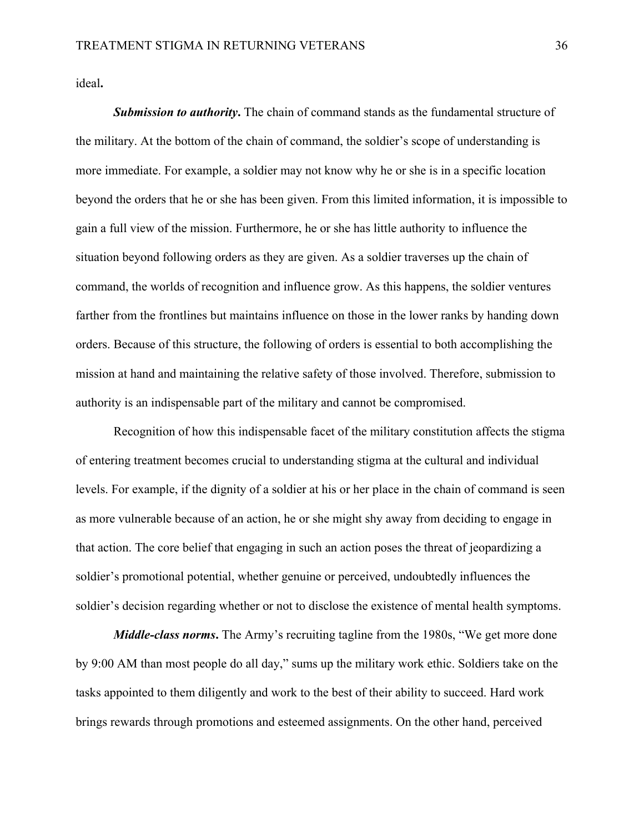ideal**.** 

*Submission to authority***.** The chain of command stands as the fundamental structure of the military. At the bottom of the chain of command, the soldier's scope of understanding is more immediate. For example, a soldier may not know why he or she is in a specific location beyond the orders that he or she has been given. From this limited information, it is impossible to gain a full view of the mission. Furthermore, he or she has little authority to influence the situation beyond following orders as they are given. As a soldier traverses up the chain of command, the worlds of recognition and influence grow. As this happens, the soldier ventures farther from the frontlines but maintains influence on those in the lower ranks by handing down orders. Because of this structure, the following of orders is essential to both accomplishing the mission at hand and maintaining the relative safety of those involved. Therefore, submission to authority is an indispensable part of the military and cannot be compromised.

Recognition of how this indispensable facet of the military constitution affects the stigma of entering treatment becomes crucial to understanding stigma at the cultural and individual levels. For example, if the dignity of a soldier at his or her place in the chain of command is seen as more vulnerable because of an action, he or she might shy away from deciding to engage in that action. The core belief that engaging in such an action poses the threat of jeopardizing a soldier's promotional potential, whether genuine or perceived, undoubtedly influences the soldier's decision regarding whether or not to disclose the existence of mental health symptoms.

*Middle-class norms***.** The Army's recruiting tagline from the 1980s, "We get more done by 9:00 AM than most people do all day," sums up the military work ethic. Soldiers take on the tasks appointed to them diligently and work to the best of their ability to succeed. Hard work brings rewards through promotions and esteemed assignments. On the other hand, perceived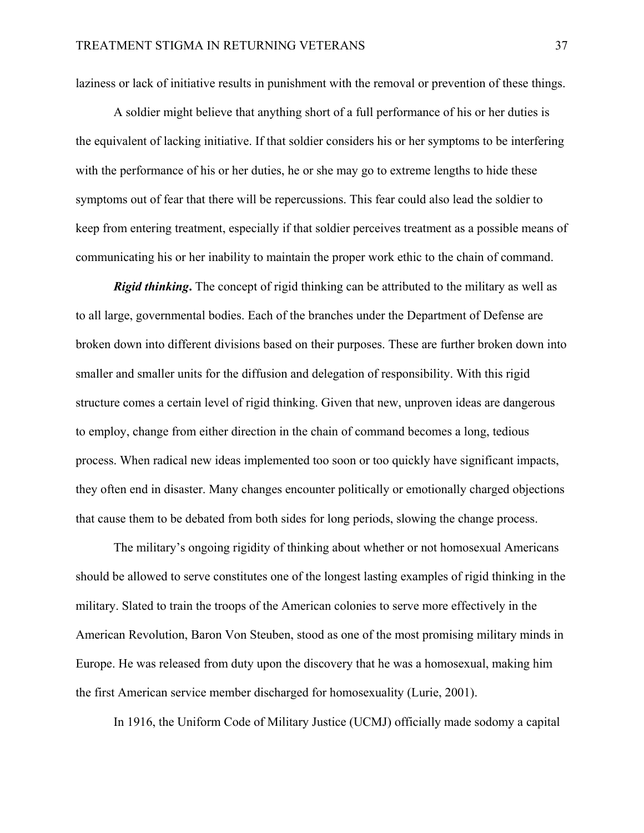laziness or lack of initiative results in punishment with the removal or prevention of these things.

A soldier might believe that anything short of a full performance of his or her duties is the equivalent of lacking initiative. If that soldier considers his or her symptoms to be interfering with the performance of his or her duties, he or she may go to extreme lengths to hide these symptoms out of fear that there will be repercussions. This fear could also lead the soldier to keep from entering treatment, especially if that soldier perceives treatment as a possible means of communicating his or her inability to maintain the proper work ethic to the chain of command.

*Rigid thinking***.** The concept of rigid thinking can be attributed to the military as well as to all large, governmental bodies. Each of the branches under the Department of Defense are broken down into different divisions based on their purposes. These are further broken down into smaller and smaller units for the diffusion and delegation of responsibility. With this rigid structure comes a certain level of rigid thinking. Given that new, unproven ideas are dangerous to employ, change from either direction in the chain of command becomes a long, tedious process. When radical new ideas implemented too soon or too quickly have significant impacts, they often end in disaster. Many changes encounter politically or emotionally charged objections that cause them to be debated from both sides for long periods, slowing the change process.

The military's ongoing rigidity of thinking about whether or not homosexual Americans should be allowed to serve constitutes one of the longest lasting examples of rigid thinking in the military. Slated to train the troops of the American colonies to serve more effectively in the American Revolution, Baron Von Steuben, stood as one of the most promising military minds in Europe. He was released from duty upon the discovery that he was a homosexual, making him the first American service member discharged for homosexuality (Lurie, 2001).

In 1916, the Uniform Code of Military Justice (UCMJ) officially made sodomy a capital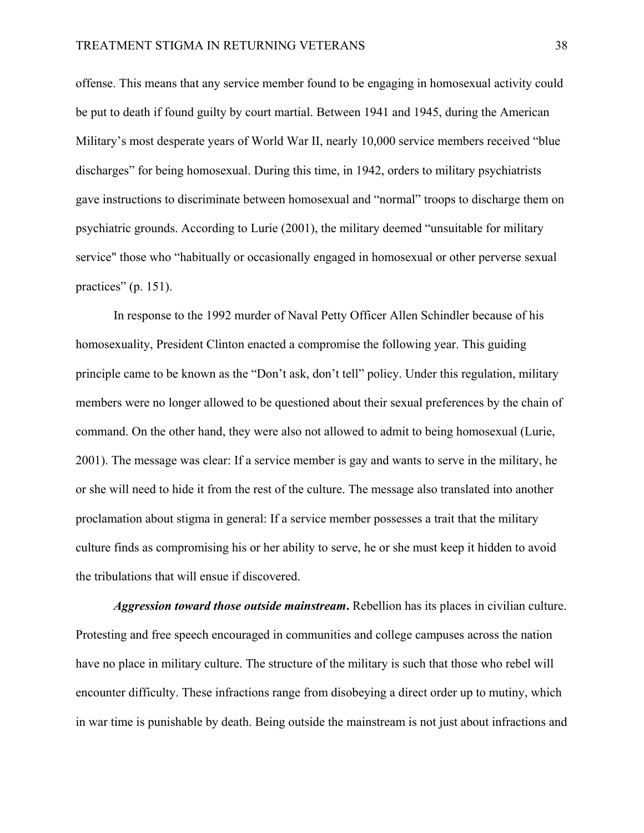offense. This means that any service member found to be engaging in homosexual activity could be put to death if found guilty by court martial. Between 1941 and 1945, during the American Military's most desperate years of World War II, nearly 10,000 service members received "blue discharges" for being homosexual. During this time, in 1942, orders to military psychiatrists gave instructions to discriminate between homosexual and "normal" troops to discharge them on psychiatric grounds. According to Lurie (2001), the military deemed "unsuitable for military service" those who "habitually or occasionally engaged in homosexual or other perverse sexual practices" (p. 151).

In response to the 1992 murder of Naval Petty Officer Allen Schindler because of his homosexuality, President Clinton enacted a compromise the following year. This guiding principle came to be known as the "Don't ask, don't tell" policy. Under this regulation, military members were no longer allowed to be questioned about their sexual preferences by the chain of command. On the other hand, they were also not allowed to admit to being homosexual (Lurie, 2001). The message was clear: If a service member is gay and wants to serve in the military, he or she will need to hide it from the rest of the culture. The message also translated into another proclamation about stigma in general: If a service member possesses a trait that the military culture finds as compromising his or her ability to serve, he or she must keep it hidden to avoid the tribulations that will ensue if discovered.

*Aggression toward those outside mainstream***.** Rebellion has its places in civilian culture. Protesting and free speech encouraged in communities and college campuses across the nation have no place in military culture. The structure of the military is such that those who rebel will encounter difficulty. These infractions range from disobeying a direct order up to mutiny, which in war time is punishable by death. Being outside the mainstream is not just about infractions and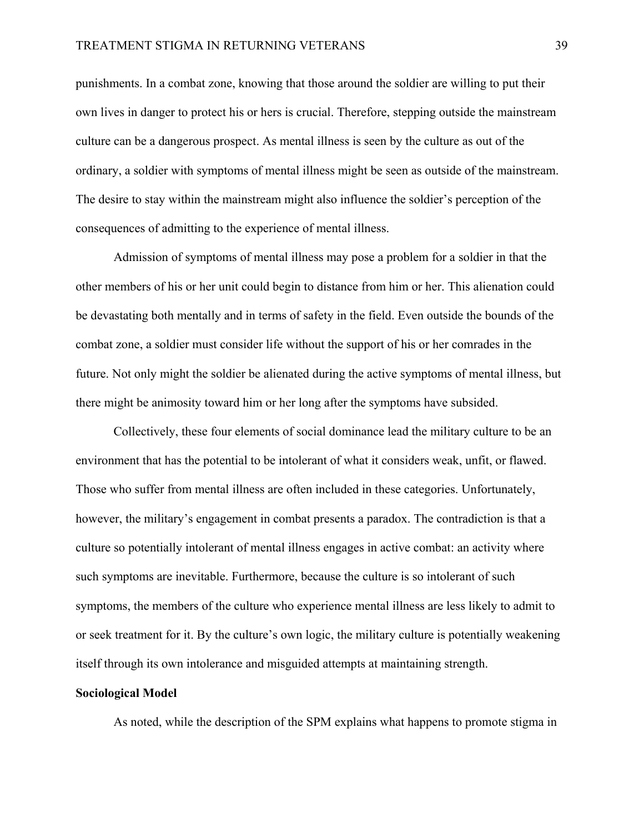punishments. In a combat zone, knowing that those around the soldier are willing to put their own lives in danger to protect his or hers is crucial. Therefore, stepping outside the mainstream culture can be a dangerous prospect. As mental illness is seen by the culture as out of the ordinary, a soldier with symptoms of mental illness might be seen as outside of the mainstream. The desire to stay within the mainstream might also influence the soldier's perception of the consequences of admitting to the experience of mental illness.

Admission of symptoms of mental illness may pose a problem for a soldier in that the other members of his or her unit could begin to distance from him or her. This alienation could be devastating both mentally and in terms of safety in the field. Even outside the bounds of the combat zone, a soldier must consider life without the support of his or her comrades in the future. Not only might the soldier be alienated during the active symptoms of mental illness, but there might be animosity toward him or her long after the symptoms have subsided.

Collectively, these four elements of social dominance lead the military culture to be an environment that has the potential to be intolerant of what it considers weak, unfit, or flawed. Those who suffer from mental illness are often included in these categories. Unfortunately, however, the military's engagement in combat presents a paradox. The contradiction is that a culture so potentially intolerant of mental illness engages in active combat: an activity where such symptoms are inevitable. Furthermore, because the culture is so intolerant of such symptoms, the members of the culture who experience mental illness are less likely to admit to or seek treatment for it. By the culture's own logic, the military culture is potentially weakening itself through its own intolerance and misguided attempts at maintaining strength.

#### **Sociological Model**

As noted, while the description of the SPM explains what happens to promote stigma in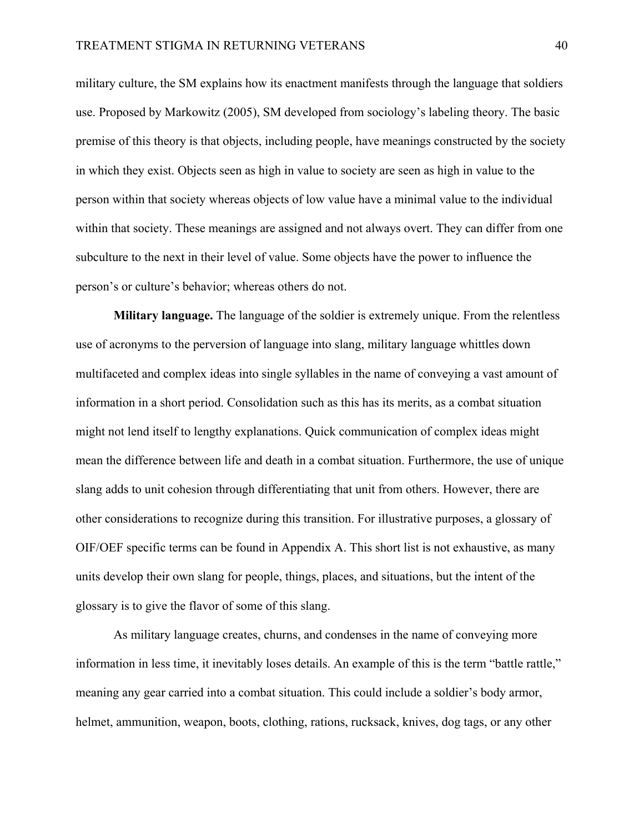military culture, the SM explains how its enactment manifests through the language that soldiers use. Proposed by Markowitz (2005), SM developed from sociology's labeling theory. The basic premise of this theory is that objects, including people, have meanings constructed by the society in which they exist. Objects seen as high in value to society are seen as high in value to the person within that society whereas objects of low value have a minimal value to the individual within that society. These meanings are assigned and not always overt. They can differ from one subculture to the next in their level of value. Some objects have the power to influence the person's or culture's behavior; whereas others do not.

**Military language.** The language of the soldier is extremely unique. From the relentless use of acronyms to the perversion of language into slang, military language whittles down multifaceted and complex ideas into single syllables in the name of conveying a vast amount of information in a short period. Consolidation such as this has its merits, as a combat situation might not lend itself to lengthy explanations. Quick communication of complex ideas might mean the difference between life and death in a combat situation. Furthermore, the use of unique slang adds to unit cohesion through differentiating that unit from others. However, there are other considerations to recognize during this transition. For illustrative purposes, a glossary of OIF/OEF specific terms can be found in Appendix A. This short list is not exhaustive, as many units develop their own slang for people, things, places, and situations, but the intent of the glossary is to give the flavor of some of this slang.

 As military language creates, churns, and condenses in the name of conveying more information in less time, it inevitably loses details. An example of this is the term "battle rattle," meaning any gear carried into a combat situation. This could include a soldier's body armor, helmet, ammunition, weapon, boots, clothing, rations, rucksack, knives, dog tags, or any other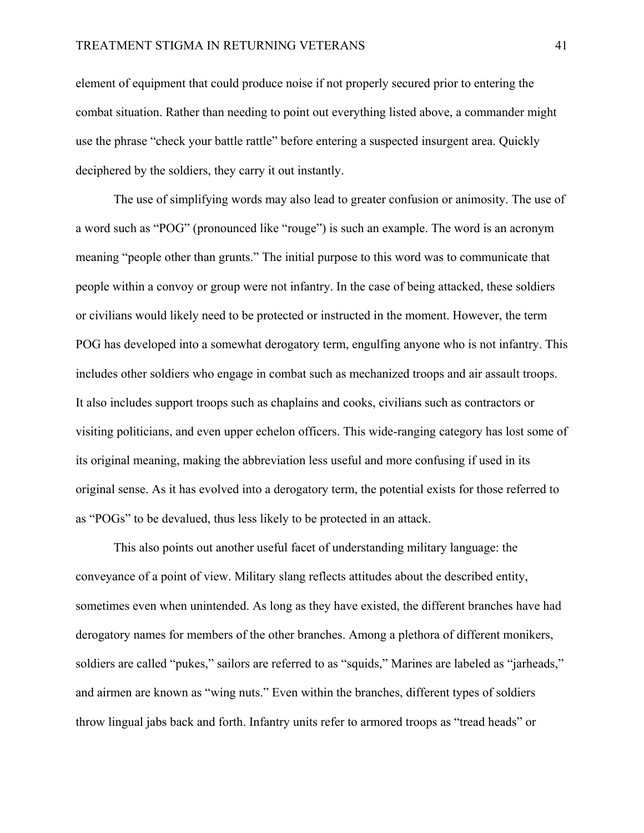element of equipment that could produce noise if not properly secured prior to entering the combat situation. Rather than needing to point out everything listed above, a commander might use the phrase "check your battle rattle" before entering a suspected insurgent area. Quickly deciphered by the soldiers, they carry it out instantly.

 The use of simplifying words may also lead to greater confusion or animosity. The use of a word such as "POG" (pronounced like "rouge") is such an example. The word is an acronym meaning "people other than grunts." The initial purpose to this word was to communicate that people within a convoy or group were not infantry. In the case of being attacked, these soldiers or civilians would likely need to be protected or instructed in the moment. However, the term POG has developed into a somewhat derogatory term, engulfing anyone who is not infantry. This includes other soldiers who engage in combat such as mechanized troops and air assault troops. It also includes support troops such as chaplains and cooks, civilians such as contractors or visiting politicians, and even upper echelon officers. This wide-ranging category has lost some of its original meaning, making the abbreviation less useful and more confusing if used in its original sense. As it has evolved into a derogatory term, the potential exists for those referred to as "POGs" to be devalued, thus less likely to be protected in an attack.

 This also points out another useful facet of understanding military language: the conveyance of a point of view. Military slang reflects attitudes about the described entity, sometimes even when unintended. As long as they have existed, the different branches have had derogatory names for members of the other branches. Among a plethora of different monikers, soldiers are called "pukes," sailors are referred to as "squids," Marines are labeled as "jarheads," and airmen are known as "wing nuts." Even within the branches, different types of soldiers throw lingual jabs back and forth. Infantry units refer to armored troops as "tread heads" or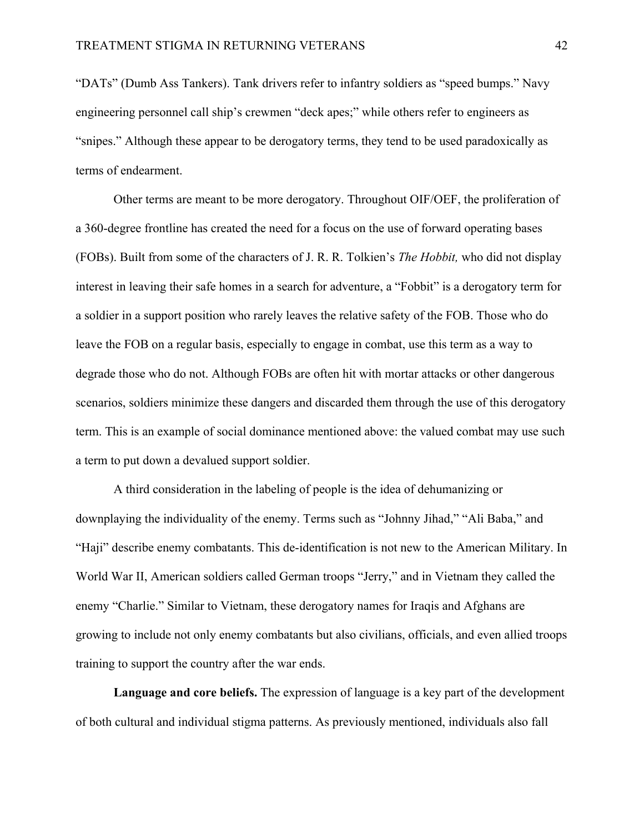"DATs" (Dumb Ass Tankers). Tank drivers refer to infantry soldiers as "speed bumps." Navy engineering personnel call ship's crewmen "deck apes;" while others refer to engineers as "snipes." Although these appear to be derogatory terms, they tend to be used paradoxically as terms of endearment.

 Other terms are meant to be more derogatory. Throughout OIF/OEF, the proliferation of a 360-degree frontline has created the need for a focus on the use of forward operating bases (FOBs). Built from some of the characters of J. R. R. Tolkien's *The Hobbit,* who did not display interest in leaving their safe homes in a search for adventure, a "Fobbit" is a derogatory term for a soldier in a support position who rarely leaves the relative safety of the FOB. Those who do leave the FOB on a regular basis, especially to engage in combat, use this term as a way to degrade those who do not. Although FOBs are often hit with mortar attacks or other dangerous scenarios, soldiers minimize these dangers and discarded them through the use of this derogatory term. This is an example of social dominance mentioned above: the valued combat may use such a term to put down a devalued support soldier.

 A third consideration in the labeling of people is the idea of dehumanizing or downplaying the individuality of the enemy. Terms such as "Johnny Jihad," "Ali Baba," and "Haji" describe enemy combatants. This de-identification is not new to the American Military. In World War II, American soldiers called German troops "Jerry," and in Vietnam they called the enemy "Charlie." Similar to Vietnam, these derogatory names for Iraqis and Afghans are growing to include not only enemy combatants but also civilians, officials, and even allied troops training to support the country after the war ends.

**Language and core beliefs.** The expression of language is a key part of the development of both cultural and individual stigma patterns. As previously mentioned, individuals also fall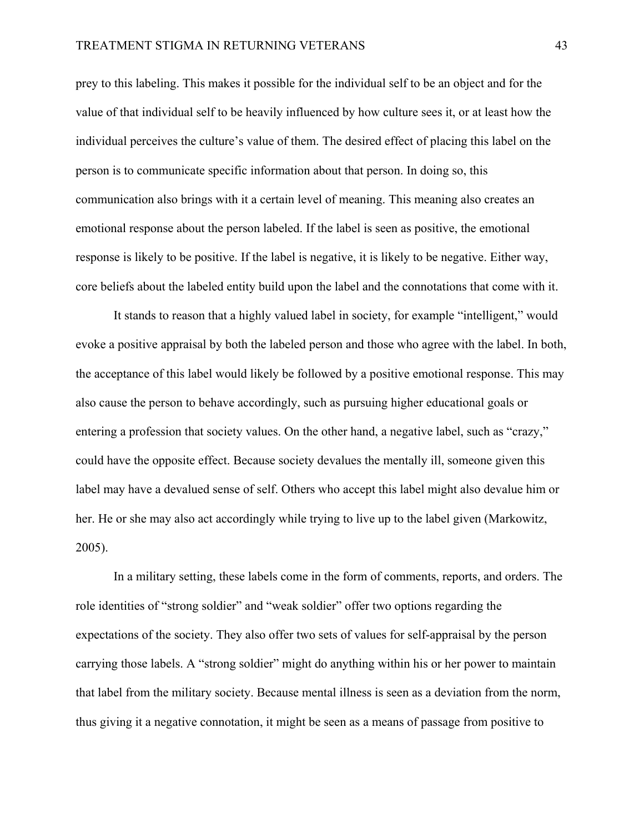prey to this labeling. This makes it possible for the individual self to be an object and for the value of that individual self to be heavily influenced by how culture sees it, or at least how the individual perceives the culture's value of them. The desired effect of placing this label on the person is to communicate specific information about that person. In doing so, this communication also brings with it a certain level of meaning. This meaning also creates an emotional response about the person labeled. If the label is seen as positive, the emotional response is likely to be positive. If the label is negative, it is likely to be negative. Either way, core beliefs about the labeled entity build upon the label and the connotations that come with it.

 It stands to reason that a highly valued label in society, for example "intelligent," would evoke a positive appraisal by both the labeled person and those who agree with the label. In both, the acceptance of this label would likely be followed by a positive emotional response. This may also cause the person to behave accordingly, such as pursuing higher educational goals or entering a profession that society values. On the other hand, a negative label, such as "crazy," could have the opposite effect. Because society devalues the mentally ill, someone given this label may have a devalued sense of self. Others who accept this label might also devalue him or her. He or she may also act accordingly while trying to live up to the label given (Markowitz, 2005).

In a military setting, these labels come in the form of comments, reports, and orders. The role identities of "strong soldier" and "weak soldier" offer two options regarding the expectations of the society. They also offer two sets of values for self-appraisal by the person carrying those labels. A "strong soldier" might do anything within his or her power to maintain that label from the military society. Because mental illness is seen as a deviation from the norm, thus giving it a negative connotation, it might be seen as a means of passage from positive to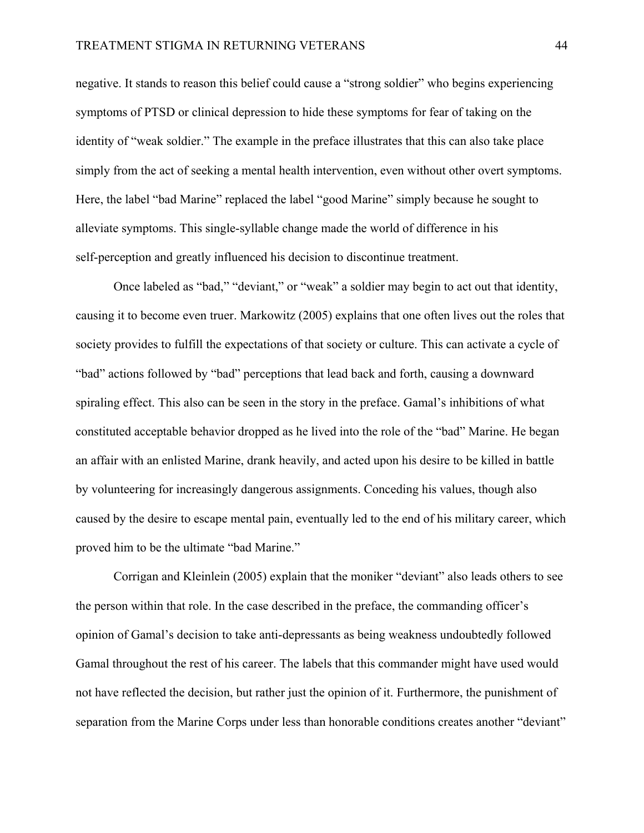negative. It stands to reason this belief could cause a "strong soldier" who begins experiencing symptoms of PTSD or clinical depression to hide these symptoms for fear of taking on the identity of "weak soldier." The example in the preface illustrates that this can also take place simply from the act of seeking a mental health intervention, even without other overt symptoms. Here, the label "bad Marine" replaced the label "good Marine" simply because he sought to alleviate symptoms. This single-syllable change made the world of difference in his self-perception and greatly influenced his decision to discontinue treatment.

 Once labeled as "bad," "deviant," or "weak" a soldier may begin to act out that identity, causing it to become even truer. Markowitz (2005) explains that one often lives out the roles that society provides to fulfill the expectations of that society or culture. This can activate a cycle of "bad" actions followed by "bad" perceptions that lead back and forth, causing a downward spiraling effect. This also can be seen in the story in the preface. Gamal's inhibitions of what constituted acceptable behavior dropped as he lived into the role of the "bad" Marine. He began an affair with an enlisted Marine, drank heavily, and acted upon his desire to be killed in battle by volunteering for increasingly dangerous assignments. Conceding his values, though also caused by the desire to escape mental pain, eventually led to the end of his military career, which proved him to be the ultimate "bad Marine."

 Corrigan and Kleinlein (2005) explain that the moniker "deviant" also leads others to see the person within that role. In the case described in the preface, the commanding officer's opinion of Gamal's decision to take anti-depressants as being weakness undoubtedly followed Gamal throughout the rest of his career. The labels that this commander might have used would not have reflected the decision, but rather just the opinion of it. Furthermore, the punishment of separation from the Marine Corps under less than honorable conditions creates another "deviant"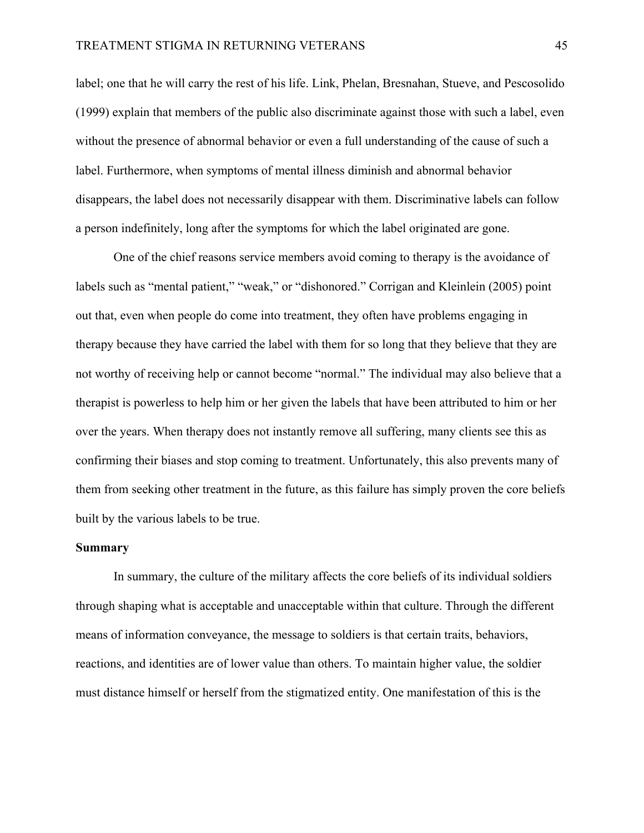label; one that he will carry the rest of his life. Link, Phelan, Bresnahan, Stueve, and Pescosolido (1999) explain that members of the public also discriminate against those with such a label, even without the presence of abnormal behavior or even a full understanding of the cause of such a label. Furthermore, when symptoms of mental illness diminish and abnormal behavior disappears, the label does not necessarily disappear with them. Discriminative labels can follow a person indefinitely, long after the symptoms for which the label originated are gone.

One of the chief reasons service members avoid coming to therapy is the avoidance of labels such as "mental patient," "weak," or "dishonored." Corrigan and Kleinlein (2005) point out that, even when people do come into treatment, they often have problems engaging in therapy because they have carried the label with them for so long that they believe that they are not worthy of receiving help or cannot become "normal." The individual may also believe that a therapist is powerless to help him or her given the labels that have been attributed to him or her over the years. When therapy does not instantly remove all suffering, many clients see this as confirming their biases and stop coming to treatment. Unfortunately, this also prevents many of them from seeking other treatment in the future, as this failure has simply proven the core beliefs built by the various labels to be true.

## **Summary**

In summary, the culture of the military affects the core beliefs of its individual soldiers through shaping what is acceptable and unacceptable within that culture. Through the different means of information conveyance, the message to soldiers is that certain traits, behaviors, reactions, and identities are of lower value than others. To maintain higher value, the soldier must distance himself or herself from the stigmatized entity. One manifestation of this is the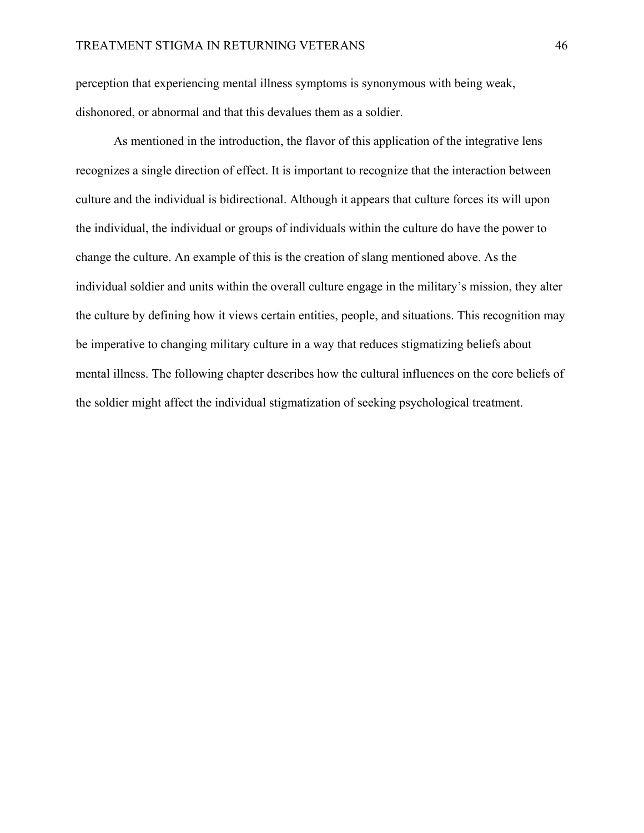perception that experiencing mental illness symptoms is synonymous with being weak, dishonored, or abnormal and that this devalues them as a soldier.

 As mentioned in the introduction, the flavor of this application of the integrative lens recognizes a single direction of effect. It is important to recognize that the interaction between culture and the individual is bidirectional. Although it appears that culture forces its will upon the individual, the individual or groups of individuals within the culture do have the power to change the culture. An example of this is the creation of slang mentioned above. As the individual soldier and units within the overall culture engage in the military's mission, they alter the culture by defining how it views certain entities, people, and situations. This recognition may be imperative to changing military culture in a way that reduces stigmatizing beliefs about mental illness. The following chapter describes how the cultural influences on the core beliefs of the soldier might affect the individual stigmatization of seeking psychological treatment.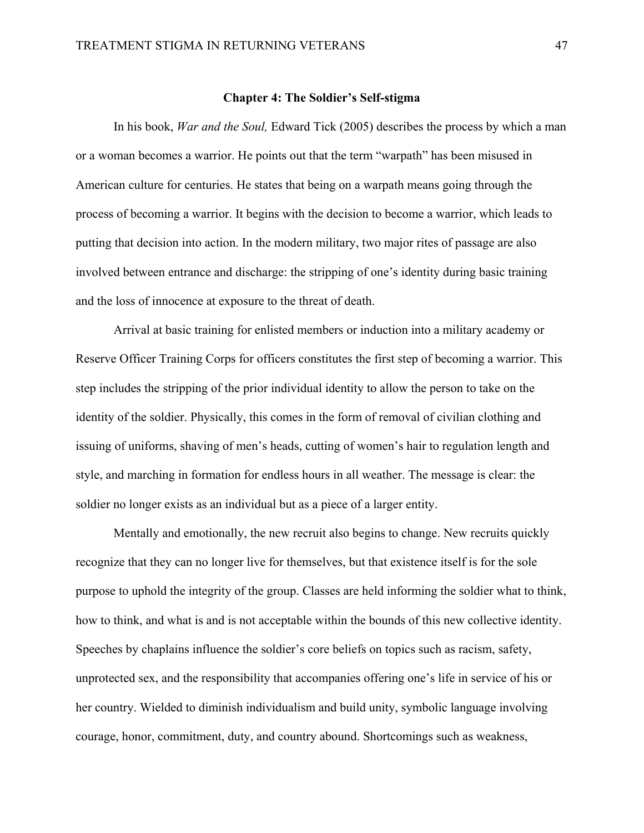## **Chapter 4: The Soldier's Self-stigma**

In his book, *War and the Soul,* Edward Tick (2005) describes the process by which a man or a woman becomes a warrior. He points out that the term "warpath" has been misused in American culture for centuries. He states that being on a warpath means going through the process of becoming a warrior. It begins with the decision to become a warrior, which leads to putting that decision into action. In the modern military, two major rites of passage are also involved between entrance and discharge: the stripping of one's identity during basic training and the loss of innocence at exposure to the threat of death.

 Arrival at basic training for enlisted members or induction into a military academy or Reserve Officer Training Corps for officers constitutes the first step of becoming a warrior. This step includes the stripping of the prior individual identity to allow the person to take on the identity of the soldier. Physically, this comes in the form of removal of civilian clothing and issuing of uniforms, shaving of men's heads, cutting of women's hair to regulation length and style, and marching in formation for endless hours in all weather. The message is clear: the soldier no longer exists as an individual but as a piece of a larger entity.

 Mentally and emotionally, the new recruit also begins to change. New recruits quickly recognize that they can no longer live for themselves, but that existence itself is for the sole purpose to uphold the integrity of the group. Classes are held informing the soldier what to think, how to think, and what is and is not acceptable within the bounds of this new collective identity. Speeches by chaplains influence the soldier's core beliefs on topics such as racism, safety, unprotected sex, and the responsibility that accompanies offering one's life in service of his or her country. Wielded to diminish individualism and build unity, symbolic language involving courage, honor, commitment, duty, and country abound. Shortcomings such as weakness,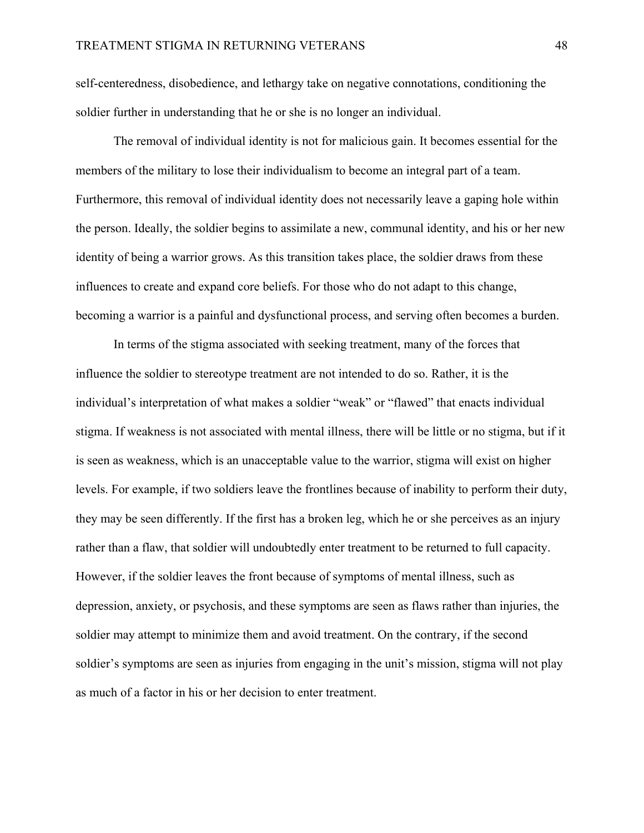self-centeredness, disobedience, and lethargy take on negative connotations, conditioning the soldier further in understanding that he or she is no longer an individual.

The removal of individual identity is not for malicious gain. It becomes essential for the members of the military to lose their individualism to become an integral part of a team. Furthermore, this removal of individual identity does not necessarily leave a gaping hole within the person. Ideally, the soldier begins to assimilate a new, communal identity, and his or her new identity of being a warrior grows. As this transition takes place, the soldier draws from these influences to create and expand core beliefs. For those who do not adapt to this change, becoming a warrior is a painful and dysfunctional process, and serving often becomes a burden.

 In terms of the stigma associated with seeking treatment, many of the forces that influence the soldier to stereotype treatment are not intended to do so. Rather, it is the individual's interpretation of what makes a soldier "weak" or "flawed" that enacts individual stigma. If weakness is not associated with mental illness, there will be little or no stigma, but if it is seen as weakness, which is an unacceptable value to the warrior, stigma will exist on higher levels. For example, if two soldiers leave the frontlines because of inability to perform their duty, they may be seen differently. If the first has a broken leg, which he or she perceives as an injury rather than a flaw, that soldier will undoubtedly enter treatment to be returned to full capacity. However, if the soldier leaves the front because of symptoms of mental illness, such as depression, anxiety, or psychosis, and these symptoms are seen as flaws rather than injuries, the soldier may attempt to minimize them and avoid treatment. On the contrary, if the second soldier's symptoms are seen as injuries from engaging in the unit's mission, stigma will not play as much of a factor in his or her decision to enter treatment.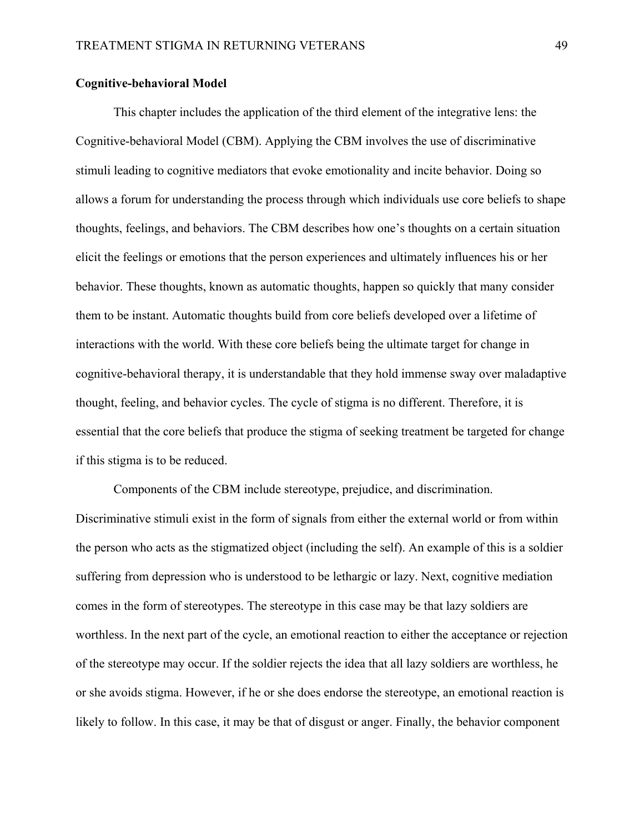## **Cognitive-behavioral Model**

 This chapter includes the application of the third element of the integrative lens: the Cognitive-behavioral Model (CBM). Applying the CBM involves the use of discriminative stimuli leading to cognitive mediators that evoke emotionality and incite behavior. Doing so allows a forum for understanding the process through which individuals use core beliefs to shape thoughts, feelings, and behaviors. The CBM describes how one's thoughts on a certain situation elicit the feelings or emotions that the person experiences and ultimately influences his or her behavior. These thoughts, known as automatic thoughts, happen so quickly that many consider them to be instant. Automatic thoughts build from core beliefs developed over a lifetime of interactions with the world. With these core beliefs being the ultimate target for change in cognitive-behavioral therapy, it is understandable that they hold immense sway over maladaptive thought, feeling, and behavior cycles. The cycle of stigma is no different. Therefore, it is essential that the core beliefs that produce the stigma of seeking treatment be targeted for change if this stigma is to be reduced.

 Components of the CBM include stereotype, prejudice, and discrimination. Discriminative stimuli exist in the form of signals from either the external world or from within the person who acts as the stigmatized object (including the self). An example of this is a soldier suffering from depression who is understood to be lethargic or lazy. Next, cognitive mediation comes in the form of stereotypes. The stereotype in this case may be that lazy soldiers are worthless. In the next part of the cycle, an emotional reaction to either the acceptance or rejection of the stereotype may occur. If the soldier rejects the idea that all lazy soldiers are worthless, he or she avoids stigma. However, if he or she does endorse the stereotype, an emotional reaction is likely to follow. In this case, it may be that of disgust or anger. Finally, the behavior component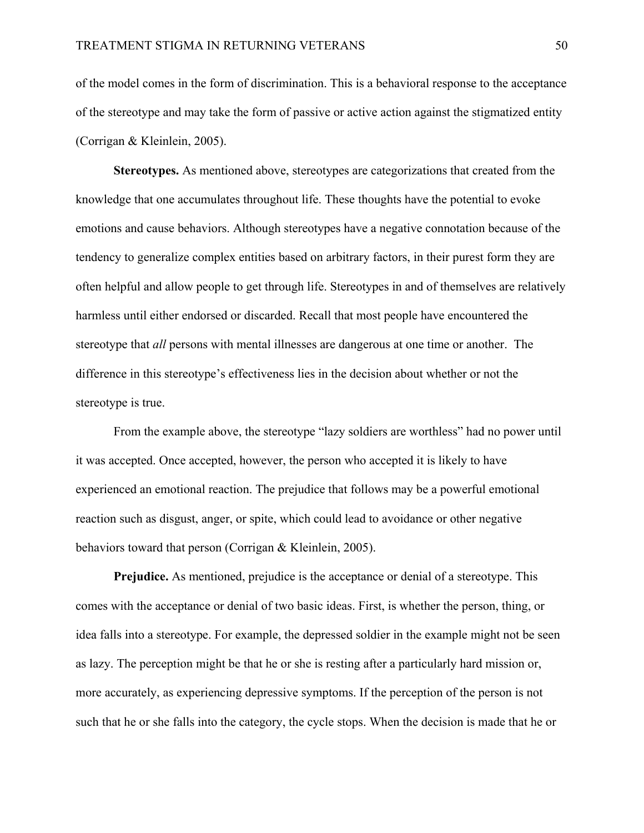of the model comes in the form of discrimination. This is a behavioral response to the acceptance of the stereotype and may take the form of passive or active action against the stigmatized entity (Corrigan & Kleinlein, 2005).

**Stereotypes.** As mentioned above, stereotypes are categorizations that created from the knowledge that one accumulates throughout life. These thoughts have the potential to evoke emotions and cause behaviors. Although stereotypes have a negative connotation because of the tendency to generalize complex entities based on arbitrary factors, in their purest form they are often helpful and allow people to get through life. Stereotypes in and of themselves are relatively harmless until either endorsed or discarded. Recall that most people have encountered the stereotype that *all* persons with mental illnesses are dangerous at one time or another. The difference in this stereotype's effectiveness lies in the decision about whether or not the stereotype is true.

From the example above, the stereotype "lazy soldiers are worthless" had no power until it was accepted. Once accepted, however, the person who accepted it is likely to have experienced an emotional reaction. The prejudice that follows may be a powerful emotional reaction such as disgust, anger, or spite, which could lead to avoidance or other negative behaviors toward that person (Corrigan & Kleinlein, 2005).

**Prejudice.** As mentioned, prejudice is the acceptance or denial of a stereotype. This comes with the acceptance or denial of two basic ideas. First, is whether the person, thing, or idea falls into a stereotype. For example, the depressed soldier in the example might not be seen as lazy. The perception might be that he or she is resting after a particularly hard mission or, more accurately, as experiencing depressive symptoms. If the perception of the person is not such that he or she falls into the category, the cycle stops. When the decision is made that he or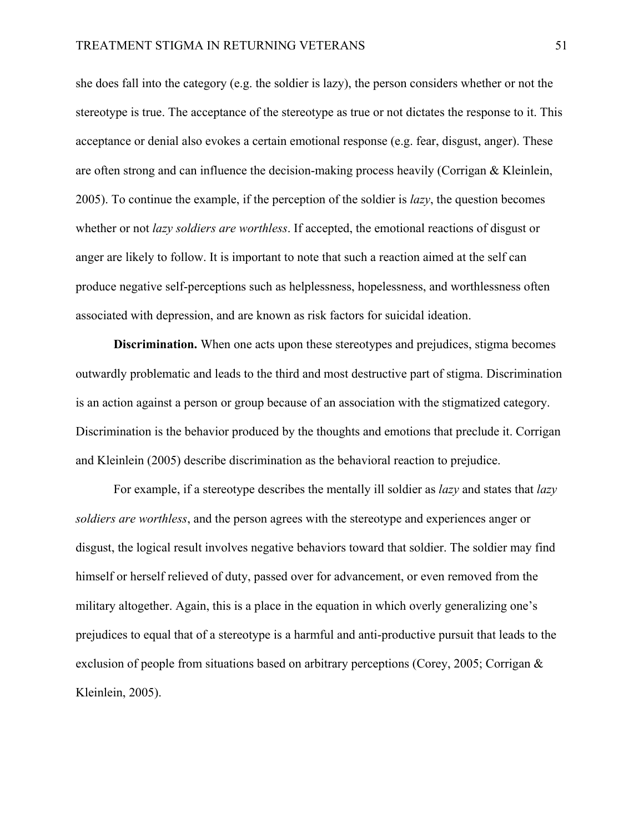she does fall into the category (e.g. the soldier is lazy), the person considers whether or not the stereotype is true. The acceptance of the stereotype as true or not dictates the response to it. This acceptance or denial also evokes a certain emotional response (e.g. fear, disgust, anger). These are often strong and can influence the decision-making process heavily (Corrigan & Kleinlein, 2005). To continue the example, if the perception of the soldier is *lazy*, the question becomes whether or not *lazy soldiers are worthless*. If accepted, the emotional reactions of disgust or anger are likely to follow. It is important to note that such a reaction aimed at the self can produce negative self-perceptions such as helplessness, hopelessness, and worthlessness often associated with depression, and are known as risk factors for suicidal ideation.

**Discrimination.** When one acts upon these stereotypes and prejudices, stigma becomes outwardly problematic and leads to the third and most destructive part of stigma. Discrimination is an action against a person or group because of an association with the stigmatized category. Discrimination is the behavior produced by the thoughts and emotions that preclude it. Corrigan and Kleinlein (2005) describe discrimination as the behavioral reaction to prejudice.

For example, if a stereotype describes the mentally ill soldier as *lazy* and states that *lazy soldiers are worthless*, and the person agrees with the stereotype and experiences anger or disgust, the logical result involves negative behaviors toward that soldier. The soldier may find himself or herself relieved of duty, passed over for advancement, or even removed from the military altogether. Again, this is a place in the equation in which overly generalizing one's prejudices to equal that of a stereotype is a harmful and anti-productive pursuit that leads to the exclusion of people from situations based on arbitrary perceptions (Corey, 2005; Corrigan & Kleinlein, 2005).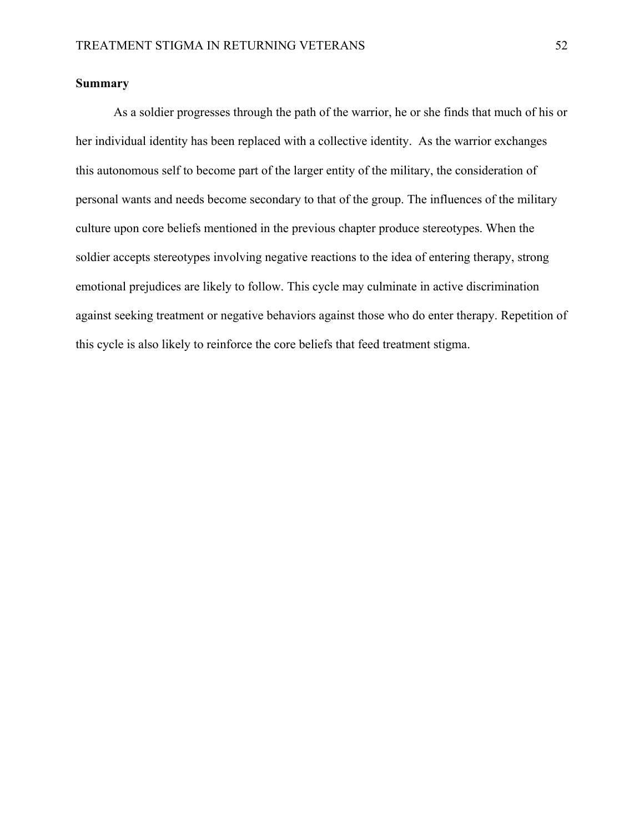# **Summary**

As a soldier progresses through the path of the warrior, he or she finds that much of his or her individual identity has been replaced with a collective identity. As the warrior exchanges this autonomous self to become part of the larger entity of the military, the consideration of personal wants and needs become secondary to that of the group. The influences of the military culture upon core beliefs mentioned in the previous chapter produce stereotypes. When the soldier accepts stereotypes involving negative reactions to the idea of entering therapy, strong emotional prejudices are likely to follow. This cycle may culminate in active discrimination against seeking treatment or negative behaviors against those who do enter therapy. Repetition of this cycle is also likely to reinforce the core beliefs that feed treatment stigma.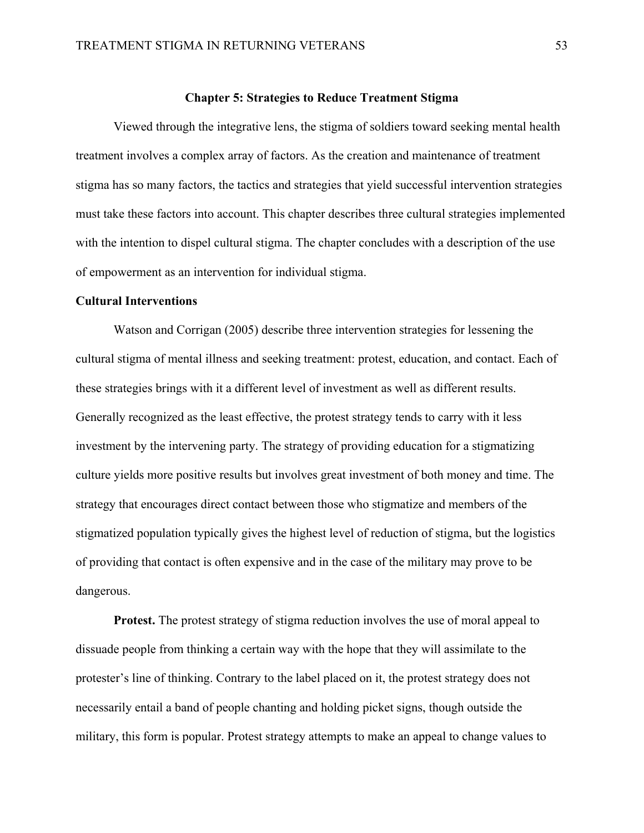## **Chapter 5: Strategies to Reduce Treatment Stigma**

Viewed through the integrative lens, the stigma of soldiers toward seeking mental health treatment involves a complex array of factors. As the creation and maintenance of treatment stigma has so many factors, the tactics and strategies that yield successful intervention strategies must take these factors into account. This chapter describes three cultural strategies implemented with the intention to dispel cultural stigma. The chapter concludes with a description of the use of empowerment as an intervention for individual stigma.

## **Cultural Interventions**

 Watson and Corrigan (2005) describe three intervention strategies for lessening the cultural stigma of mental illness and seeking treatment: protest, education, and contact. Each of these strategies brings with it a different level of investment as well as different results. Generally recognized as the least effective, the protest strategy tends to carry with it less investment by the intervening party. The strategy of providing education for a stigmatizing culture yields more positive results but involves great investment of both money and time. The strategy that encourages direct contact between those who stigmatize and members of the stigmatized population typically gives the highest level of reduction of stigma, but the logistics of providing that contact is often expensive and in the case of the military may prove to be dangerous.

**Protest.** The protest strategy of stigma reduction involves the use of moral appeal to dissuade people from thinking a certain way with the hope that they will assimilate to the protester's line of thinking. Contrary to the label placed on it, the protest strategy does not necessarily entail a band of people chanting and holding picket signs, though outside the military, this form is popular. Protest strategy attempts to make an appeal to change values to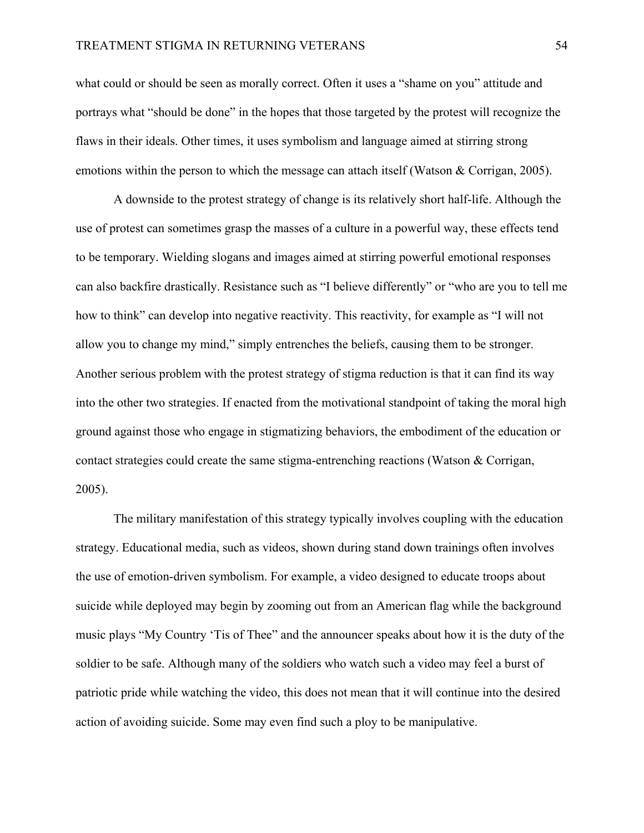what could or should be seen as morally correct. Often it uses a "shame on you" attitude and portrays what "should be done" in the hopes that those targeted by the protest will recognize the flaws in their ideals. Other times, it uses symbolism and language aimed at stirring strong emotions within the person to which the message can attach itself (Watson & Corrigan, 2005).

 A downside to the protest strategy of change is its relatively short half-life. Although the use of protest can sometimes grasp the masses of a culture in a powerful way, these effects tend to be temporary. Wielding slogans and images aimed at stirring powerful emotional responses can also backfire drastically. Resistance such as "I believe differently" or "who are you to tell me how to think" can develop into negative reactivity. This reactivity, for example as "I will not allow you to change my mind," simply entrenches the beliefs, causing them to be stronger. Another serious problem with the protest strategy of stigma reduction is that it can find its way into the other two strategies. If enacted from the motivational standpoint of taking the moral high ground against those who engage in stigmatizing behaviors, the embodiment of the education or contact strategies could create the same stigma-entrenching reactions (Watson & Corrigan, 2005).

 The military manifestation of this strategy typically involves coupling with the education strategy. Educational media, such as videos, shown during stand down trainings often involves the use of emotion-driven symbolism. For example, a video designed to educate troops about suicide while deployed may begin by zooming out from an American flag while the background music plays "My Country 'Tis of Thee" and the announcer speaks about how it is the duty of the soldier to be safe. Although many of the soldiers who watch such a video may feel a burst of patriotic pride while watching the video, this does not mean that it will continue into the desired action of avoiding suicide. Some may even find such a ploy to be manipulative.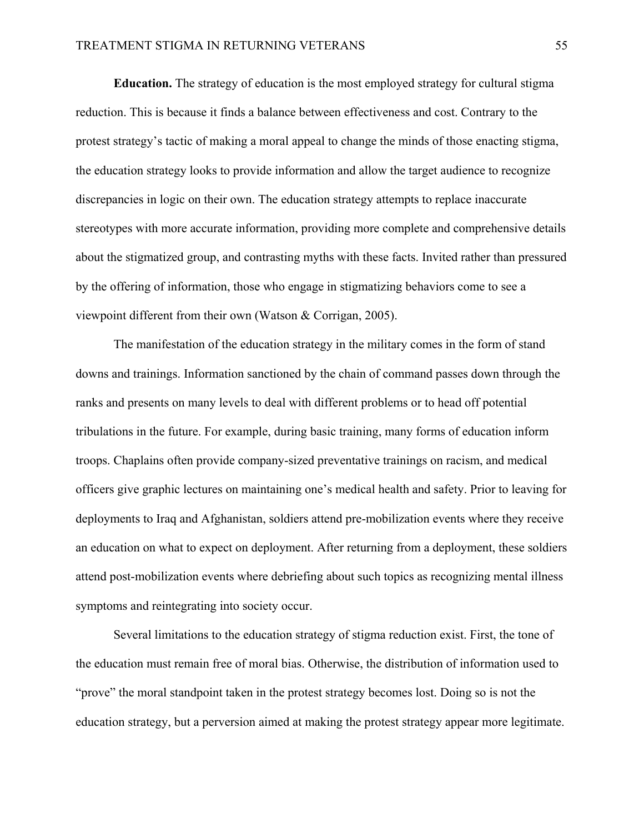**Education.** The strategy of education is the most employed strategy for cultural stigma reduction. This is because it finds a balance between effectiveness and cost. Contrary to the protest strategy's tactic of making a moral appeal to change the minds of those enacting stigma, the education strategy looks to provide information and allow the target audience to recognize discrepancies in logic on their own. The education strategy attempts to replace inaccurate stereotypes with more accurate information, providing more complete and comprehensive details about the stigmatized group, and contrasting myths with these facts. Invited rather than pressured by the offering of information, those who engage in stigmatizing behaviors come to see a viewpoint different from their own (Watson & Corrigan, 2005).

 The manifestation of the education strategy in the military comes in the form of stand downs and trainings. Information sanctioned by the chain of command passes down through the ranks and presents on many levels to deal with different problems or to head off potential tribulations in the future. For example, during basic training, many forms of education inform troops. Chaplains often provide company-sized preventative trainings on racism, and medical officers give graphic lectures on maintaining one's medical health and safety. Prior to leaving for deployments to Iraq and Afghanistan, soldiers attend pre-mobilization events where they receive an education on what to expect on deployment. After returning from a deployment, these soldiers attend post-mobilization events where debriefing about such topics as recognizing mental illness symptoms and reintegrating into society occur.

 Several limitations to the education strategy of stigma reduction exist. First, the tone of the education must remain free of moral bias. Otherwise, the distribution of information used to "prove" the moral standpoint taken in the protest strategy becomes lost. Doing so is not the education strategy, but a perversion aimed at making the protest strategy appear more legitimate.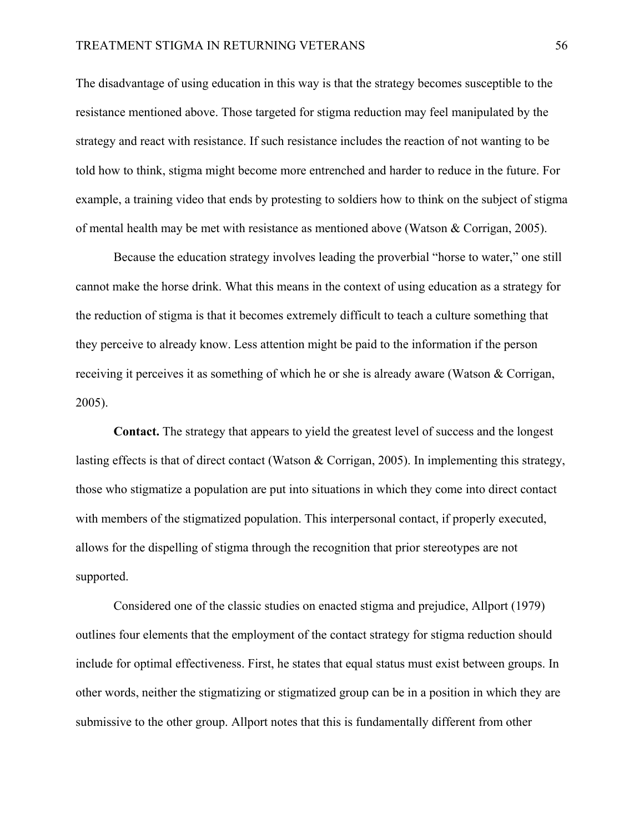The disadvantage of using education in this way is that the strategy becomes susceptible to the resistance mentioned above. Those targeted for stigma reduction may feel manipulated by the strategy and react with resistance. If such resistance includes the reaction of not wanting to be told how to think, stigma might become more entrenched and harder to reduce in the future. For example, a training video that ends by protesting to soldiers how to think on the subject of stigma of mental health may be met with resistance as mentioned above (Watson & Corrigan, 2005).

 Because the education strategy involves leading the proverbial "horse to water," one still cannot make the horse drink. What this means in the context of using education as a strategy for the reduction of stigma is that it becomes extremely difficult to teach a culture something that they perceive to already know. Less attention might be paid to the information if the person receiving it perceives it as something of which he or she is already aware (Watson & Corrigan, 2005).

 **Contact.** The strategy that appears to yield the greatest level of success and the longest lasting effects is that of direct contact (Watson & Corrigan, 2005). In implementing this strategy, those who stigmatize a population are put into situations in which they come into direct contact with members of the stigmatized population. This interpersonal contact, if properly executed, allows for the dispelling of stigma through the recognition that prior stereotypes are not supported.

 Considered one of the classic studies on enacted stigma and prejudice, Allport (1979) outlines four elements that the employment of the contact strategy for stigma reduction should include for optimal effectiveness. First, he states that equal status must exist between groups. In other words, neither the stigmatizing or stigmatized group can be in a position in which they are submissive to the other group. Allport notes that this is fundamentally different from other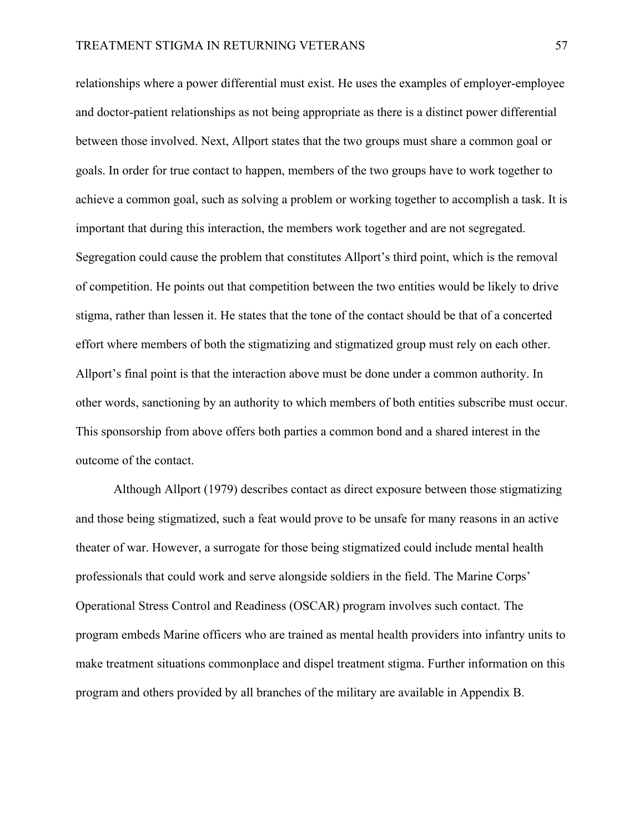relationships where a power differential must exist. He uses the examples of employer-employee and doctor-patient relationships as not being appropriate as there is a distinct power differential between those involved. Next, Allport states that the two groups must share a common goal or goals. In order for true contact to happen, members of the two groups have to work together to achieve a common goal, such as solving a problem or working together to accomplish a task. It is important that during this interaction, the members work together and are not segregated. Segregation could cause the problem that constitutes Allport's third point, which is the removal of competition. He points out that competition between the two entities would be likely to drive stigma, rather than lessen it. He states that the tone of the contact should be that of a concerted effort where members of both the stigmatizing and stigmatized group must rely on each other. Allport's final point is that the interaction above must be done under a common authority. In other words, sanctioning by an authority to which members of both entities subscribe must occur. This sponsorship from above offers both parties a common bond and a shared interest in the outcome of the contact.

Although Allport (1979) describes contact as direct exposure between those stigmatizing and those being stigmatized, such a feat would prove to be unsafe for many reasons in an active theater of war. However, a surrogate for those being stigmatized could include mental health professionals that could work and serve alongside soldiers in the field. The Marine Corps' Operational Stress Control and Readiness (OSCAR) program involves such contact. The program embeds Marine officers who are trained as mental health providers into infantry units to make treatment situations commonplace and dispel treatment stigma. Further information on this program and others provided by all branches of the military are available in Appendix B.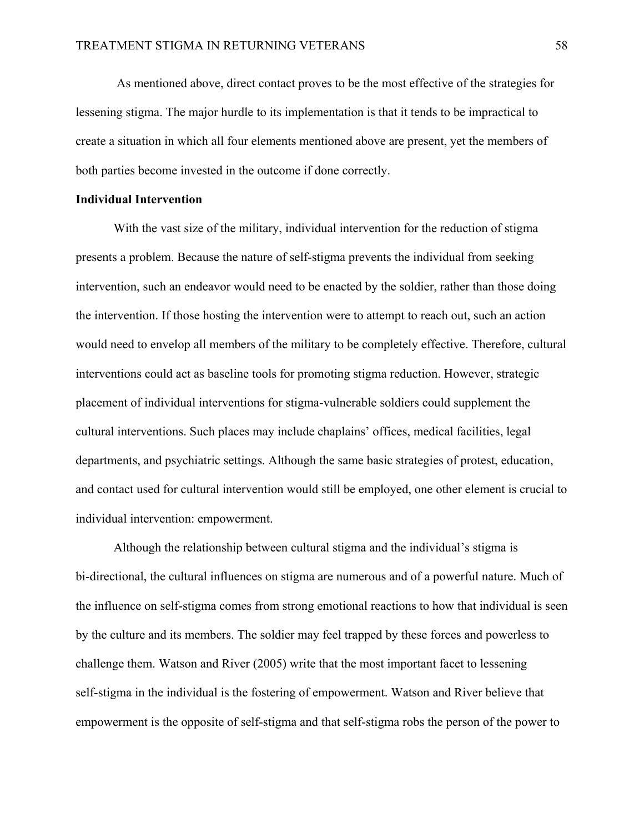As mentioned above, direct contact proves to be the most effective of the strategies for lessening stigma. The major hurdle to its implementation is that it tends to be impractical to create a situation in which all four elements mentioned above are present, yet the members of both parties become invested in the outcome if done correctly.

## **Individual Intervention**

 With the vast size of the military, individual intervention for the reduction of stigma presents a problem. Because the nature of self-stigma prevents the individual from seeking intervention, such an endeavor would need to be enacted by the soldier, rather than those doing the intervention. If those hosting the intervention were to attempt to reach out, such an action would need to envelop all members of the military to be completely effective. Therefore, cultural interventions could act as baseline tools for promoting stigma reduction. However, strategic placement of individual interventions for stigma-vulnerable soldiers could supplement the cultural interventions. Such places may include chaplains' offices, medical facilities, legal departments, and psychiatric settings. Although the same basic strategies of protest, education, and contact used for cultural intervention would still be employed, one other element is crucial to individual intervention: empowerment.

 Although the relationship between cultural stigma and the individual's stigma is bi-directional, the cultural influences on stigma are numerous and of a powerful nature. Much of the influence on self-stigma comes from strong emotional reactions to how that individual is seen by the culture and its members. The soldier may feel trapped by these forces and powerless to challenge them. Watson and River (2005) write that the most important facet to lessening self-stigma in the individual is the fostering of empowerment. Watson and River believe that empowerment is the opposite of self-stigma and that self-stigma robs the person of the power to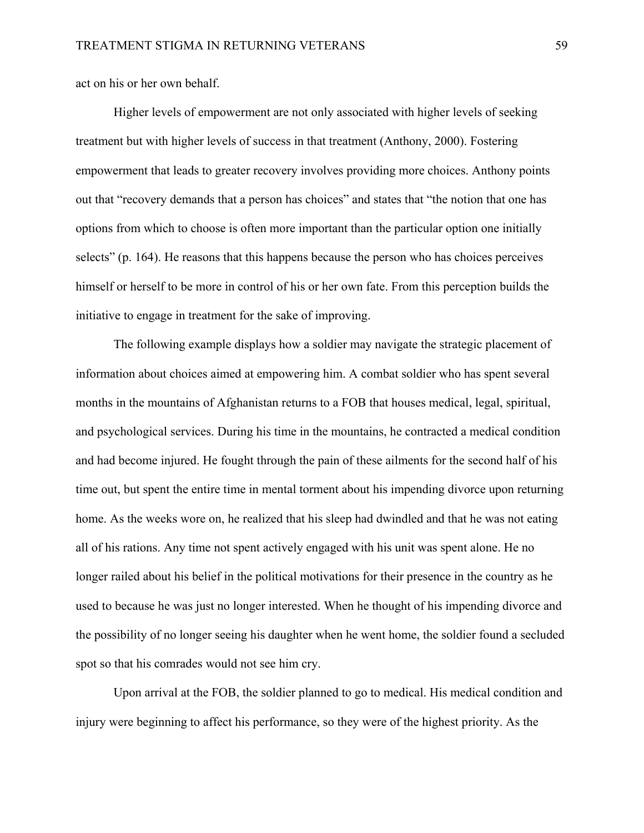act on his or her own behalf.

Higher levels of empowerment are not only associated with higher levels of seeking treatment but with higher levels of success in that treatment (Anthony, 2000). Fostering empowerment that leads to greater recovery involves providing more choices. Anthony points out that "recovery demands that a person has choices" and states that "the notion that one has options from which to choose is often more important than the particular option one initially selects" (p. 164). He reasons that this happens because the person who has choices perceives himself or herself to be more in control of his or her own fate. From this perception builds the initiative to engage in treatment for the sake of improving.

 The following example displays how a soldier may navigate the strategic placement of information about choices aimed at empowering him. A combat soldier who has spent several months in the mountains of Afghanistan returns to a FOB that houses medical, legal, spiritual, and psychological services. During his time in the mountains, he contracted a medical condition and had become injured. He fought through the pain of these ailments for the second half of his time out, but spent the entire time in mental torment about his impending divorce upon returning home. As the weeks wore on, he realized that his sleep had dwindled and that he was not eating all of his rations. Any time not spent actively engaged with his unit was spent alone. He no longer railed about his belief in the political motivations for their presence in the country as he used to because he was just no longer interested. When he thought of his impending divorce and the possibility of no longer seeing his daughter when he went home, the soldier found a secluded spot so that his comrades would not see him cry.

 Upon arrival at the FOB, the soldier planned to go to medical. His medical condition and injury were beginning to affect his performance, so they were of the highest priority. As the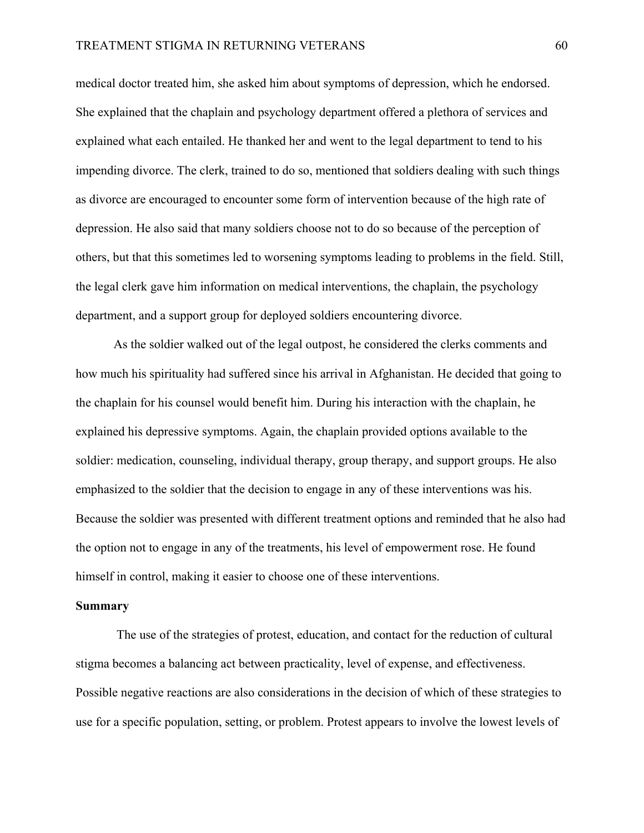medical doctor treated him, she asked him about symptoms of depression, which he endorsed. She explained that the chaplain and psychology department offered a plethora of services and explained what each entailed. He thanked her and went to the legal department to tend to his impending divorce. The clerk, trained to do so, mentioned that soldiers dealing with such things as divorce are encouraged to encounter some form of intervention because of the high rate of depression. He also said that many soldiers choose not to do so because of the perception of others, but that this sometimes led to worsening symptoms leading to problems in the field. Still, the legal clerk gave him information on medical interventions, the chaplain, the psychology department, and a support group for deployed soldiers encountering divorce.

 As the soldier walked out of the legal outpost, he considered the clerks comments and how much his spirituality had suffered since his arrival in Afghanistan. He decided that going to the chaplain for his counsel would benefit him. During his interaction with the chaplain, he explained his depressive symptoms. Again, the chaplain provided options available to the soldier: medication, counseling, individual therapy, group therapy, and support groups. He also emphasized to the soldier that the decision to engage in any of these interventions was his. Because the soldier was presented with different treatment options and reminded that he also had the option not to engage in any of the treatments, his level of empowerment rose. He found himself in control, making it easier to choose one of these interventions.

#### **Summary**

 The use of the strategies of protest, education, and contact for the reduction of cultural stigma becomes a balancing act between practicality, level of expense, and effectiveness. Possible negative reactions are also considerations in the decision of which of these strategies to use for a specific population, setting, or problem. Protest appears to involve the lowest levels of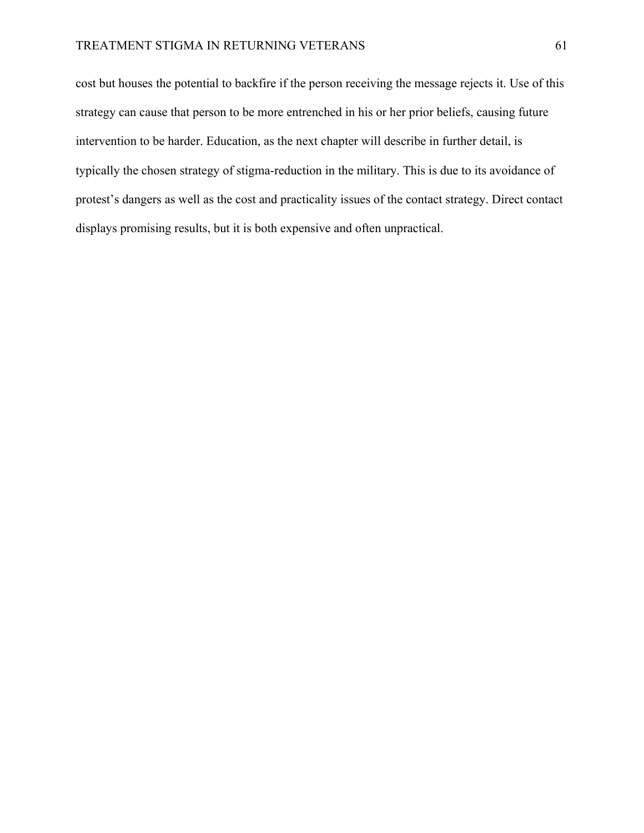cost but houses the potential to backfire if the person receiving the message rejects it. Use of this strategy can cause that person to be more entrenched in his or her prior beliefs, causing future intervention to be harder. Education, as the next chapter will describe in further detail, is typically the chosen strategy of stigma-reduction in the military. This is due to its avoidance of protest's dangers as well as the cost and practicality issues of the contact strategy. Direct contact displays promising results, but it is both expensive and often unpractical.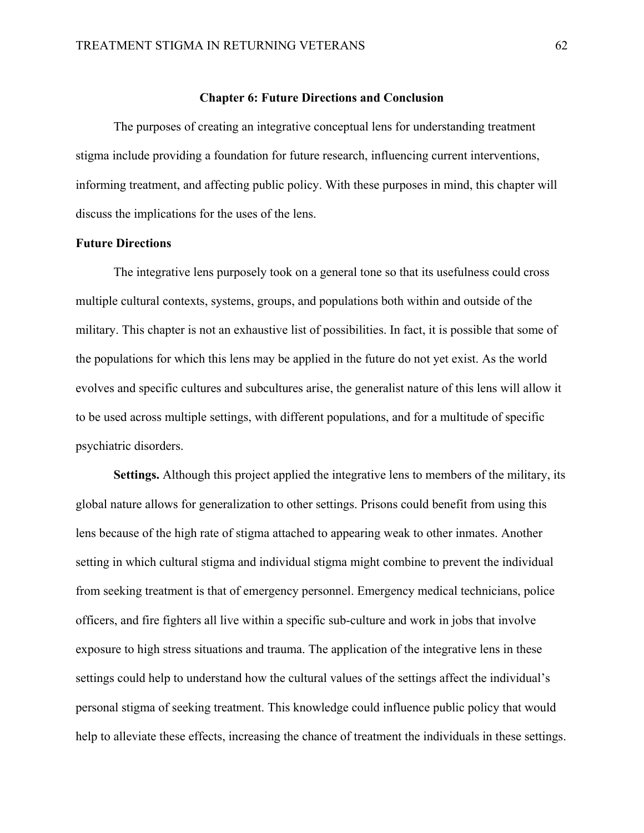## **Chapter 6: Future Directions and Conclusion**

The purposes of creating an integrative conceptual lens for understanding treatment stigma include providing a foundation for future research, influencing current interventions, informing treatment, and affecting public policy. With these purposes in mind, this chapter will discuss the implications for the uses of the lens.

# **Future Directions**

The integrative lens purposely took on a general tone so that its usefulness could cross multiple cultural contexts, systems, groups, and populations both within and outside of the military. This chapter is not an exhaustive list of possibilities. In fact, it is possible that some of the populations for which this lens may be applied in the future do not yet exist. As the world evolves and specific cultures and subcultures arise, the generalist nature of this lens will allow it to be used across multiple settings, with different populations, and for a multitude of specific psychiatric disorders.

**Settings.** Although this project applied the integrative lens to members of the military, its global nature allows for generalization to other settings. Prisons could benefit from using this lens because of the high rate of stigma attached to appearing weak to other inmates. Another setting in which cultural stigma and individual stigma might combine to prevent the individual from seeking treatment is that of emergency personnel. Emergency medical technicians, police officers, and fire fighters all live within a specific sub-culture and work in jobs that involve exposure to high stress situations and trauma. The application of the integrative lens in these settings could help to understand how the cultural values of the settings affect the individual's personal stigma of seeking treatment. This knowledge could influence public policy that would help to alleviate these effects, increasing the chance of treatment the individuals in these settings.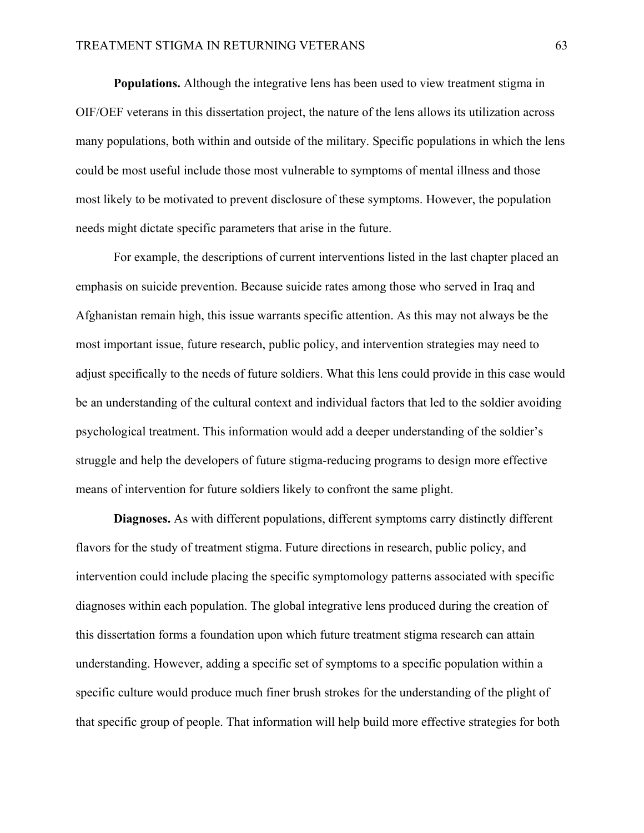**Populations.** Although the integrative lens has been used to view treatment stigma in OIF/OEF veterans in this dissertation project, the nature of the lens allows its utilization across many populations, both within and outside of the military. Specific populations in which the lens could be most useful include those most vulnerable to symptoms of mental illness and those most likely to be motivated to prevent disclosure of these symptoms. However, the population needs might dictate specific parameters that arise in the future.

For example, the descriptions of current interventions listed in the last chapter placed an emphasis on suicide prevention. Because suicide rates among those who served in Iraq and Afghanistan remain high, this issue warrants specific attention. As this may not always be the most important issue, future research, public policy, and intervention strategies may need to adjust specifically to the needs of future soldiers. What this lens could provide in this case would be an understanding of the cultural context and individual factors that led to the soldier avoiding psychological treatment. This information would add a deeper understanding of the soldier's struggle and help the developers of future stigma-reducing programs to design more effective means of intervention for future soldiers likely to confront the same plight.

**Diagnoses.** As with different populations, different symptoms carry distinctly different flavors for the study of treatment stigma. Future directions in research, public policy, and intervention could include placing the specific symptomology patterns associated with specific diagnoses within each population. The global integrative lens produced during the creation of this dissertation forms a foundation upon which future treatment stigma research can attain understanding. However, adding a specific set of symptoms to a specific population within a specific culture would produce much finer brush strokes for the understanding of the plight of that specific group of people. That information will help build more effective strategies for both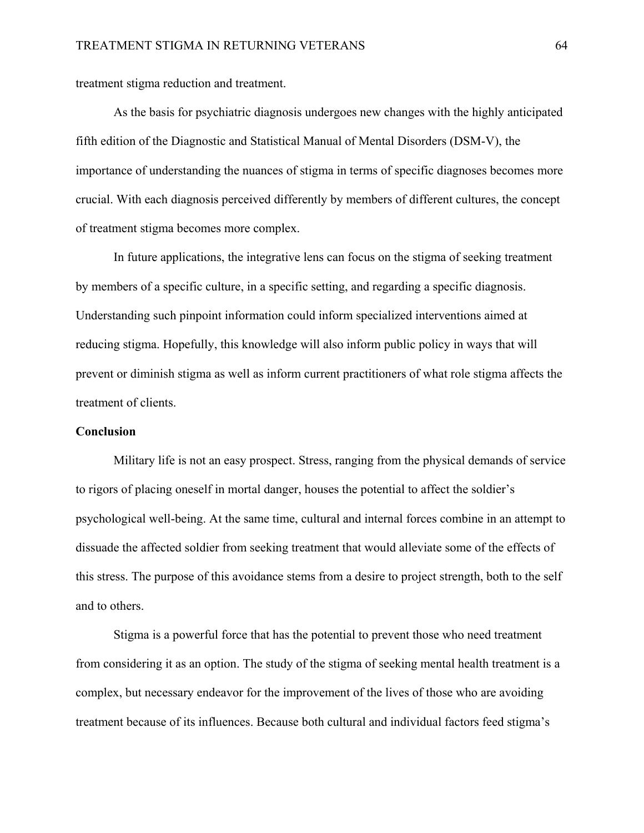treatment stigma reduction and treatment.

 As the basis for psychiatric diagnosis undergoes new changes with the highly anticipated fifth edition of the Diagnostic and Statistical Manual of Mental Disorders (DSM-V), the importance of understanding the nuances of stigma in terms of specific diagnoses becomes more crucial. With each diagnosis perceived differently by members of different cultures, the concept of treatment stigma becomes more complex.

 In future applications, the integrative lens can focus on the stigma of seeking treatment by members of a specific culture, in a specific setting, and regarding a specific diagnosis. Understanding such pinpoint information could inform specialized interventions aimed at reducing stigma. Hopefully, this knowledge will also inform public policy in ways that will prevent or diminish stigma as well as inform current practitioners of what role stigma affects the treatment of clients.

#### **Conclusion**

 Military life is not an easy prospect. Stress, ranging from the physical demands of service to rigors of placing oneself in mortal danger, houses the potential to affect the soldier's psychological well-being. At the same time, cultural and internal forces combine in an attempt to dissuade the affected soldier from seeking treatment that would alleviate some of the effects of this stress. The purpose of this avoidance stems from a desire to project strength, both to the self and to others.

 Stigma is a powerful force that has the potential to prevent those who need treatment from considering it as an option. The study of the stigma of seeking mental health treatment is a complex, but necessary endeavor for the improvement of the lives of those who are avoiding treatment because of its influences. Because both cultural and individual factors feed stigma's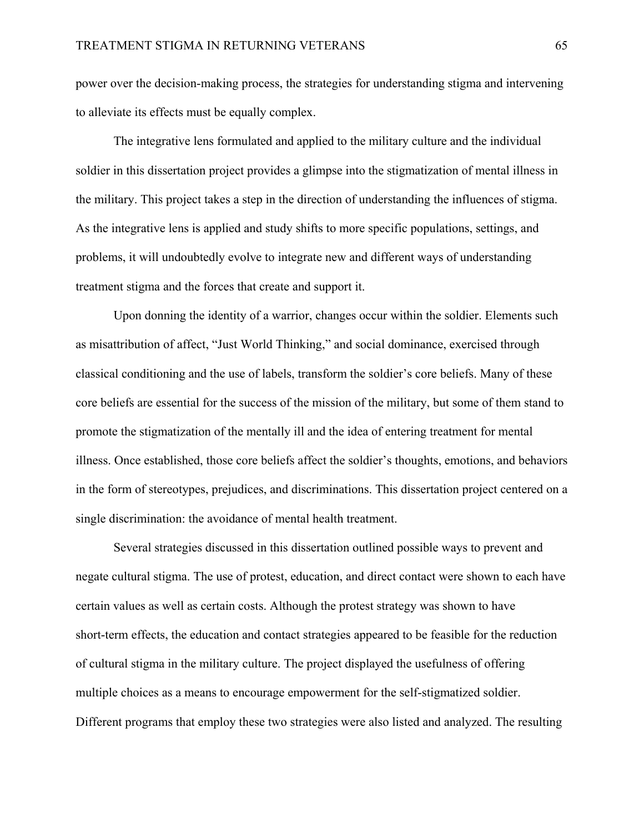power over the decision-making process, the strategies for understanding stigma and intervening to alleviate its effects must be equally complex.

The integrative lens formulated and applied to the military culture and the individual soldier in this dissertation project provides a glimpse into the stigmatization of mental illness in the military. This project takes a step in the direction of understanding the influences of stigma. As the integrative lens is applied and study shifts to more specific populations, settings, and problems, it will undoubtedly evolve to integrate new and different ways of understanding treatment stigma and the forces that create and support it.

Upon donning the identity of a warrior, changes occur within the soldier. Elements such as misattribution of affect, "Just World Thinking," and social dominance, exercised through classical conditioning and the use of labels, transform the soldier's core beliefs. Many of these core beliefs are essential for the success of the mission of the military, but some of them stand to promote the stigmatization of the mentally ill and the idea of entering treatment for mental illness. Once established, those core beliefs affect the soldier's thoughts, emotions, and behaviors in the form of stereotypes, prejudices, and discriminations. This dissertation project centered on a single discrimination: the avoidance of mental health treatment.

Several strategies discussed in this dissertation outlined possible ways to prevent and negate cultural stigma. The use of protest, education, and direct contact were shown to each have certain values as well as certain costs. Although the protest strategy was shown to have short-term effects, the education and contact strategies appeared to be feasible for the reduction of cultural stigma in the military culture. The project displayed the usefulness of offering multiple choices as a means to encourage empowerment for the self-stigmatized soldier. Different programs that employ these two strategies were also listed and analyzed. The resulting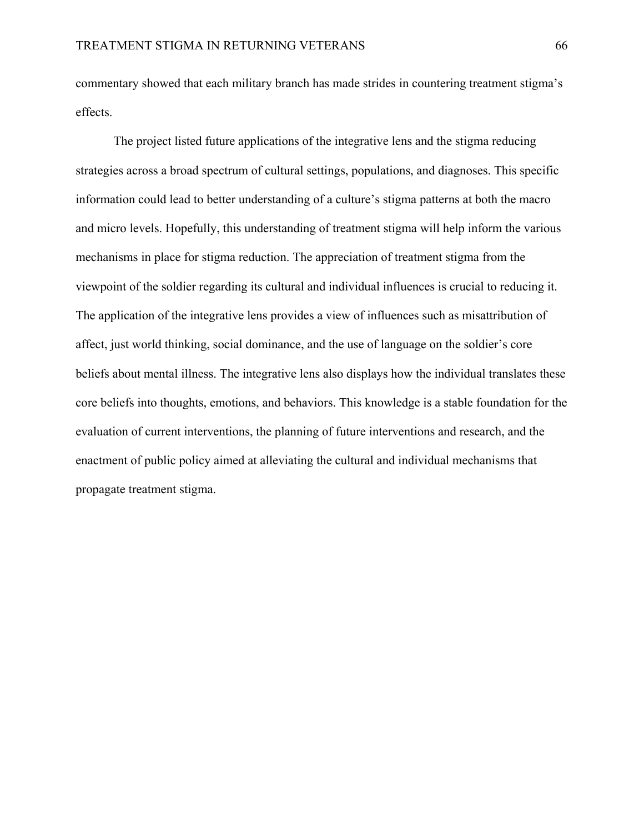commentary showed that each military branch has made strides in countering treatment stigma's effects.

The project listed future applications of the integrative lens and the stigma reducing strategies across a broad spectrum of cultural settings, populations, and diagnoses. This specific information could lead to better understanding of a culture's stigma patterns at both the macro and micro levels. Hopefully, this understanding of treatment stigma will help inform the various mechanisms in place for stigma reduction. The appreciation of treatment stigma from the viewpoint of the soldier regarding its cultural and individual influences is crucial to reducing it. The application of the integrative lens provides a view of influences such as misattribution of affect, just world thinking, social dominance, and the use of language on the soldier's core beliefs about mental illness. The integrative lens also displays how the individual translates these core beliefs into thoughts, emotions, and behaviors. This knowledge is a stable foundation for the evaluation of current interventions, the planning of future interventions and research, and the enactment of public policy aimed at alleviating the cultural and individual mechanisms that propagate treatment stigma.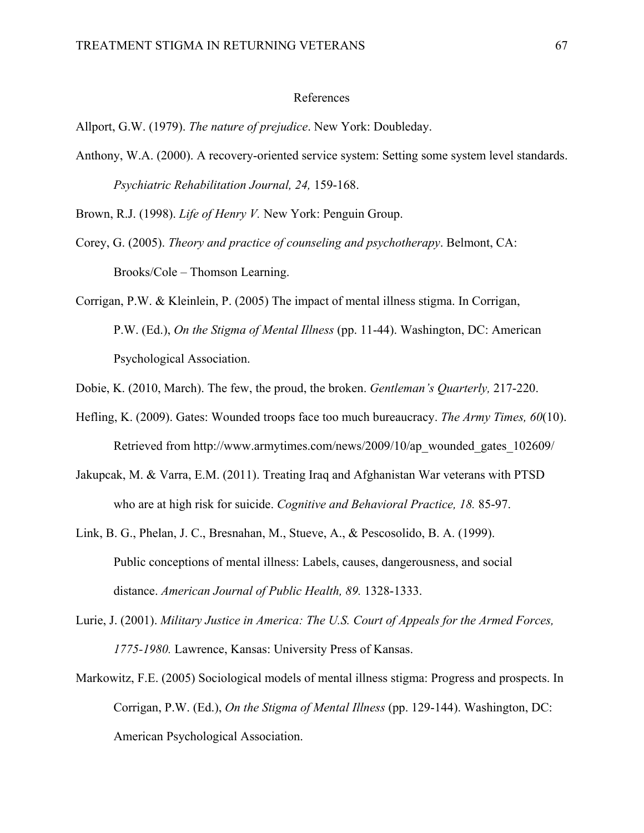#### References

Allport, G.W. (1979). *The nature of prejudice*. New York: Doubleday.

Anthony, W.A. (2000). A recovery-oriented service system: Setting some system level standards. *Psychiatric Rehabilitation Journal, 24,* 159-168.

Brown, R.J. (1998). *Life of Henry V.* New York: Penguin Group.

- Corey, G. (2005). *Theory and practice of counseling and psychotherapy*. Belmont, CA: Brooks/Cole – Thomson Learning.
- Corrigan, P.W. & Kleinlein, P. (2005) The impact of mental illness stigma. In Corrigan, P.W. (Ed.), *On the Stigma of Mental Illness* (pp. 11-44). Washington, DC: American Psychological Association.
- Dobie, K. (2010, March). The few, the proud, the broken. *Gentleman's Quarterly,* 217-220.
- Hefling, K. (2009). Gates: Wounded troops face too much bureaucracy. *The Army Times, 60*(10). Retrieved from http://www.armytimes.com/news/2009/10/ap\_wounded\_gates\_102609/
- Jakupcak, M. & Varra, E.M. (2011). Treating Iraq and Afghanistan War veterans with PTSD who are at high risk for suicide. *Cognitive and Behavioral Practice, 18.* 85-97.
- Link, B. G., Phelan, J. C., Bresnahan, M., Stueve, A., & Pescosolido, B. A. (1999). Public conceptions of mental illness: Labels, causes, dangerousness, and social distance. *American Journal of Public Health, 89.* 1328-1333.
- Lurie, J. (2001). *Military Justice in America: The U.S. Court of Appeals for the Armed Forces, 1775-1980.* Lawrence, Kansas: University Press of Kansas.
- Markowitz, F.E. (2005) Sociological models of mental illness stigma: Progress and prospects. In Corrigan, P.W. (Ed.), *On the Stigma of Mental Illness* (pp. 129-144). Washington, DC: American Psychological Association.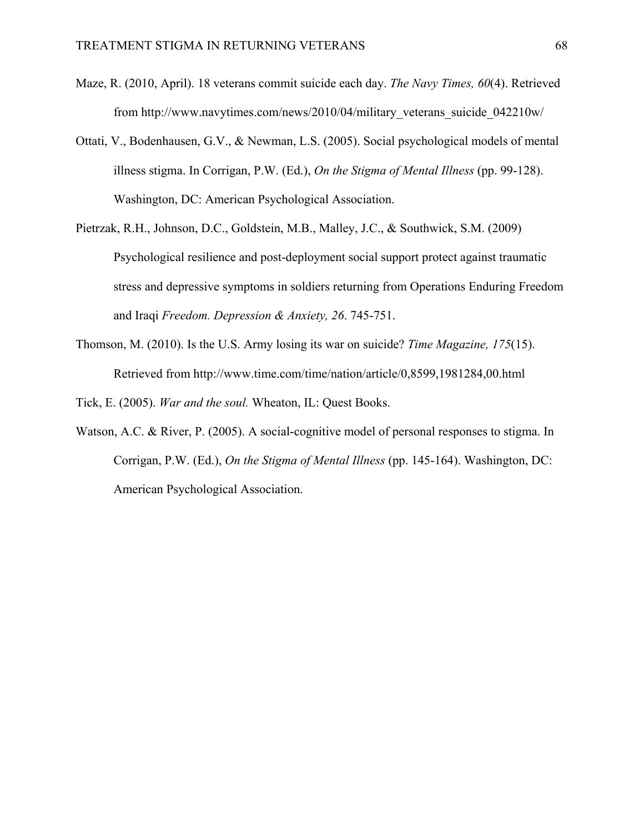- Maze, R. (2010, April). 18 veterans commit suicide each day. *The Navy Times, 60*(4). Retrieved from http://www.navytimes.com/news/2010/04/military\_veterans\_suicide\_042210w/
- Ottati, V., Bodenhausen, G.V., & Newman, L.S. (2005). Social psychological models of mental illness stigma. In Corrigan, P.W. (Ed.), *On the Stigma of Mental Illness* (pp. 99-128). Washington, DC: American Psychological Association.
- Pietrzak, R.H., Johnson, D.C., Goldstein, M.B., Malley, J.C., & Southwick, S.M. (2009) Psychological resilience and post-deployment social support protect against traumatic stress and depressive symptoms in soldiers returning from Operations Enduring Freedom and Iraqi *Freedom. Depression & Anxiety, 26*. 745-751.
- Thomson, M. (2010). Is the U.S. Army losing its war on suicide? *Time Magazine, 175*(15). Retrieved from http://www.time.com/time/nation/article/0,8599,1981284,00.html

Tick, E. (2005). *War and the soul.* Wheaton, IL: Quest Books.

Watson, A.C. & River, P. (2005). A social-cognitive model of personal responses to stigma. In Corrigan, P.W. (Ed.), *On the Stigma of Mental Illness* (pp. 145-164). Washington, DC: American Psychological Association.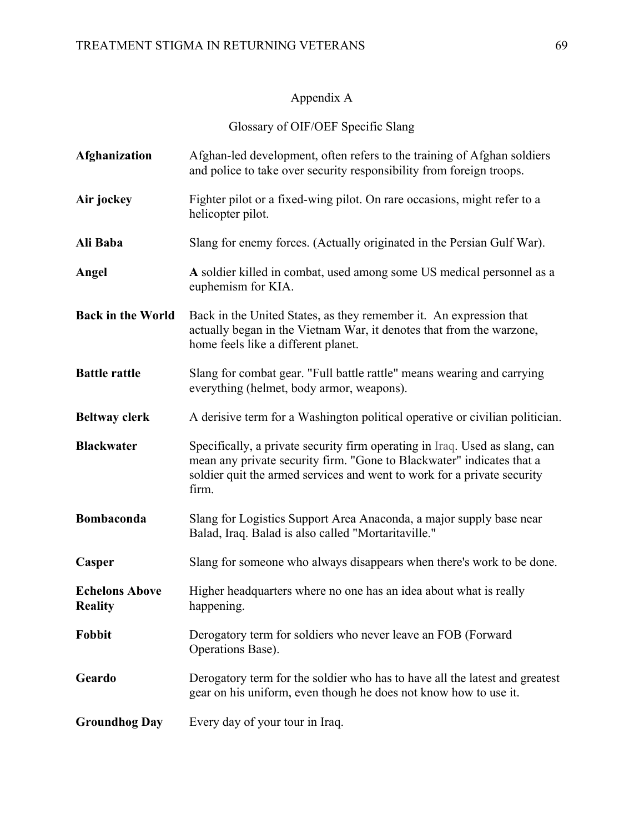# Appendix A

Glossary of OIF/OEF Specific Slang

| Afghanization                           | Afghan-led development, often refers to the training of Afghan soldiers<br>and police to take over security responsibility from foreign troops.                                                                                          |
|-----------------------------------------|------------------------------------------------------------------------------------------------------------------------------------------------------------------------------------------------------------------------------------------|
| Air jockey                              | Fighter pilot or a fixed-wing pilot. On rare occasions, might refer to a<br>helicopter pilot.                                                                                                                                            |
| Ali Baba                                | Slang for enemy forces. (Actually originated in the Persian Gulf War).                                                                                                                                                                   |
| Angel                                   | A soldier killed in combat, used among some US medical personnel as a<br>euphemism for KIA.                                                                                                                                              |
| <b>Back in the World</b>                | Back in the United States, as they remember it. An expression that<br>actually began in the Vietnam War, it denotes that from the warzone,<br>home feels like a different planet.                                                        |
| <b>Battle rattle</b>                    | Slang for combat gear. "Full battle rattle" means wearing and carrying<br>everything (helmet, body armor, weapons).                                                                                                                      |
| <b>Beltway clerk</b>                    | A derisive term for a Washington political operative or civilian politician.                                                                                                                                                             |
| <b>Blackwater</b>                       | Specifically, a private security firm operating in Iraq. Used as slang, can<br>mean any private security firm. "Gone to Blackwater" indicates that a<br>soldier quit the armed services and went to work for a private security<br>firm. |
| <b>Bombaconda</b>                       | Slang for Logistics Support Area Anaconda, a major supply base near<br>Balad, Iraq. Balad is also called "Mortaritaville."                                                                                                               |
| Casper                                  | Slang for someone who always disappears when there's work to be done.                                                                                                                                                                    |
| <b>Echelons Above</b><br><b>Reality</b> | Higher headquarters where no one has an idea about what is really<br>happening.                                                                                                                                                          |
| Fobbit                                  | Derogatory term for soldiers who never leave an FOB (Forward<br>Operations Base).                                                                                                                                                        |
| Geardo                                  | Derogatory term for the soldier who has to have all the latest and greatest<br>gear on his uniform, even though he does not know how to use it.                                                                                          |
| <b>Groundhog Day</b>                    | Every day of your tour in Iraq.                                                                                                                                                                                                          |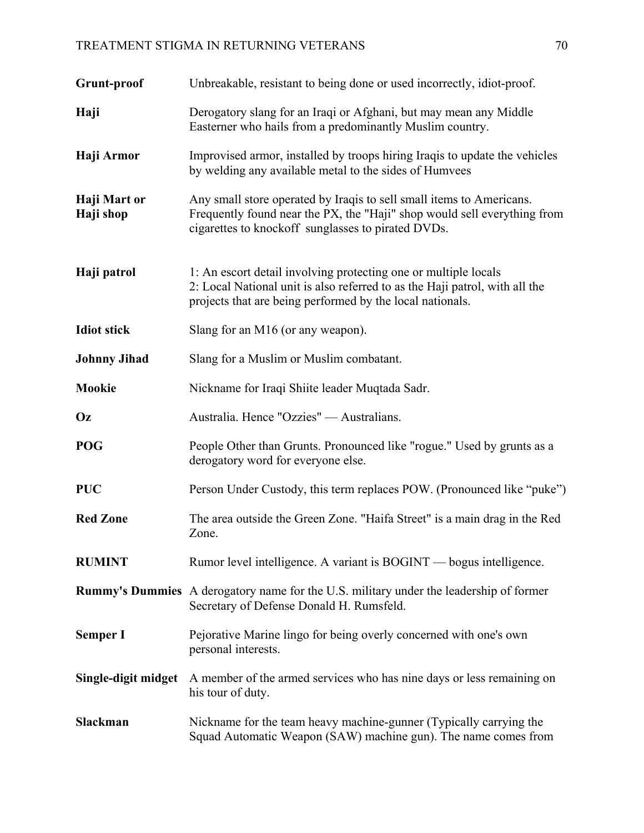# TREATMENT STIGMA IN RETURNING VETERANS 70

| Grunt-proof               | Unbreakable, resistant to being done or used incorrectly, idiot-proof.                                                                                                                                      |
|---------------------------|-------------------------------------------------------------------------------------------------------------------------------------------------------------------------------------------------------------|
| Haji                      | Derogatory slang for an Iraqi or Afghani, but may mean any Middle<br>Easterner who hails from a predominantly Muslim country.                                                                               |
| Haji Armor                | Improvised armor, installed by troops hiring Iraqis to update the vehicles<br>by welding any available metal to the sides of Humvees                                                                        |
| Haji Mart or<br>Haji shop | Any small store operated by Iraqis to sell small items to Americans.<br>Frequently found near the PX, the "Haji" shop would sell everything from<br>cigarettes to knockoff sunglasses to pirated DVDs.      |
| Haji patrol               | 1: An escort detail involving protecting one or multiple locals<br>2: Local National unit is also referred to as the Haji patrol, with all the<br>projects that are being performed by the local nationals. |
| <b>Idiot stick</b>        | Slang for an M16 (or any weapon).                                                                                                                                                                           |
| <b>Johnny Jihad</b>       | Slang for a Muslim or Muslim combatant.                                                                                                                                                                     |
| <b>Mookie</b>             | Nickname for Iraqi Shiite leader Muqtada Sadr.                                                                                                                                                              |
| Oz                        | Australia. Hence "Ozzies" — Australians.                                                                                                                                                                    |
| <b>POG</b>                | People Other than Grunts. Pronounced like "rogue." Used by grunts as a<br>derogatory word for everyone else.                                                                                                |
| <b>PUC</b>                | Person Under Custody, this term replaces POW. (Pronounced like "puke")                                                                                                                                      |
| <b>Red Zone</b>           | The area outside the Green Zone. "Haifa Street" is a main drag in the Red<br>Zone.                                                                                                                          |
| <b>RUMINT</b>             | Rumor level intelligence. A variant is BOGINT — bogus intelligence.                                                                                                                                         |
|                           | <b>Rummy's Dummies</b> A derogatory name for the U.S. military under the leadership of former<br>Secretary of Defense Donald H. Rumsfeld.                                                                   |
| <b>Semper I</b>           | Pejorative Marine lingo for being overly concerned with one's own<br>personal interests.                                                                                                                    |
| Single-digit midget       | A member of the armed services who has nine days or less remaining on<br>his tour of duty.                                                                                                                  |
| <b>Slackman</b>           | Nickname for the team heavy machine-gunner (Typically carrying the<br>Squad Automatic Weapon (SAW) machine gun). The name comes from                                                                        |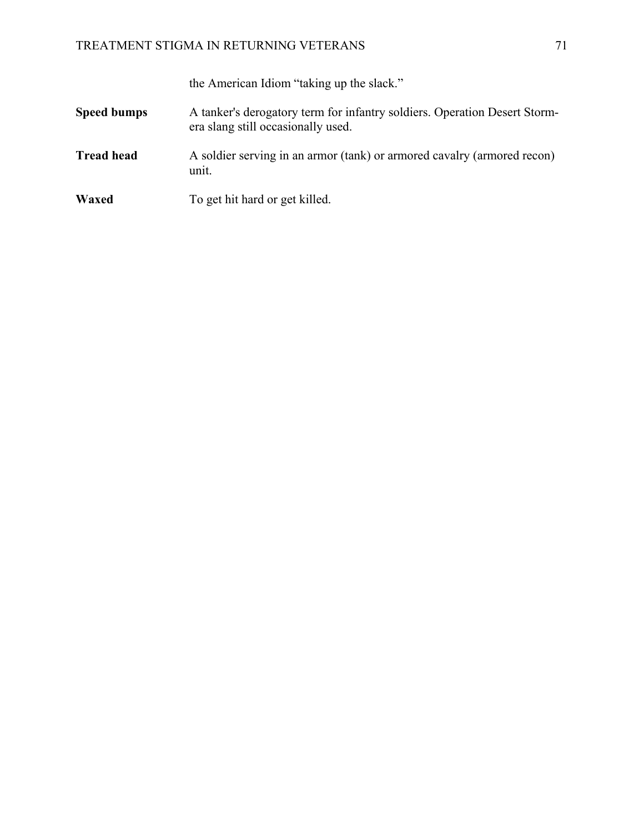the American Idiom "taking up the slack."

- **Speed bumps** A tanker's derogatory term for infantry soldiers. Operation Desert Stormera slang still occasionally used.
- **Tread head** A soldier serving in an armor (tank) or armored cavalry (armored recon) unit.
- **Waxed** To get hit hard or get killed.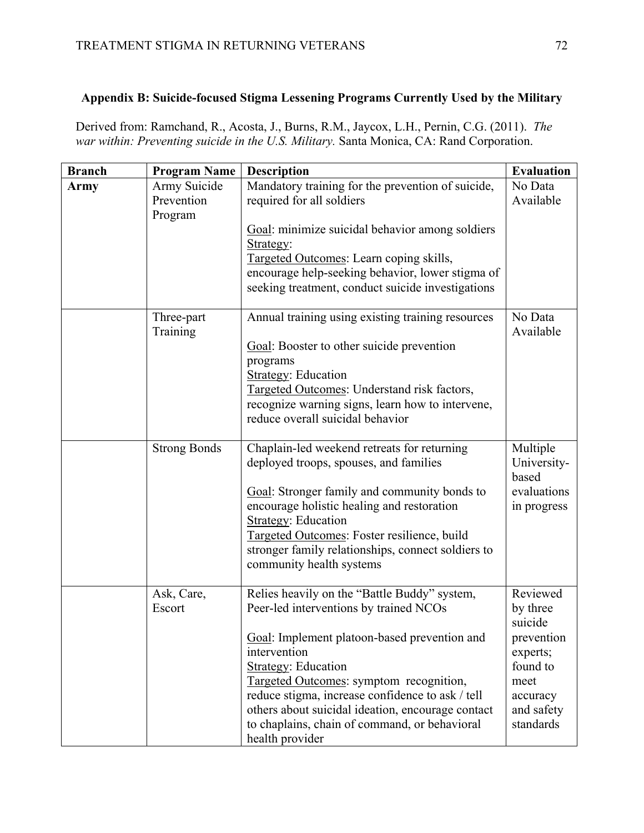### **Appendix B: Suicide-focused Stigma Lessening Programs Currently Used by the Military**

Derived from: Ramchand, R., Acosta, J., Burns, R.M., Jaycox, L.H., Pernin, C.G. (2011). *The war within: Preventing suicide in the U.S. Military.* Santa Monica, CA: Rand Corporation.

| <b>Branch</b> | <b>Program Name</b>                   | <b>Description</b>                                                                                                                                                                                                                                                                                                                                                                                           | <b>Evaluation</b>                                                                                                    |
|---------------|---------------------------------------|--------------------------------------------------------------------------------------------------------------------------------------------------------------------------------------------------------------------------------------------------------------------------------------------------------------------------------------------------------------------------------------------------------------|----------------------------------------------------------------------------------------------------------------------|
| Army          | Army Suicide<br>Prevention<br>Program | Mandatory training for the prevention of suicide,<br>required for all soldiers                                                                                                                                                                                                                                                                                                                               | No Data<br>Available                                                                                                 |
|               |                                       | Goal: minimize suicidal behavior among soldiers<br>Strategy:<br>Targeted Outcomes: Learn coping skills,<br>encourage help-seeking behavior, lower stigma of<br>seeking treatment, conduct suicide investigations                                                                                                                                                                                             |                                                                                                                      |
|               | Three-part<br>Training                | Annual training using existing training resources<br>Goal: Booster to other suicide prevention<br>programs<br><b>Strategy: Education</b><br>Targeted Outcomes: Understand risk factors,<br>recognize warning signs, learn how to intervene,<br>reduce overall suicidal behavior                                                                                                                              | No Data<br>Available                                                                                                 |
|               | <b>Strong Bonds</b>                   | Chaplain-led weekend retreats for returning<br>deployed troops, spouses, and families<br>Goal: Stronger family and community bonds to<br>encourage holistic healing and restoration<br><b>Strategy: Education</b><br>Targeted Outcomes: Foster resilience, build<br>stronger family relationships, connect soldiers to<br>community health systems                                                           | Multiple<br>University-<br>based<br>evaluations<br>in progress                                                       |
|               | Ask, Care,<br>Escort                  | Relies heavily on the "Battle Buddy" system,<br>Peer-led interventions by trained NCOs<br>Goal: Implement platoon-based prevention and<br>intervention<br><b>Strategy: Education</b><br>Targeted Outcomes: symptom recognition,<br>reduce stigma, increase confidence to ask / tell<br>others about suicidal ideation, encourage contact<br>to chaplains, chain of command, or behavioral<br>health provider | Reviewed<br>by three<br>suicide<br>prevention<br>experts;<br>found to<br>meet<br>accuracy<br>and safety<br>standards |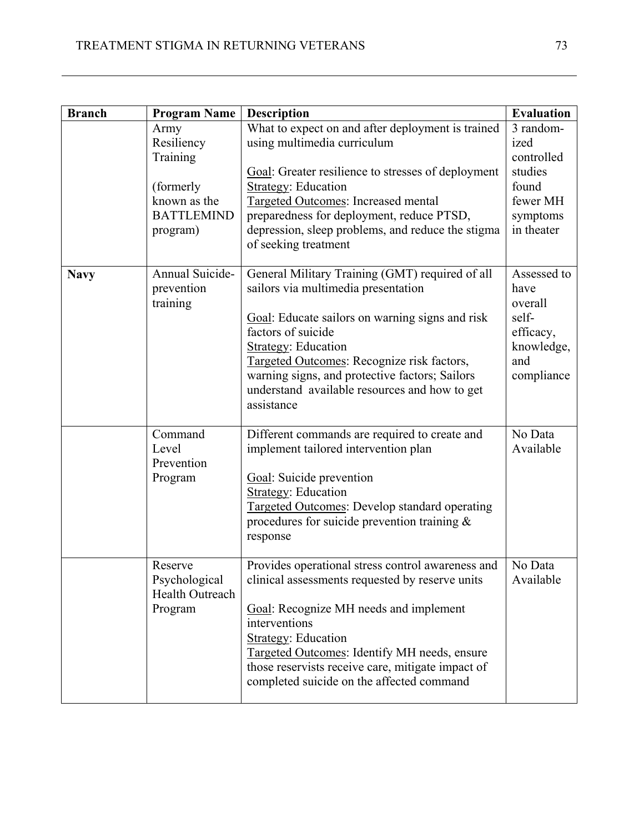| <b>Branch</b> | <b>Program Name</b>                                                                           | <b>Description</b>                                                                                                                                                                                                                                                                                                                                           | <b>Evaluation</b>                                                                         |
|---------------|-----------------------------------------------------------------------------------------------|--------------------------------------------------------------------------------------------------------------------------------------------------------------------------------------------------------------------------------------------------------------------------------------------------------------------------------------------------------------|-------------------------------------------------------------------------------------------|
|               | Army<br>Resiliency<br>Training<br>(formerly)<br>known as the<br><b>BATTLEMIND</b><br>program) | What to expect on and after deployment is trained<br>using multimedia curriculum<br>Goal: Greater resilience to stresses of deployment<br><b>Strategy: Education</b><br><b>Targeted Outcomes: Increased mental</b><br>preparedness for deployment, reduce PTSD,<br>depression, sleep problems, and reduce the stigma<br>of seeking treatment                 | 3 random-<br>ized<br>controlled<br>studies<br>found<br>fewer MH<br>symptoms<br>in theater |
| <b>Navy</b>   | Annual Suicide-<br>prevention<br>training                                                     | General Military Training (GMT) required of all<br>sailors via multimedia presentation<br>Goal: Educate sailors on warning signs and risk<br>factors of suicide<br><b>Strategy: Education</b><br>Targeted Outcomes: Recognize risk factors,<br>warning signs, and protective factors; Sailors<br>understand available resources and how to get<br>assistance | Assessed to<br>have<br>overall<br>self-<br>efficacy,<br>knowledge,<br>and<br>compliance   |
|               | Command<br>Level<br>Prevention<br>Program                                                     | Different commands are required to create and<br>implement tailored intervention plan<br>Goal: Suicide prevention<br><b>Strategy: Education</b><br><b>Targeted Outcomes: Develop standard operating</b><br>procedures for suicide prevention training $\&$<br>response                                                                                       | No Data<br>Available                                                                      |
|               | Reserve<br>Psychological<br>Health Outreach<br>Program                                        | Provides operational stress control awareness and<br>clinical assessments requested by reserve units<br>Goal: Recognize MH needs and implement<br>interventions<br><b>Strategy: Education</b><br>Targeted Outcomes: Identify MH needs, ensure<br>those reservists receive care, mitigate impact of<br>completed suicide on the affected command              | No Data<br>Available                                                                      |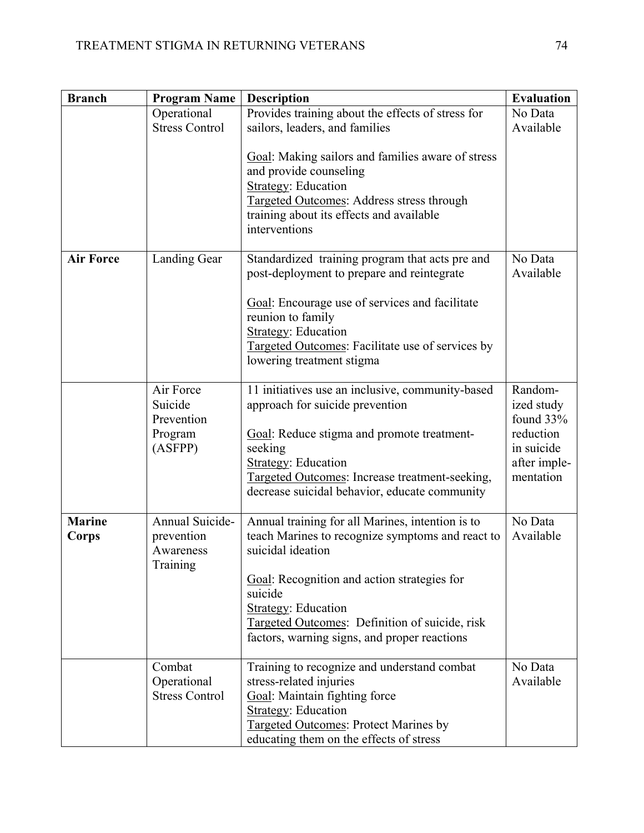| <b>Branch</b>          | <b>Program Name</b>                                      | <b>Description</b>                                                                                                                                                                                                                                                                                                  | <b>Evaluation</b>                                                                          |
|------------------------|----------------------------------------------------------|---------------------------------------------------------------------------------------------------------------------------------------------------------------------------------------------------------------------------------------------------------------------------------------------------------------------|--------------------------------------------------------------------------------------------|
|                        | Operational<br><b>Stress Control</b>                     | Provides training about the effects of stress for<br>sailors, leaders, and families                                                                                                                                                                                                                                 | No Data<br>Available                                                                       |
|                        |                                                          | Goal: Making sailors and families aware of stress<br>and provide counseling<br><b>Strategy: Education</b><br><b>Targeted Outcomes: Address stress through</b><br>training about its effects and available<br>interventions                                                                                          |                                                                                            |
| <b>Air Force</b>       | <b>Landing Gear</b>                                      | Standardized training program that acts pre and<br>post-deployment to prepare and reintegrate<br>Goal: Encourage use of services and facilitate<br>reunion to family<br><b>Strategy: Education</b><br>Targeted Outcomes: Facilitate use of services by<br>lowering treatment stigma                                 | No Data<br>Available                                                                       |
|                        | Air Force<br>Suicide<br>Prevention<br>Program<br>(ASFPP) | 11 initiatives use an inclusive, community-based<br>approach for suicide prevention<br>Goal: Reduce stigma and promote treatment-<br>seeking<br><b>Strategy: Education</b><br>Targeted Outcomes: Increase treatment-seeking,<br>decrease suicidal behavior, educate community                                       | Random-<br>ized study<br>found 33%<br>reduction<br>in suicide<br>after imple-<br>mentation |
| <b>Marine</b><br>Corps | Annual Suicide-<br>prevention<br>Awareness<br>Training   | Annual training for all Marines, intention is to<br>teach Marines to recognize symptoms and react to<br>suicidal ideation<br>Goal: Recognition and action strategies for<br>suicide<br><b>Strategy: Education</b><br>Targeted Outcomes: Definition of suicide, risk<br>factors, warning signs, and proper reactions | No Data<br>Available                                                                       |
|                        | Combat<br>Operational<br><b>Stress Control</b>           | Training to recognize and understand combat<br>stress-related injuries<br>Goal: Maintain fighting force<br><b>Strategy: Education</b><br><b>Targeted Outcomes: Protect Marines by</b><br>educating them on the effects of stress                                                                                    | No Data<br>Available                                                                       |